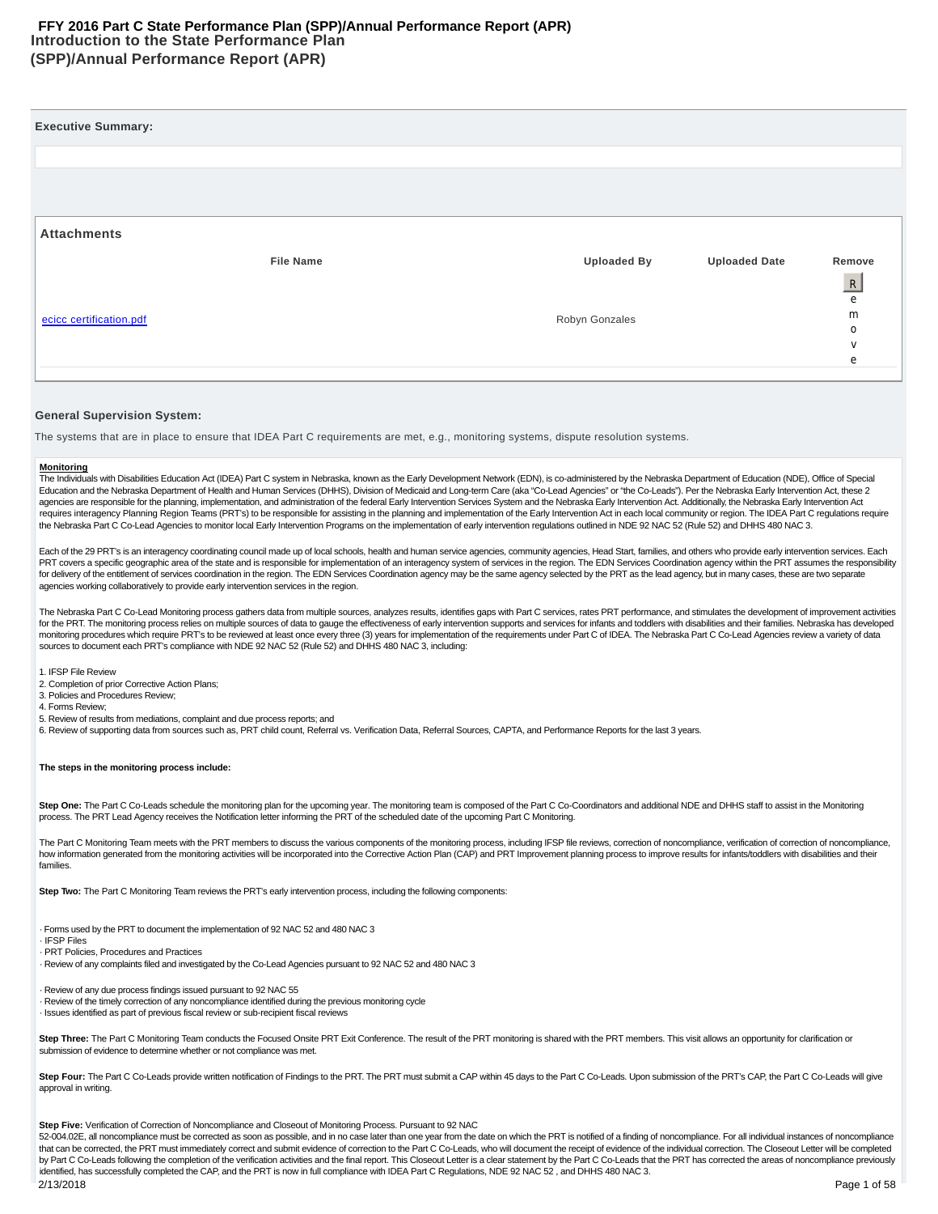# **Introduction to the State Performance Plan (SPP)/Annual Performance Report (APR) FFY 2016 Part C State Performance Plan (SPP)/Annual Performance Report (APR)**

| <b>Executive Summary:</b> |                  |                    |                      |                                  |
|---------------------------|------------------|--------------------|----------------------|----------------------------------|
|                           |                  |                    |                      |                                  |
|                           |                  |                    |                      |                                  |
|                           |                  |                    |                      |                                  |
| <b>Attachments</b>        |                  |                    |                      |                                  |
|                           | <b>File Name</b> | <b>Uploaded By</b> | <b>Uploaded Date</b> | Remove                           |
|                           |                  |                    |                      | $\begin{array}{c} R \end{array}$ |
|                           |                  |                    |                      | e                                |
| ecicc certification.pdf   |                  | Robyn Gonzales     |                      | m<br>0                           |
|                           |                  |                    |                      | $\vee$                           |
|                           |                  |                    |                      | e                                |
|                           |                  |                    |                      |                                  |

#### **General Supervision System:**

The systems that are in place to ensure that IDEA Part C requirements are met, e.g., monitoring systems, dispute resolution systems.

#### **Monitoring**

The Individuals with Disabilities Education Act (IDEA) Part C system in Nebraska, known as the Early Development Network (EDN), is co-administered by the Nebraska Department of Education (NDE), Office of Special Education and the Nebraska Department of Health and Human Services (DHHS), Division of Medicaid and Long-term Care (aka "Co-Lead Agencies" or "the Co-Leads"). Per the Nebraska Early Intervention Act, these 2 agencies are responsible for the planning, implementation, and administration of the federal Early Intervention Services System and the Nebraska Early Intervention Act. Additionally, the Nebraska Early Intervention Act requires interagency Planning Region Teams (PRT's) to be responsible for assisting in the planning and implementation of the Early Intervention Act in each local community or region. The IDEA Part C regulations require the Nebraska Part C Co-Lead Agencies to monitor local Early Intervention Programs on the implementation of early intervention regulations outlined in NDE 92 NAC 52 (Rule 52) and DHHS 480 NAC 3.

Each of the 29 PRT's is an interagency coordinating council made up of local schools, health and human service agencies, community agencies, Head Start, families, and others who provide early intervention services. Each PRT covers a specific geographic area of the state and is responsible for implementation of an interagency system of services in the region. The EDN Services Coordination agency within the PRT assumes the responsibility for delivery of the entitlement of services coordination in the region. The EDN Services Coordination agency may be the same agency selected by the PRT as the lead agency, but in many cases, these are two separate agencies working collaboratively to provide early intervention services in the region.

The Nebraska Part C Co-Lead Monitoring process gathers data from multiple sources, analyzes results, identifies gaps with Part C services, rates PRT performance, and stimulates the development of improvement activities for the PRT. The monitoring process relies on multiple sources of data to gauge the effectiveness of early intervention supports and services for infants and toddlers with disabilities and their families. Nebraska has deve monitoring procedures which require PRT's to be reviewed at least once every three (3) years for implementation of the requirements under Part C of IDEA. The Nebraska Part C Co-Lead Agencies review a variety of data sources to document each PRT's compliance with NDE 92 NAC 52 (Rule 52) and DHHS 480 NAC 3, including:

1. IFSP File Review

2. Completion of prior Corrective Action Plans;

3. Policies and Procedures Review; 4. Forms Review;

5. Review of results from mediations, complaint and due process reports; and

6. Review of supporting data from sources such as, PRT child count, Referral vs. Verification Data, Referral Sources, CAPTA, and Performance Reports for the last 3 years.

#### **The steps in the monitoring process include:**

Step One: The Part C Co-Leads schedule the monitoring plan for the upcoming year. The monitoring team is composed of the Part C Co-Coordinators and additional NDE and DHHS staff to assist in the Monitoring process. The PRT Lead Agency receives the Notification letter informing the PRT of the scheduled date of the upcoming Part C Monitoring.

The Part C Monitoring Team meets with the PRT members to discuss the various components of the monitoring process, including IFSP file reviews, correction of noncompliance, verification of correction of noncompliance, how information generated from the monitoring activities will be incorporated into the Corrective Action Plan (CAP) and PRT Improvement planning process to improve results for infants/toddlers with disabilities and their families.

**Step Two:** The Part C Monitoring Team reviews the PRT's early intervention process, including the following components:

· Forms used by the PRT to document the implementation of 92 NAC 52 and 480 NAC 3

· IFSP Files

· PRT Policies, Procedures and Practices

· Review of any complaints filed and investigated by the Co-Lead Agencies pursuant to 92 NAC 52 and 480 NAC 3

· Review of any due process findings issued pursuant to 92 NAC 55 · Review of the timely correction of any noncompliance identified during the previous monitoring cycle

· Issues identified as part of previous fiscal review or sub-recipient fiscal reviews

Step Three: The Part C Monitoring Team conducts the Focused Onsite PRT Exit Conference. The result of the PRT monitoring is shared with the PRT members. This visit allows an opportunity for clarification or submission of evidence to determine whether or not compliance was met.

Step Four: The Part C Co-Leads provide written notification of Findings to the PRT. The PRT must submit a CAP within 45 days to the Part C Co-Leads. Upon submission of the PRT's CAP, the Part C Co-Leads will give approval in writing.

**Step Five:** Verification of Correction of Noncompliance and Closeout of Monitoring Process. Pursuant to 92 NAC

52-004.02E, all noncompliance must be corrected as soon as possible, and in no case later than one year from the date on which the PRT is notified of a finding of noncompliance. For all individual instances of noncomplianc that can be corrected, the PRT must immediately correct and submit evidence of correction to the Part C Co-Leads, who will document the receipt of evidence of the individual correction. The Closeout Letter will be completed by Part C Co-Leads following the completion of the verification activities and the final report. This Closeout Letter is a clear statement by the Part C Co-Leads that the PRT has corrected the areas of noncompliance previo identified, has successfully completed the CAP, and the PRT is now in full compliance with IDEA Part C Regulations, NDE 92 NAC 52 , and DHHS 480 NAC 3.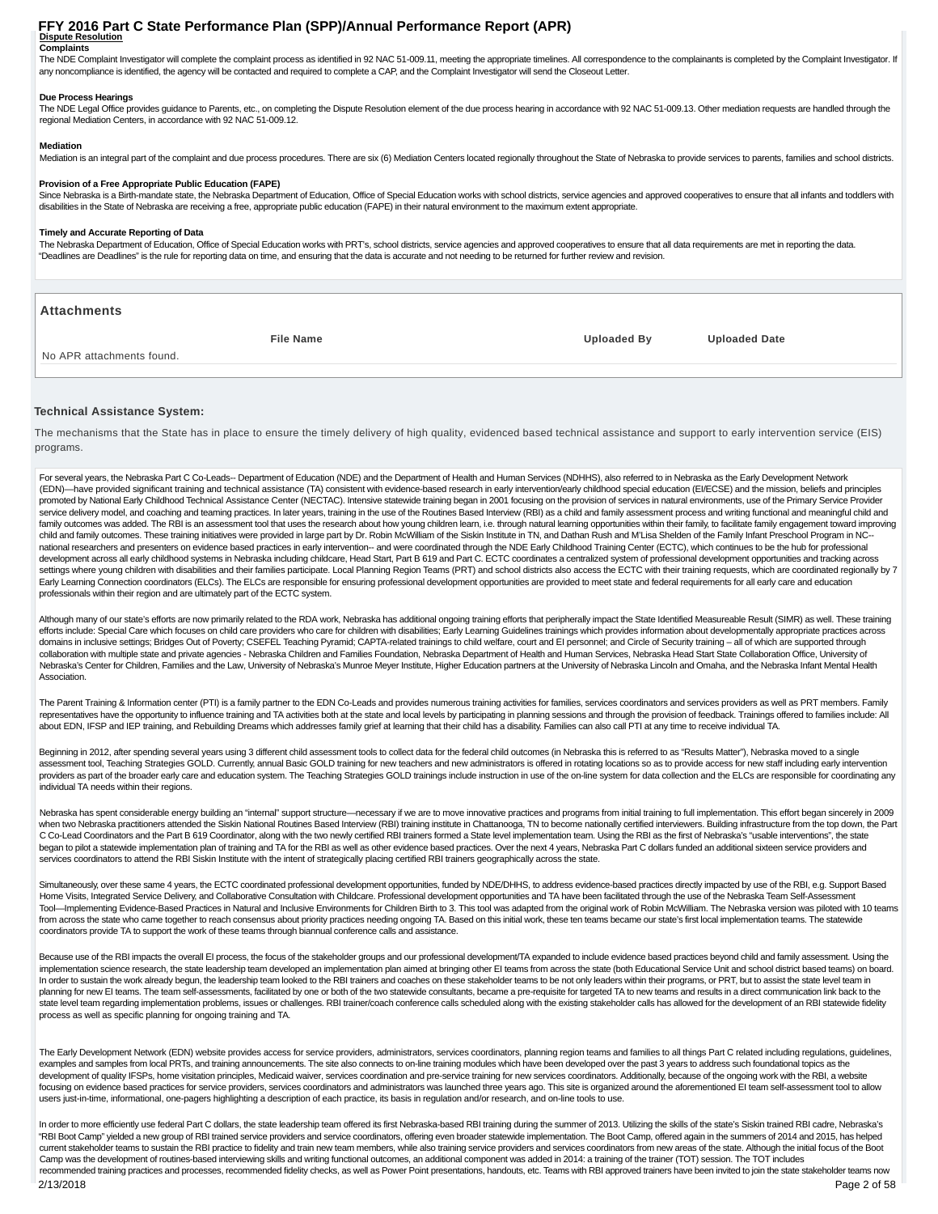#### **Dispute Resolution Complaints FFY 2016 Part C State Performance Plan (SPP)/Annual Performance Report (APR)**

The NDE Complaint Investigator will complete the complaint process as identified in 92 NAC 51-009.11, meeting the appropriate timelines. All correspondence to the complainants is completed by the Complaint Investigator. If any noncompliance is identified, the agency will be contacted and required to complete a CAP, and the Complaint Investigator will send the Closeout Letter.

#### **Due Process Hearings**

The NDE Legal Office provides guidance to Parents, etc., on completing the Dispute Resolution element of the due process hearing in accordance with 92 NAC 51-009.13. Other mediation requests are handled through the regional Mediation Centers, in accordance with 92 NAC 51-009.12.

#### **Mediation**

Mediation is an integral part of the complaint and due process procedures. There are six (6) Mediation Centers located regionally throughout the State of Nebraska to provide services to parents, families and school distric

#### **Provision of a Free Appropriate Public Education (FAPE)**

Since Nebraska is a Birth-mandate state, the Nebraska Department of Education, Office of Special Education works with school districts, service agencies and approved cooperatives to ensure that all infants and toddlers wit disabilities in the State of Nebraska are receiving a free, appropriate public education (FAPE) in their natural environment to the maximum extent appropriate.

#### **Timely and Accurate Reporting of Data**

The Nebraska Department of Education, Office of Special Education works with PRT's, school districts, service agencies and approved cooperatives to ensure that all data requirements are met in reporting the data. "Deadlines are Deadlines" is the rule for reporting data on time, and ensuring that the data is accurate and not needing to be returned for further review and revision.

| <b>Attachments</b>        |                  |                    |                      |
|---------------------------|------------------|--------------------|----------------------|
|                           | <b>File Name</b> | <b>Uploaded By</b> | <b>Uploaded Date</b> |
| No APR attachments found. |                  |                    |                      |
|                           |                  |                    |                      |

#### **Technical Assistance System:**

The mechanisms that the State has in place to ensure the timely delivery of high quality, evidenced based technical assistance and support to early intervention service (EIS) programs.

For several years, the Nebraska Part C Co-Leads-- Department of Education (NDE) and the Department of Health and Human Services (NDHHS), also referred to in Nebraska as the Early Development Network (EDN)—have provided significant training and technical assistance (TA) consistent with evidence-based research in early intervention/early childhood special education (EI/ECSE) and the mission, beliefs and principles promoted by National Early Childhood Technical Assistance Center (NECTAC). Intensive statewide training began in 2001 focusing on the provision of services in natural environments, use of the Primary Service Provider service delivery model, and coaching and teaming practices. In later years, training in the use of the Routines Based Interview (RBI) as a child and family assessment process and writing functional and meaningful child and family outcomes was added. The RBI is an assessment tool that uses the research about how young children leam, i.e. through natural learning opportunities within their family, to facilitate family engagement toward improvi child and family outcomes. These training initiatives were provided in large part by Dr. Robin McWilliam of the Siskin Institute in TN, and Dathan Rush and M'Lisa Shelden of the Family Infant Preschool Program in NC- national researchers and presenters on evidence based practices in early intervention-- and were coordinated through the NDE Early Childhood Training Center (ECTC), which continues to be the hub for professional development across all early childhood systems in Nebraska including childcare, Head Start, Part B 619 and Part C. ECTC coordinates a centralized system of professional development opportunities and tracking across settings where young children with disabilities and their families participate. Local Planning Region Teams (PRT) and school districts also access the ECTC with their training requests, which are coordinated regionally by Early Learning Connection coordinators (ELCs). The ELCs are responsible for ensuring professional development opportunities are provided to meet state and federal requirements for all early care and education professionals within their region and are ultimately part of the ECTC system.

Although many of our state's efforts are now primarily related to the RDA work, Nebraska has additional ongoing training efforts that peripherally impact the State Identified Measureable Result (SIMR) as well. These traini efforts include: Special Care which focuses on child care providers who care for children with disabilities; Early Learning Guidelines trainings which provides information about developmentally appropriate practices across domains in inclusive settings; Bridges Out of Poverty; CSEFEL Teaching Pyramid; CAPTA-related trainings to child welfare, court and EI personnel; and Circle of Security training – all of which are supported through collaboration with multiple state and private agencies - Nebraska Children and Families Foundation, Nebraska Department of Health and Human Services, Nebraska Head Start State Collaboration Office, University of Nebraska's Center for Children, Families and the Law, University of Nebraska's Munroe Meyer Institute, Higher Education partners at the University of Nebraska Lincoln and Omaha, and the Nebraska Infant Mental Health Association.

The Parent Training & Information center (PTI) is a family partner to the EDN Co-Leads and provides numerous training activities for families, services coordinators and services providers as well as PRT members. Family representatives have the opportunity to influence training and TA activities both at the state and local levels by participating in planning sessions and through the provision of feedback. Trainings offered to families inc about EDN, IFSP and IEP training, and Rebuilding Dreams which addresses family grief at learning that their child has a disability. Families can also call PTI at any time to receive individual TA.

Beginning in 2012, after spending several years using 3 different child assessment tools to collect data for the federal child outcomes (in Nebraska this is referred to as "Results Matter"), Nebraska moved to a single assessment tool, Teaching Strategies GOLD. Currently, annual Basic GOLD training for new teachers and new administrators is offered in rotating locations so as to provide access for new staff including early intervention providers as part of the broader early care and education system. The Teaching Strategies GOLD trainings include instruction in use of the on-line system for data collection and the ELCs are responsible for coordinating an individual TA needs within their regions.

Nebraska has spent considerable energy building an "internal" support structure—necessary if we are to move innovative practices and programs from initial training to full implementation. This effort began sincerely in 200 when two Nebraska practitioners attended the Siskin National Routines Based Interview (RBI) training institute in Chattanooga, TN to become nationally certified interviewers. Building infrastructure from the top down, the C Co-Lead Coordinators and the Part B 619 Coordinator, along with the two newly certified RBI trainers formed a State level implementation team. Using the RBI as the first of Nebraska's "usable interventions", the state began to pilot a statewide implementation plan of training and TA for the RBI as well as other evidence based practices. Over the next 4 years, Nebraska Part C dollars funded an additional sixteen service providers and services coordinators to attend the RBI Siskin Institute with the intent of strategically placing certified RBI trainers geographically across the state.

Simultaneously, over these same 4 years, the ECTC coordinated professional development opportunities, funded by NDE/DHHS, to address evidence-based practices directly impacted by use of the RBI, e.g. Support Based Home Visits, Integrated Service Delivery, and Collaborative Consultation with Childcare. Professional development opportunities and TA have been facilitated through the use of the Nebraska Team Self-Assessment Tool—Implementing Evidence-Based Practices in Natural and Inclusive Environments for Children Birth to 3. This tool was adapted from the original work of Robin McWilliam. The Nebraska version was piloted with 10 teams from across the state who came together to reach consensus about priority practices needing ongoing TA. Based on this initial work, these ten teams became our state's first local implementation teams. The statewide coordinators provide TA to support the work of these teams through biannual conference calls and assistance.

Because use of the RBI impacts the overall EI process, the focus of the stakeholder groups and our professional development/TA expanded to include evidence based practices beyond child and family assessment. Using the implementation science research, the state leadership team developed an implementation plan aimed at bringing other EI teams from across the state (both Educational Service Unit and school district based teams) on board. In order to sustain the work already begun, the leadership team looked to the RBI trainers and coaches on these stakeholder teams to be not only leaders within their programs, or PRT, but to assist the state level team in planning for new EI teams. The team self-assessments, facilitated by one or both of the two statewide consultants, became a pre-requisite for targeted TA to new teams and results in a direct communication link back to the state level team regarding implementation problems, issues or challenges. RBI trainer/coach conference calls scheduled along with the existing stakeholder calls has allowed for the development of an RBI statewide fidelity process as well as specific planning for ongoing training and TA.

The Early Development Network (EDN) website provides access for service providers, administrators, services coordinators, planning region teams and families to all things Part C related including regulations, guidelines, examples and samples from local PRTs, and training announcements. The site also connects to on-line training modules which have been developed over the past 3 years to address such foundational topics as the development of quality IFSPs, home visitation principles, Medicaid waiver, services coordination and pre-service training for new services coordinators. Additionally, because of the ongoing work with the RBI, a website focusing on evidence based practices for service providers, services coordinators and administrators was launched three years ago. This site is organized around the aforementioned EI team self-assessment tool to allow users just-in-time, informational, one-pagers highlighting a description of each practice, its basis in regulation and/or research, and on-line tools to use.

In order to more efficiently use federal Part C dollars, the state leadership team offered its first Nebraska-based RBI training during the summer of 2013. Utilizing the skills of the state's Siskin trained RBI cadre, Nebr "RBI Boot Camp" yielded a new group of RBI trained service providers and service coordinators, offering even broader statewide implementation. The Boot Camp, offered again in the summers of 2014 and 2015, has helped current stakeholder teams to sustain the RBI practice to fidelity and train new team members, while also training service providers and services coordinators from new areas of the state. Although the initial focus of the B Camp was the development of routines-based interviewing skills and writing functional outcomes, an additional component was added in 2014: a training of the trainer (TOT) session. The TOT includes recommended training practices and processes, recommended fidelity checks, as well as Power Point presentations, handouts, etc. Teams with RBI approved trainers have been invited to join the state stakeholder teams now 2/13/2018 Page 2 of 58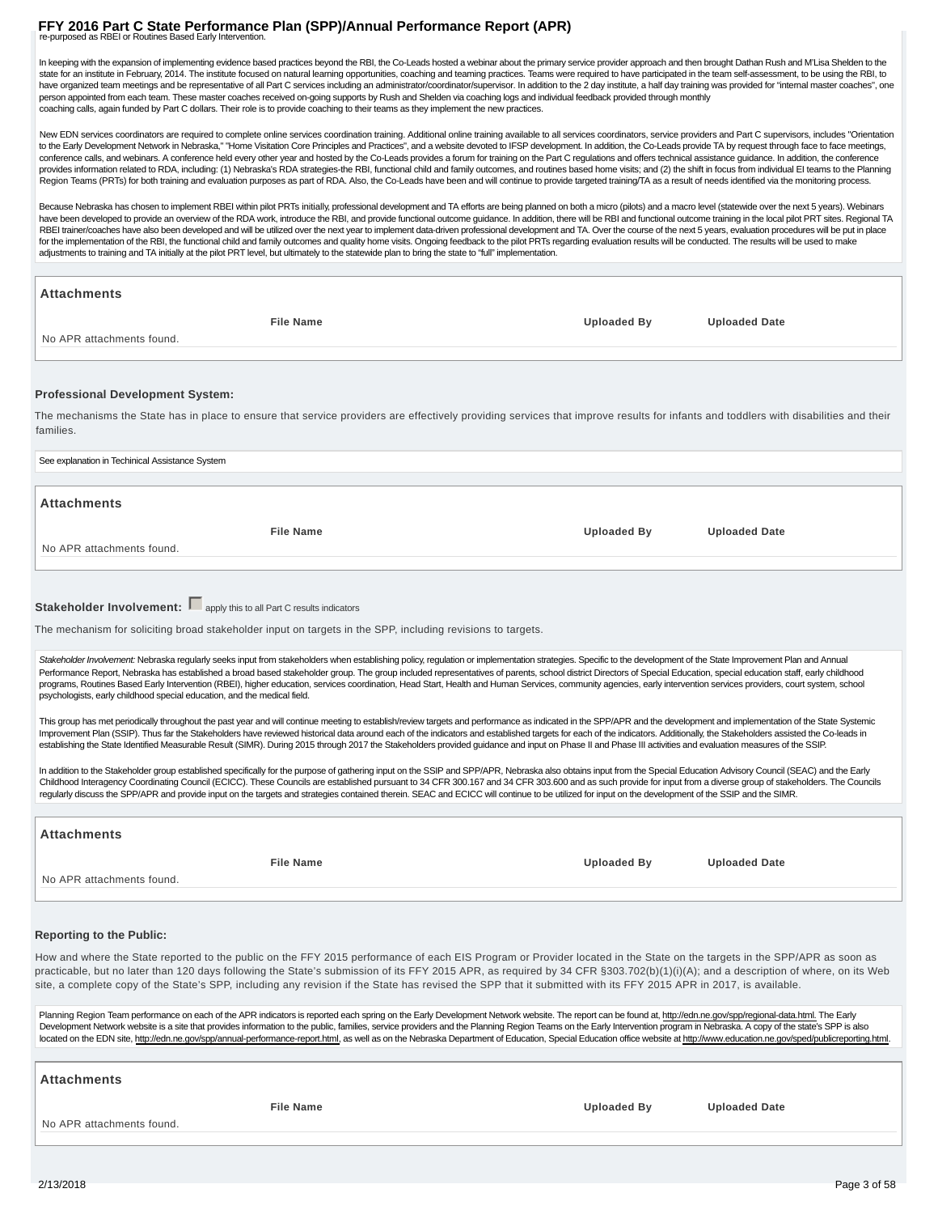# **FFY 2016 Part C State Performance Plan (SPP)/Annual Performance Report (APR)**<br>re-purposed as RBEI or Routines Based Early Intervention.

In keeping with the expansion of implementing evidence based practices beyond the RBI, the Co-Leads hosted a webinar about the primary service provider approach and then brought Dathan Rush and M'Lisa Shelden to the state for an institute in February, 2014. The institute focused on natural learning opportunities, coaching and teaming practices. Teams were required to have participated in the team self-assessment, to be using the RBI, have organized team meetings and be representative of all Part C services including an administrator/coordinator/supervisor. In addition to the 2 day institute, a half day training was provided for "internal master coaches person appointed from each team. These master coaches received on-going supports by Rush and Shelden via coaching logs and individual feedback provided through monthly coaching calls, again funded by Part C dollars. Their role is to provide coaching to their teams as they implement the new practices.

New EDN services coordinators are required to complete online services coordination training. Additional online training available to all services coordinators, service providers and Part C supervisors, includes "Orientati to the Early Development Network in Nebraska," "Home Visitation Core Principles and Practices", and a website devoted to IFSP development. In addition, the Co-Leads provide TA by request through face to face meetings, conference calls, and webinars. A conference held every other year and hosted by the Co-Leads provides a forum for training on the Part C regulations and offers technical assistance guidance. In addition, the conference provides information related to RDA, including: (1) Nebraska's RDA strategies-the RBI, functional child and family outcomes, and routines based home visits; and (2) the shift in focus from individual EI teams to the Planni Region Teams (PRTs) for both training and evaluation purposes as part of RDA. Also, the Co-Leads have been and will continue to provide targeted training/TA as a result of needs identified via the monitoring process.

Because Nebraska has chosen to implement RBEI within pilot PRTs initially, professional development and TA efforts are being planned on both a micro (pilots) and a macro level (statewide over the next 5 years). Webinars have been developed to provide an overview of the RDA work, introduce the RBI, and provide functional outcome guidance. In addition, there will be RBI and functional outcome training in the local pilot PRT sites. Regional RBEI trainer/coaches have also been developed and will be utilized over the next year to implement data-driven professional development and TA. Over the course of the next 5 years, evaluation procedures will be put in plac for the implementation of the RBI, the functional child and family outcomes and quality home visits. Ongoing feedback to the pilot PRTs regarding evaluation results will be conducted. The results will be used to make adjustments to training and TA initially at the pilot PRT level, but ultimately to the statewide plan to bring the state to "full" implementation.

| <b>Attachments</b>                                                                                          |                  |                                                                                                                                                                                                                                                                                                                                                                                                                                                                                                                                                                                                                                                                                |                      |
|-------------------------------------------------------------------------------------------------------------|------------------|--------------------------------------------------------------------------------------------------------------------------------------------------------------------------------------------------------------------------------------------------------------------------------------------------------------------------------------------------------------------------------------------------------------------------------------------------------------------------------------------------------------------------------------------------------------------------------------------------------------------------------------------------------------------------------|----------------------|
|                                                                                                             | <b>File Name</b> | <b>Uploaded By</b>                                                                                                                                                                                                                                                                                                                                                                                                                                                                                                                                                                                                                                                             | <b>Uploaded Date</b> |
| No APR attachments found.                                                                                   |                  |                                                                                                                                                                                                                                                                                                                                                                                                                                                                                                                                                                                                                                                                                |                      |
|                                                                                                             |                  |                                                                                                                                                                                                                                                                                                                                                                                                                                                                                                                                                                                                                                                                                |                      |
|                                                                                                             |                  |                                                                                                                                                                                                                                                                                                                                                                                                                                                                                                                                                                                                                                                                                |                      |
| <b>Professional Development System:</b>                                                                     |                  |                                                                                                                                                                                                                                                                                                                                                                                                                                                                                                                                                                                                                                                                                |                      |
| families.                                                                                                   |                  | The mechanisms the State has in place to ensure that service providers are effectively providing services that improve results for infants and toddlers with disabilities and their                                                                                                                                                                                                                                                                                                                                                                                                                                                                                            |                      |
| See explanation in Techinical Assistance System                                                             |                  |                                                                                                                                                                                                                                                                                                                                                                                                                                                                                                                                                                                                                                                                                |                      |
| <b>Attachments</b>                                                                                          |                  |                                                                                                                                                                                                                                                                                                                                                                                                                                                                                                                                                                                                                                                                                |                      |
|                                                                                                             |                  |                                                                                                                                                                                                                                                                                                                                                                                                                                                                                                                                                                                                                                                                                |                      |
|                                                                                                             | <b>File Name</b> | <b>Uploaded By</b>                                                                                                                                                                                                                                                                                                                                                                                                                                                                                                                                                                                                                                                             | <b>Uploaded Date</b> |
| No APR attachments found.                                                                                   |                  |                                                                                                                                                                                                                                                                                                                                                                                                                                                                                                                                                                                                                                                                                |                      |
|                                                                                                             |                  |                                                                                                                                                                                                                                                                                                                                                                                                                                                                                                                                                                                                                                                                                |                      |
| Stakeholder Involvement: sapply this to all Part C results indicators                                       |                  |                                                                                                                                                                                                                                                                                                                                                                                                                                                                                                                                                                                                                                                                                |                      |
|                                                                                                             |                  |                                                                                                                                                                                                                                                                                                                                                                                                                                                                                                                                                                                                                                                                                |                      |
| The mechanism for soliciting broad stakeholder input on targets in the SPP, including revisions to targets. |                  |                                                                                                                                                                                                                                                                                                                                                                                                                                                                                                                                                                                                                                                                                |                      |
|                                                                                                             |                  | Stakeholder Involvement: Nebraska regularly seeks input from stakeholders when establishing policy, regulation or implementation strategies. Specific to the development of the State Improvement Plan and Annual                                                                                                                                                                                                                                                                                                                                                                                                                                                              |                      |
|                                                                                                             |                  | Performance Report, Nebraska has established a broad based stakeholder group. The group included representatives of parents, school district Directors of Special Education, special education staff, early childhood<br>programs, Routines Based Early Intervention (RBEI), higher education, services coordination, Head Start, Health and Human Services, community agencies, early intervention services providers, court system, school                                                                                                                                                                                                                                   |                      |
| psychologists, early childhood special education, and the medical field.                                    |                  |                                                                                                                                                                                                                                                                                                                                                                                                                                                                                                                                                                                                                                                                                |                      |
|                                                                                                             |                  | This group has met periodically throughout the past year and will continue meeting to establish/review targets and performance as indicated in the SPP/APR and the development and implementation of the State Systemic<br>Improvement Plan (SSIP). Thus far the Stakeholders have reviewed historical data around each of the indicators and established targets for each of the indicators. Additionally, the Stakeholders assisted the Co-leads in<br>establishing the State Identified Measurable Result (SIMR). During 2015 through 2017 the Stakeholders provided guidance and input on Phase II and Phase III activities and evaluation measures of the SSIP.           |                      |
|                                                                                                             |                  |                                                                                                                                                                                                                                                                                                                                                                                                                                                                                                                                                                                                                                                                                |                      |
|                                                                                                             |                  | In addition to the Stakeholder group established specifically for the purpose of gathering input on the SSIP and SPP/APR, Nebraska also obtains input from the Special Education Advisory Council (SEAC) and the Early<br>Childhood Interagency Coordinating Council (ECICC). These Councils are established pursuant to 34 CFR 300.167 and 34 CFR 303.600 and as such provide for input from a diverse group of stakeholders. The Councils<br>regularly discuss the SPP/APR and provide input on the targets and strategies contained therein. SEAC and ECICC will continue to be utilized for input on the development of the SSIP and the SIMR.                             |                      |
| <b>Attachments</b>                                                                                          |                  |                                                                                                                                                                                                                                                                                                                                                                                                                                                                                                                                                                                                                                                                                |                      |
|                                                                                                             |                  |                                                                                                                                                                                                                                                                                                                                                                                                                                                                                                                                                                                                                                                                                |                      |
|                                                                                                             | <b>File Name</b> | <b>Uploaded By</b>                                                                                                                                                                                                                                                                                                                                                                                                                                                                                                                                                                                                                                                             | <b>Uploaded Date</b> |
| No APR attachments found.                                                                                   |                  |                                                                                                                                                                                                                                                                                                                                                                                                                                                                                                                                                                                                                                                                                |                      |
|                                                                                                             |                  |                                                                                                                                                                                                                                                                                                                                                                                                                                                                                                                                                                                                                                                                                |                      |
| <b>Reporting to the Public:</b>                                                                             |                  |                                                                                                                                                                                                                                                                                                                                                                                                                                                                                                                                                                                                                                                                                |                      |
|                                                                                                             |                  | How and where the State reported to the public on the FFY 2015 performance of each EIS Program or Provider located in the State on the targets in the SPP/APR as soon as<br>practicable, but no later than 120 days following the State's submission of its FFY 2015 APR, as required by 34 CFR §303.702(b)(1)(i)(A); and a description of where, on its Web<br>site, a complete copy of the State's SPP, including any revision if the State has revised the SPP that it submitted with its FFY 2015 APR in 2017, is available.                                                                                                                                               |                      |
|                                                                                                             |                  | Planning Region Team performance on each of the APR indicators is reported each spring on the Early Development Network website. The report can be found at, http://edn.ne.gov/spp/regional-data.html. The Early<br>Development Network website is a site that provides information to the public, families, service providers and the Planning Region Teams on the Early Intervention program in Nebraska. A copy of the state's SPP is also<br>located on the EDN site, http://edn.ne.gov/spp/annual-performance-report.html, as well as on the Nebraska Department of Education, Special Education office website at http://www.education.ne.gov/sped/publicreporting.html. |                      |
| Attachments                                                                                                 |                  |                                                                                                                                                                                                                                                                                                                                                                                                                                                                                                                                                                                                                                                                                |                      |
|                                                                                                             | <b>File Name</b> | Uploaded By                                                                                                                                                                                                                                                                                                                                                                                                                                                                                                                                                                                                                                                                    | <b>Uploaded Date</b> |

No APR attachments found.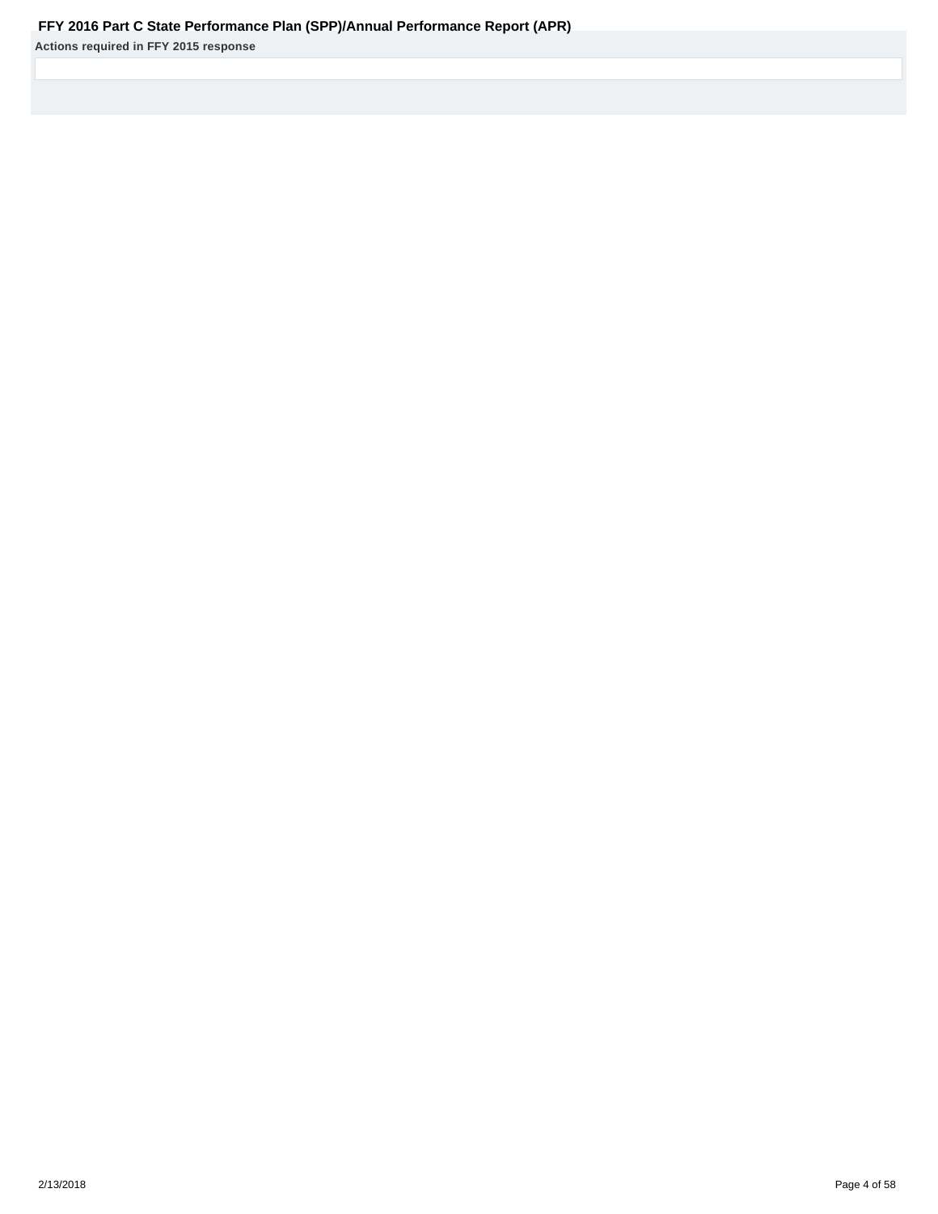# **FFY 2016 Part C State Performance Plan (SPP)/Annual Performance Report (APR)**

**Actions required in FFY 2015 response**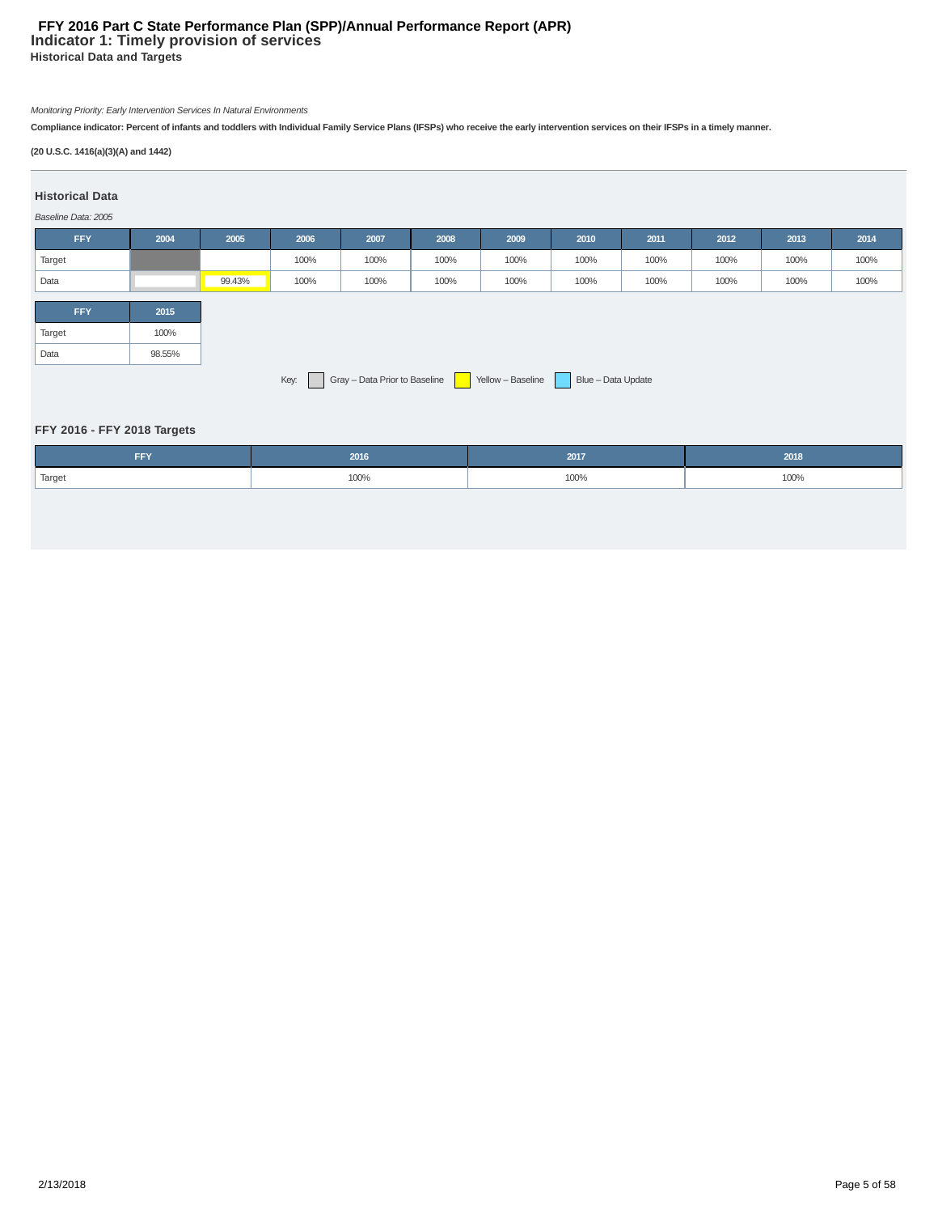# **Indicator 1: Timely provision of services Historical Data and Targets FFY 2016 Part C State Performance Plan (SPP)/Annual Performance Report (APR)**

# Monitoring Priority: Early Intervention Services In Natural Environments

**Compliance indicator: Percent of infants and toddlers with Individual Family Service Plans (IFSPs) who receive the early intervention services on their IFSPs in a timely manner.**

# **(20 U.S.C. 1416(a)(3)(A) and 1442)**

### **Historical Data**

# Baseline Data: 2005

| <b>FFY</b>                                                                      | 2004   | 2005   | 2006 | 2007 | 2008 | 2009 | 2010 | 2011 | 2012 | 2013 | 2014 |
|---------------------------------------------------------------------------------|--------|--------|------|------|------|------|------|------|------|------|------|
| Target                                                                          |        |        | 100% | 100% | 100% | 100% | 100% | 100% | 100% | 100% | 100% |
| Data                                                                            |        | 99.43% | 100% | 100% | 100% | 100% | 100% | 100% | 100% | 100% | 100% |
| <b>FFY</b>                                                                      | 2015   |        |      |      |      |      |      |      |      |      |      |
| Target                                                                          | 100%   |        |      |      |      |      |      |      |      |      |      |
| Data                                                                            | 98.55% |        |      |      |      |      |      |      |      |      |      |
| Gray - Data Prior to Baseline   Yellow - Baseline<br>Blue - Data Update<br>Key: |        |        |      |      |      |      |      |      |      |      |      |

# **FFY 2016 - FFY 2018 Targets**

| <b>CCV</b><br>FF 1. | 2016 |      | 2018 |
|---------------------|------|------|------|
| Target              | 100% | 100% | 100% |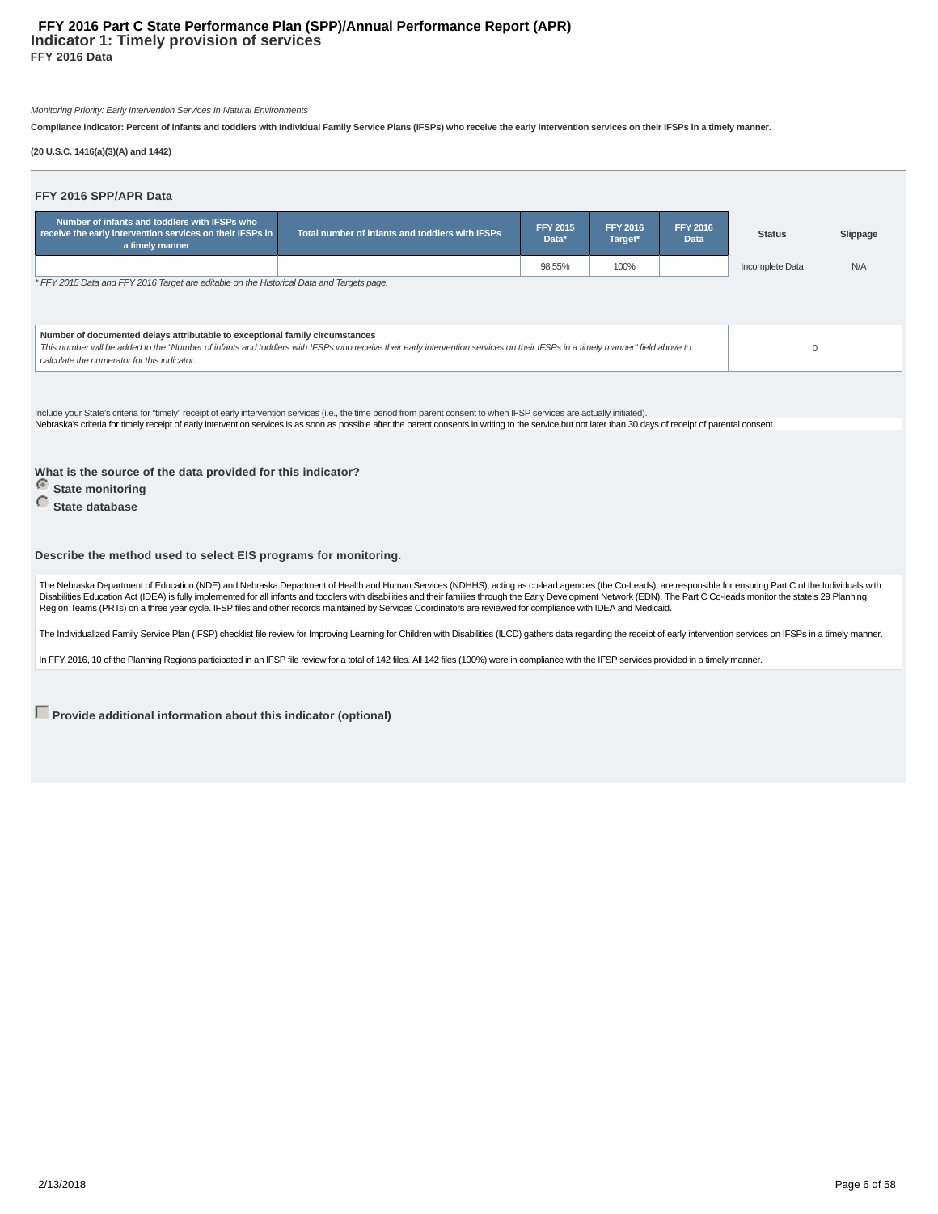#### **Indicator 1: Timely provision of services FFY 2016 Data FFY 2016 Part C State Performance Plan (SPP)/Annual Performance Report (APR)**

Monitoring Priority: Early Intervention Services In Natural Environments

**Compliance indicator: Percent of infants and toddlers with Individual Family Service Plans (IFSPs) who receive the early intervention services on their IFSPs in a timely manner.**

**(20 U.S.C. 1416(a)(3)(A) and 1442)**

| FFY 2016 SPP/APR Data                                                                                                                                                                                                                                                                                                                                                                      |                                                 |                          |                            |                         |                 |          |  |  |  |
|--------------------------------------------------------------------------------------------------------------------------------------------------------------------------------------------------------------------------------------------------------------------------------------------------------------------------------------------------------------------------------------------|-------------------------------------------------|--------------------------|----------------------------|-------------------------|-----------------|----------|--|--|--|
| Number of infants and toddlers with IFSPs who<br>receive the early intervention services on their IFSPs in<br>a timely manner                                                                                                                                                                                                                                                              | Total number of infants and toddlers with IFSPs | <b>FFY 2015</b><br>Data* | <b>FFY 2016</b><br>Target* | <b>FFY 2016</b><br>Data | <b>Status</b>   | Slippage |  |  |  |
|                                                                                                                                                                                                                                                                                                                                                                                            |                                                 | 98.55%                   | 100%                       |                         | Incomplete Data | N/A      |  |  |  |
| * FFY 2015 Data and FFY 2016 Target are editable on the Historical Data and Targets page.                                                                                                                                                                                                                                                                                                  |                                                 |                          |                            |                         |                 |          |  |  |  |
| Number of documented delays attributable to exceptional family circumstances<br>This number will be added to the "Number of infants and toddlers with IFSPs who receive their early intervention services on their IFSPs in a timely manner" field above to<br>$\Omega$<br>calculate the numerator for this indicator.                                                                     |                                                 |                          |                            |                         |                 |          |  |  |  |
| Include your State's criteria for "timely" receipt of early intervention services (i.e., the time period from parent consent to when IFSP services are actually initiated).<br>Nebraska's criteria for timely receipt of early intervention services is as soon as possible after the parent consents in writing to the service but not later than 30 days of receipt of parental consent. |                                                 |                          |                            |                         |                 |          |  |  |  |
| What is the source of the data provided for this indicator?<br><b>State monitoring</b><br>State database                                                                                                                                                                                                                                                                                   |                                                 |                          |                            |                         |                 |          |  |  |  |
| Describe the method used to select EIS programs for monitoring.                                                                                                                                                                                                                                                                                                                            |                                                 |                          |                            |                         |                 |          |  |  |  |

The Nebraska Department of Education (NDE) and Nebraska Department of Health and Human Services (NDHHS), acting as co-lead agencies (the Co-Leads), are responsible for ensuring Part C of the Individuals with<br>Disabilities E

The Individualized Family Service Plan (IFSP) checklist file review for Improving Learning for Children with Disabilities (ILCD) gathers data regarding the receipt of early intervention services on IFSPs in a timely manner

In FFY 2016, 10 of the Planning Regions participated in an IFSP file review for a total of 142 files. All 142 files (100%) were in compliance with the IFSP services provided in a timely manner.

**Provide additional information about this indicator (optional)**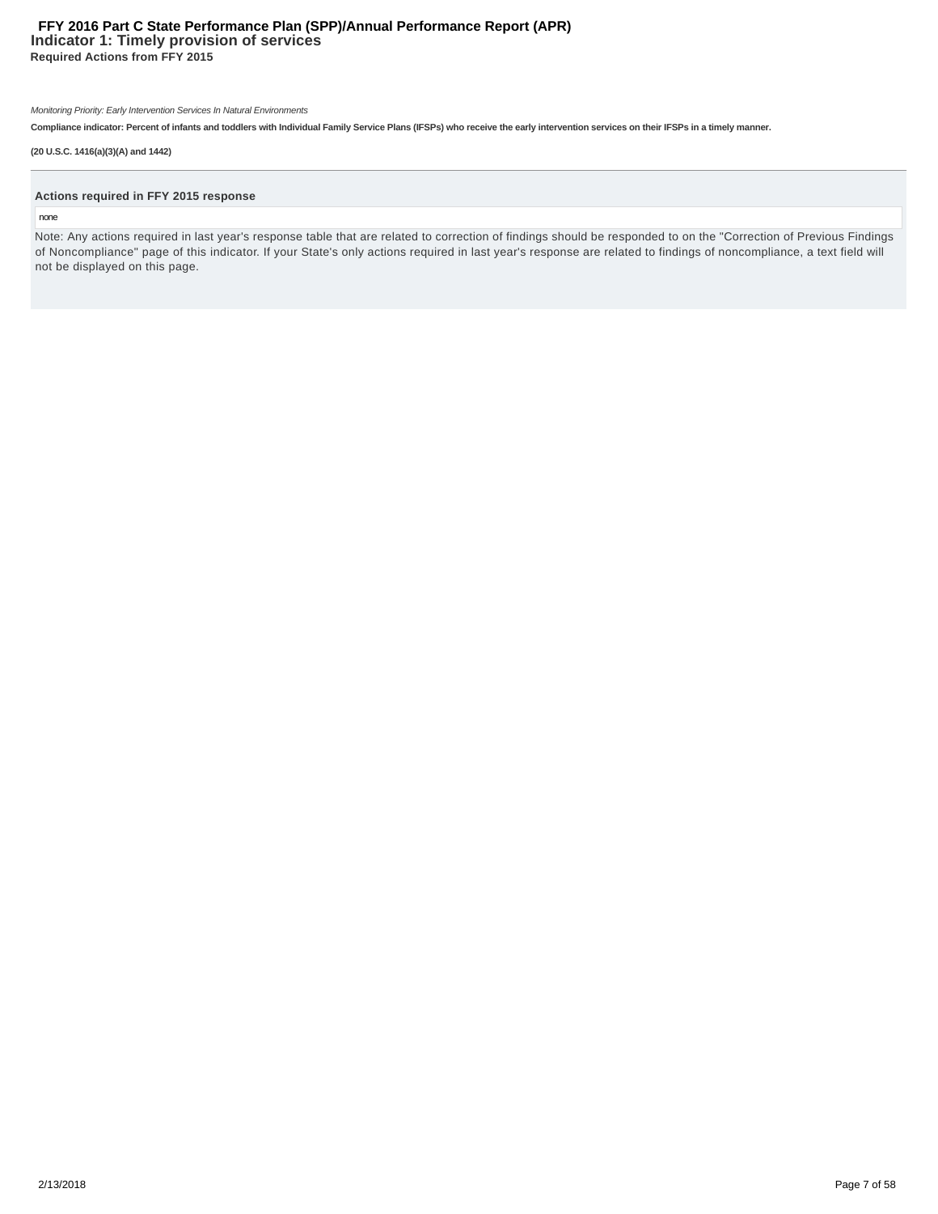# **Indicator 1: Timely provision of services Required Actions from FFY 2015 FFY 2016 Part C State Performance Plan (SPP)/Annual Performance Report (APR)**

Monitoring Priority: Early Intervention Services In Natural Environments

**Compliance indicator: Percent of infants and toddlers with Individual Family Service Plans (IFSPs) who receive the early intervention services on their IFSPs in a timely manner.**

#### **(20 U.S.C. 1416(a)(3)(A) and 1442)**

#### **Actions required in FFY 2015 response**

#### none

Note: Any actions required in last year's response table that are related to correction of findings should be responded to on the "Correction of Previous Findings of Noncompliance" page of this indicator. If your State's only actions required in last year's response are related to findings of noncompliance, a text field will not be displayed on this page.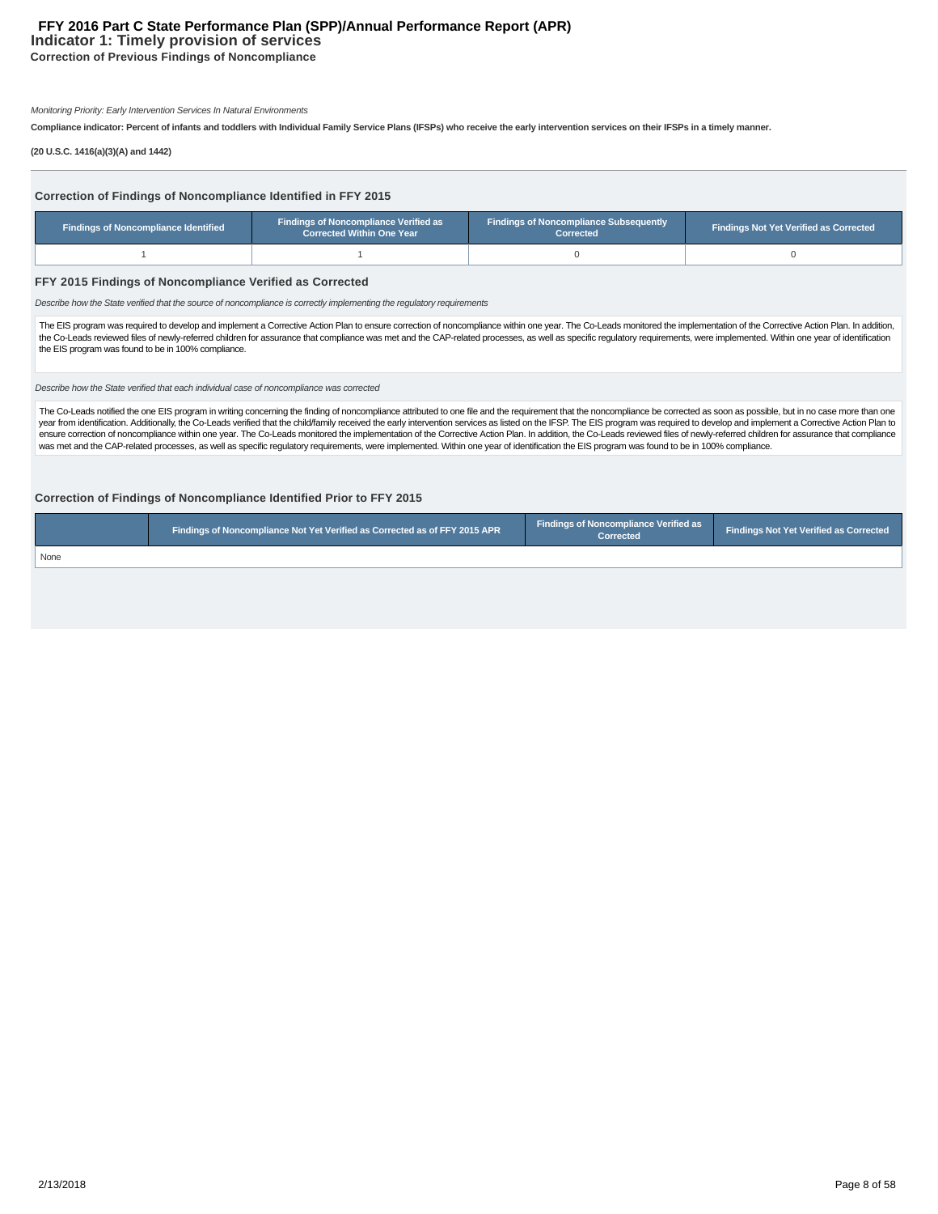# **Indicator 1: Timely provision of services FFY 2016 Part C State Performance Plan (SPP)/Annual Performance Report (APR)**

**Correction of Previous Findings of Noncompliance**

Monitoring Priority: Early Intervention Services In Natural Environments

**Compliance indicator: Percent of infants and toddlers with Individual Family Service Plans (IFSPs) who receive the early intervention services on their IFSPs in a timely manner.**

**(20 U.S.C. 1416(a)(3)(A) and 1442)**

| Correction of Findings of Noncompliance Identified in FFY 2015<br><b>Findings of Noncompliance Verified as</b><br><b>Findings of Noncompliance Subsequently</b>                                                                                                                                                                                                                                                                                                                                                    |                                  |           |                                               |  |  |  |  |  |  |  |
|--------------------------------------------------------------------------------------------------------------------------------------------------------------------------------------------------------------------------------------------------------------------------------------------------------------------------------------------------------------------------------------------------------------------------------------------------------------------------------------------------------------------|----------------------------------|-----------|-----------------------------------------------|--|--|--|--|--|--|--|
| <b>Findings of Noncompliance Identified</b>                                                                                                                                                                                                                                                                                                                                                                                                                                                                        | <b>Corrected Within One Year</b> | Corrected | <b>Findings Not Yet Verified as Corrected</b> |  |  |  |  |  |  |  |
|                                                                                                                                                                                                                                                                                                                                                                                                                                                                                                                    |                                  |           |                                               |  |  |  |  |  |  |  |
| FFY 2015 Findings of Noncompliance Verified as Corrected<br>Describe how the State verified that the source of noncompliance is correctly implementing the requlatory requirements                                                                                                                                                                                                                                                                                                                                 |                                  |           |                                               |  |  |  |  |  |  |  |
| The EIS program was required to develop and implement a Corrective Action Plan to ensure correction of noncompliance within one year. The Co-Leads monitored the implementation of the Corrective Action Plan. In addition,<br>the Co-Leads reviewed files of newly-referred children for assurance that compliance was met and the CAP-related processes, as well as specific regulatory requirements, were implemented. Within one year of identification<br>the EIS program was found to be in 100% compliance. |                                  |           |                                               |  |  |  |  |  |  |  |
| Describe how the State verified that each individual case of noncompliance was corrected                                                                                                                                                                                                                                                                                                                                                                                                                           |                                  |           |                                               |  |  |  |  |  |  |  |
| The Call and antifact the age FIC approvements until a conception the finding of approximately and the control the second that the approximate the approximately as a consented an approximately for the second the second the                                                                                                                                                                                                                                                                                     |                                  |           |                                               |  |  |  |  |  |  |  |

The Co-Leads notified the one EIS program in writing concerning the finding of noncompliance attributed to one file and the requirement that the noncompliance be corrected as soon as possible, but in no case more than one year from identification. Additionally, the Co-Leads verified that the child/family received the early intervention services as listed on the IFSP. The EIS program was required to develop and implement a Corrective Action ensure correction of noncompliance within one year. The Co-Leads monitored the implementation of the Corrective Action Plan. In addition, the Co-Leads reviewed files of newly-referred children for assurance that compliance

# **Correction of Findings of Noncompliance Identified Prior to FFY 2015**

|      | Findings of Noncompliance Not Yet Verified as Corrected as of FFY 2015 APR |  | <b>Findings Not Yet Verified as Corrected</b> |
|------|----------------------------------------------------------------------------|--|-----------------------------------------------|
| None |                                                                            |  |                                               |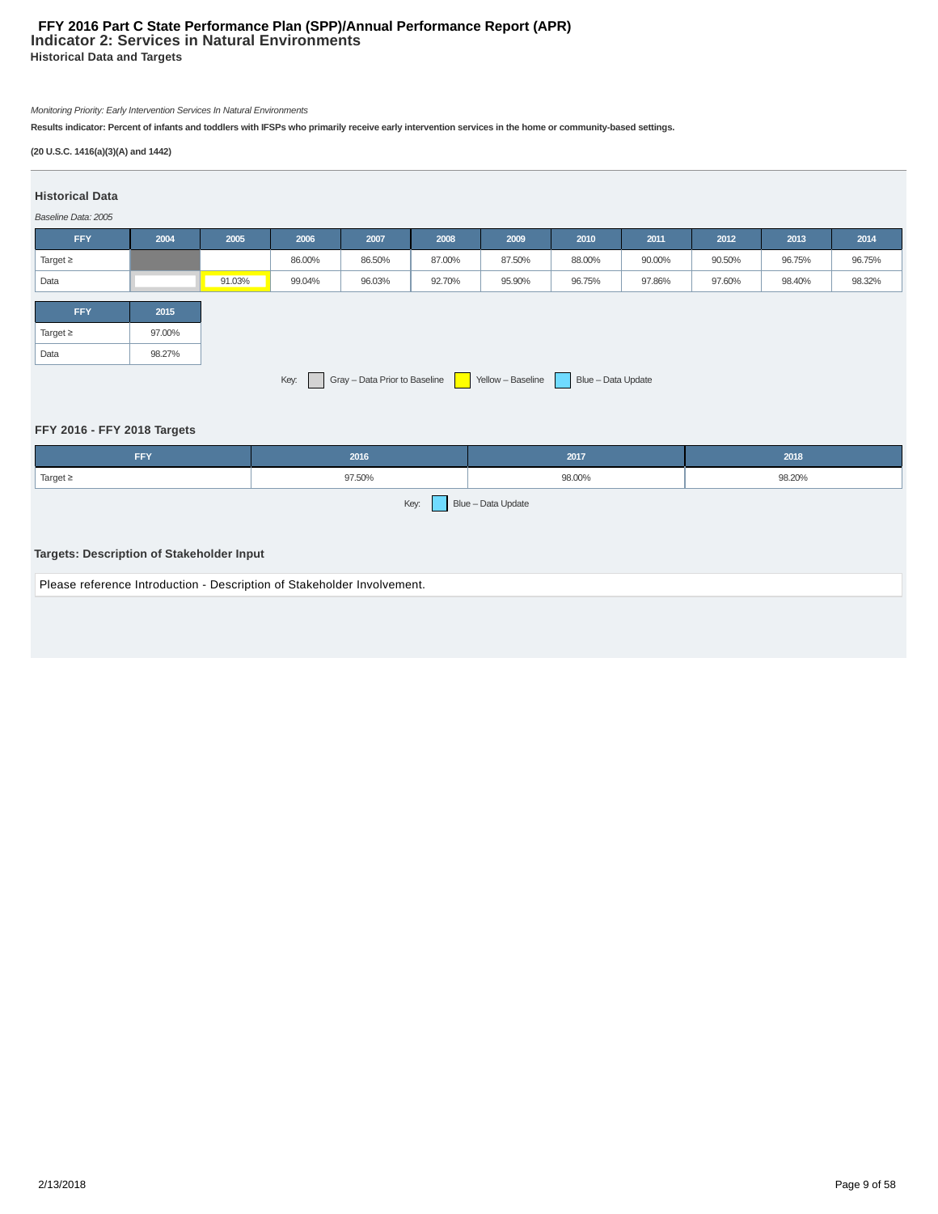# **Indicator 2: Services in Natural Environments Historical Data and Targets FFY 2016 Part C State Performance Plan (SPP)/Annual Performance Report (APR)**

# Monitoring Priority: Early Intervention Services In Natural Environments

**Results indicator: Percent of infants and toddlers with IFSPs who primarily receive early intervention services in the home or community-based settings.**

# **(20 U.S.C. 1416(a)(3)(A) and 1442)**

# **Historical Data**

# Baseline Data: 2005

| <b>FFY</b>                                                                     | 2004   | 2005   | 2006   | 2007   | 2008   | 2009   | 2010   | 2011   | 2012   | 2013   | 2014   |
|--------------------------------------------------------------------------------|--------|--------|--------|--------|--------|--------|--------|--------|--------|--------|--------|
| Target $\geq$                                                                  |        |        | 86.00% | 86.50% | 87.00% | 87.50% | 88.00% | 90.00% | 90.50% | 96.75% | 96.75% |
| Data                                                                           |        | 91.03% | 99.04% | 96.03% | 92.70% | 95.90% | 96.75% | 97.86% | 97.60% | 98.40% | 98.32% |
| <b>FFY</b>                                                                     | 2015   |        |        |        |        |        |        |        |        |        |        |
| Target $\geq$                                                                  | 97.00% |        |        |        |        |        |        |        |        |        |        |
| Data                                                                           | 98.27% |        |        |        |        |        |        |        |        |        |        |
| Gray - Data Prior to Baseline   Yellow - Baseline   Blue - Data Update<br>Key: |        |        |        |        |        |        |        |        |        |        |        |

# **FFY 2016 - FFY 2018 Targets**

| <b>FFY</b>                                                              | 2016   | 2017               | 2018   |  |  |  |
|-------------------------------------------------------------------------|--------|--------------------|--------|--|--|--|
| Target $\geq$                                                           | 97.50% | 98.00%             | 98.20% |  |  |  |
| Targets: Description of Stakeholder Input                               | Key:   | Blue - Data Update |        |  |  |  |
| Please reference Introduction - Description of Stakeholder Involvement. |        |                    |        |  |  |  |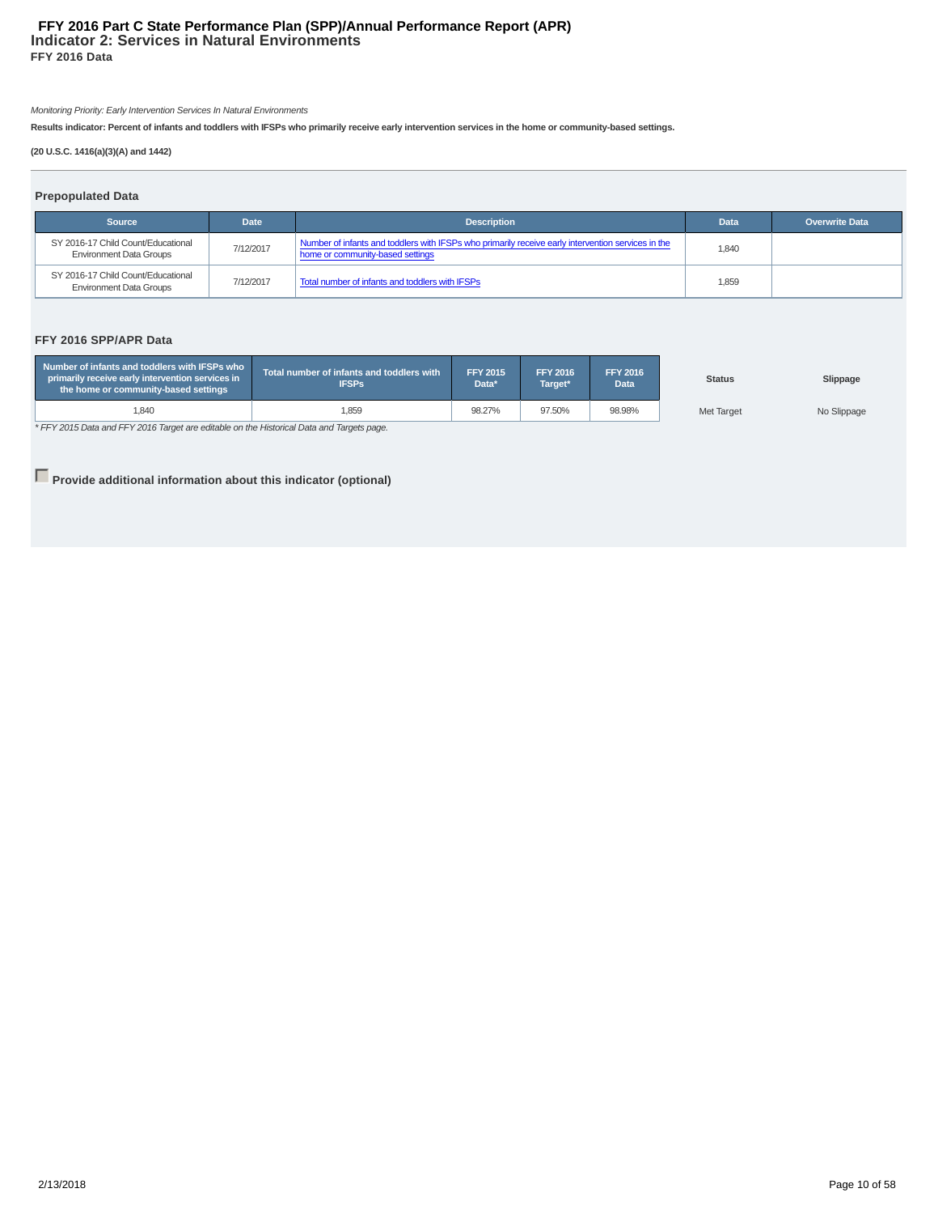# **Indicator 2: Services in Natural Environments FFY 2016 Data FFY 2016 Part C State Performance Plan (SPP)/Annual Performance Report (APR)**

Monitoring Priority: Early Intervention Services In Natural Environments

**Results indicator: Percent of infants and toddlers with IFSPs who primarily receive early intervention services in the home or community-based settings.**

# **(20 U.S.C. 1416(a)(3)(A) and 1442)**

| <b>Prepopulated Data</b>                                             |             |                                                                                                                                        |             |                       |  |  |  |  |  |  |
|----------------------------------------------------------------------|-------------|----------------------------------------------------------------------------------------------------------------------------------------|-------------|-----------------------|--|--|--|--|--|--|
| <b>Source</b>                                                        | <b>Date</b> | <b>Description</b>                                                                                                                     | <b>Data</b> | <b>Overwrite Data</b> |  |  |  |  |  |  |
| SY 2016-17 Child Count/Educational<br><b>Environment Data Groups</b> | 7/12/2017   | Number of infants and toddlers with IFSPs who primarily receive early intervention services in the<br>home or community-based settings | 1,840       |                       |  |  |  |  |  |  |
| SY 2016-17 Child Count/Educational<br><b>Environment Data Groups</b> | 7/12/2017   | Total number of infants and toddlers with IFSPs                                                                                        | 1,859       |                       |  |  |  |  |  |  |

# **FFY 2016 SPP/APR Data**

| Number of infants and toddlers with IFSPs who<br>primarily receive early intervention services in<br>the home or community-based settings | Total number of infants and toddlers with<br><b>IFSPs</b> | <b>FFY 2015</b><br>Data* | <b>FFY 2016</b><br>Target* | <b>FFY 2016</b><br>Data | <b>Status</b> | Slippage    |
|-------------------------------------------------------------------------------------------------------------------------------------------|-----------------------------------------------------------|--------------------------|----------------------------|-------------------------|---------------|-------------|
| <b>840</b>                                                                                                                                | 1,859                                                     | 98.27%                   | 97.50%                     | 98.98%                  | Met Target    | No Slippage |

\* FFY 2015 Data and FFY 2016 Target are editable on the Historical Data and Targets page.

**Provide additional information about this indicator (optional)**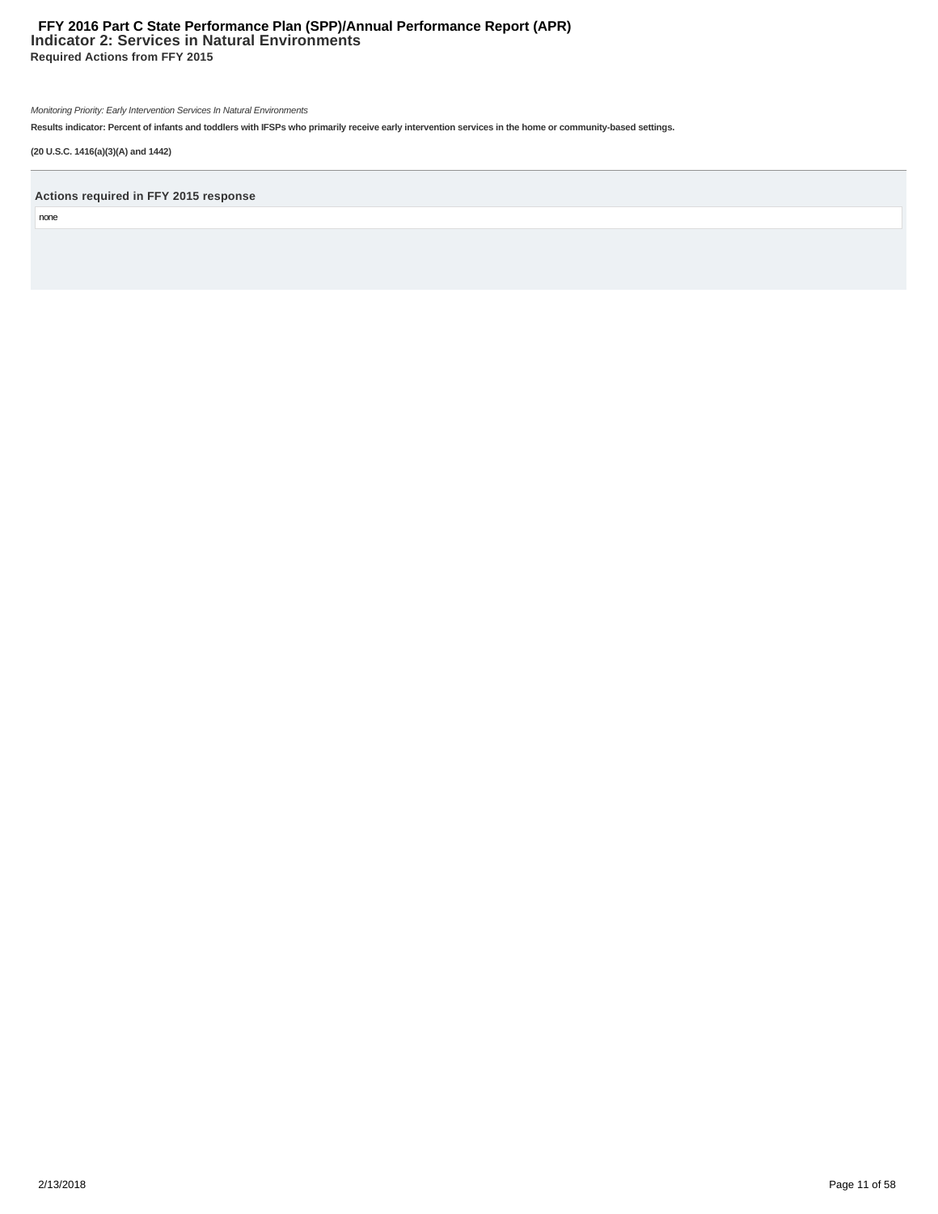# **Indicator 2: Services in Natural Environments Required Actions from FFY 2015 FFY 2016 Part C State Performance Plan (SPP)/Annual Performance Report (APR)**

Monitoring Priority: Early Intervention Services In Natural Environments

**Results indicator: Percent of infants and toddlers with IFSPs who primarily receive early intervention services in the home or community-based settings.**

**(20 U.S.C. 1416(a)(3)(A) and 1442)**

**Actions required in FFY 2015 response**

none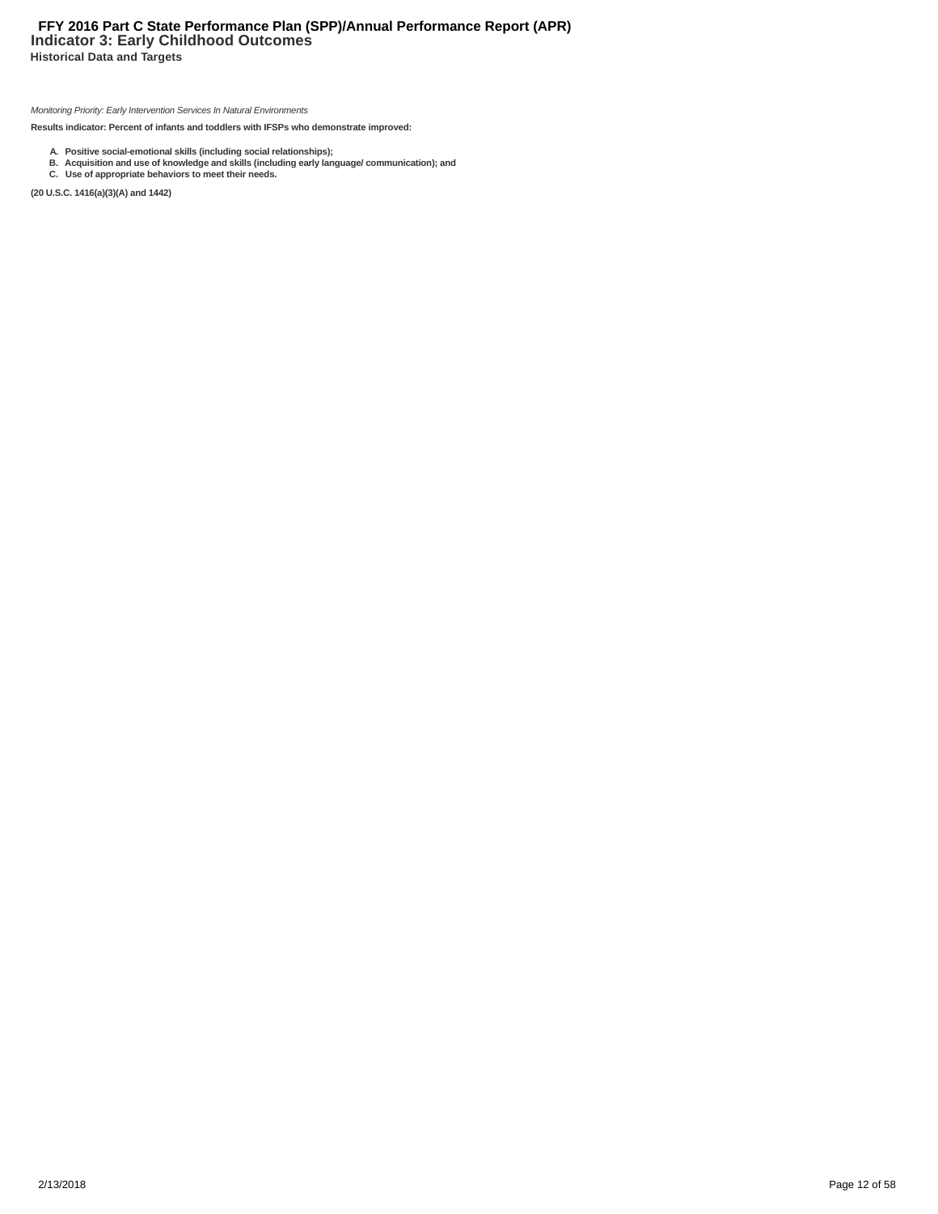# **Indicator 3: Early Childhood Outcomes FFY 2016 Part C State Performance Plan (SPP)/Annual Performance Report (APR)**

**Historical Data and Targets**

Monitoring Priority: Early Intervention Services In Natural Environments

**Results indicator: Percent of infants and toddlers with IFSPs who demonstrate improved:**

- 
- A. Positive social-emotional skills (including social relationships);<br>B. Acquisition and use of knowledge and skills (including early language/ communication); and<br>C. Use of appropriate behaviors to meet their needs.

**(20 U.S.C. 1416(a)(3)(A) and 1442)**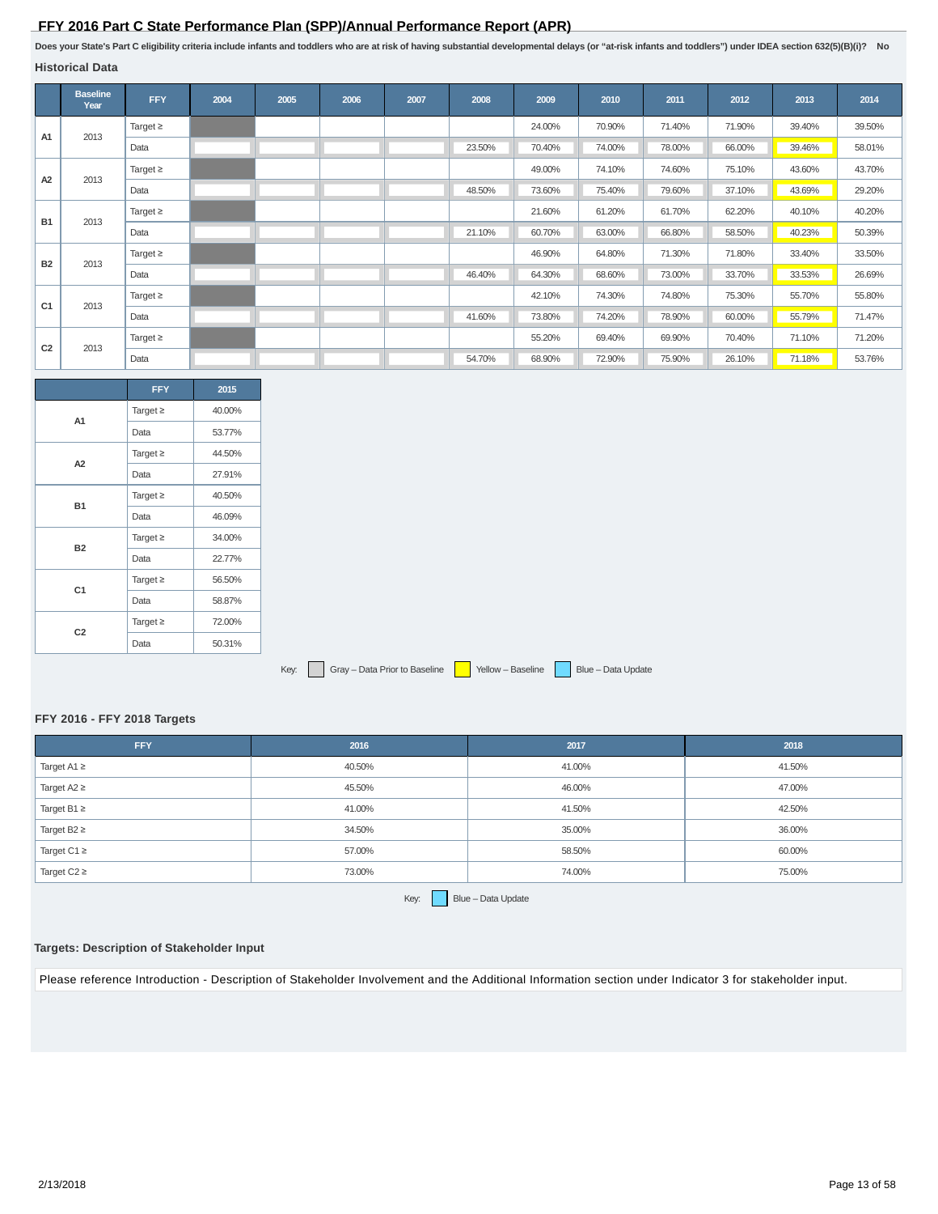# **FFY 2016 Part C State Performance Plan (SPP)/Annual Performance Report (APR)**

**Does your State's Part C eligibility criteria include infants and toddlers who are at risk of having substantial developmental delays (or "at-risk infants and toddlers") under IDEA section 632(5)(B)(i)? No**

| Historical Data |
|-----------------|
|-----------------|

|                | <b>Baseline</b><br>Year | <b>FFY</b>    | 2004 | 2005 | 2006 | 2007 | 2008   | 2009   | 2010   | 2011   | 2012   | 2013   | 2014   |
|----------------|-------------------------|---------------|------|------|------|------|--------|--------|--------|--------|--------|--------|--------|
| A <sub>1</sub> | 2013                    | Target $\geq$ |      |      |      |      |        | 24.00% | 70.90% | 71.40% | 71.90% | 39.40% | 39.50% |
|                |                         | Data          |      |      |      |      | 23.50% | 70.40% | 74.00% | 78.00% | 66.00% | 39.46% | 58.01% |
| A2             | 2013                    | Target $\geq$ |      |      |      |      |        | 49.00% | 74.10% | 74.60% | 75.10% | 43.60% | 43.70% |
|                |                         | Data          |      |      |      |      | 48.50% | 73.60% | 75.40% | 79.60% | 37.10% | 43.69% | 29.20% |
| <b>B1</b>      | 2013                    | Target $\geq$ |      |      |      |      |        | 21.60% | 61.20% | 61.70% | 62.20% | 40.10% | 40.20% |
|                |                         | Data          |      |      |      |      | 21.10% | 60.70% | 63.00% | 66.80% | 58.50% | 40.23% | 50.39% |
| <b>B2</b>      | 2013                    | Target $\geq$ |      |      |      |      |        | 46.90% | 64.80% | 71.30% | 71.80% | 33.40% | 33.50% |
|                |                         | Data          |      |      |      |      | 46.40% | 64.30% | 68.60% | 73.00% | 33.70% | 33.53% | 26.69% |
| C <sub>1</sub> | 2013                    | Target $\geq$ |      |      |      |      |        | 42.10% | 74.30% | 74.80% | 75.30% | 55.70% | 55.80% |
|                |                         | Data          |      |      |      |      | 41.60% | 73.80% | 74.20% | 78.90% | 60.00% | 55.79% | 71.47% |
| C <sub>2</sub> | 2013                    | Target $\geq$ |      |      |      |      |        | 55.20% | 69.40% | 69.90% | 70.40% | 71.10% | 71.20% |
|                |                         | Data          |      |      |      |      | 54.70% | 68.90% | 72.90% | 75.90% | 26.10% | 71.18% | 53.76% |

|                | <b>FFY</b>    | 2015   |
|----------------|---------------|--------|
| A1             | Target $\geq$ | 40.00% |
|                | Data          | 53.77% |
| A <sub>2</sub> | Target $\geq$ | 44.50% |
|                | Data          | 27.91% |
| <b>B1</b>      | Target $\geq$ | 40.50% |
|                | Data          | 46.09% |
| <b>B2</b>      | Target $\geq$ | 34.00% |
|                | Data          | 22.77% |
| C <sub>1</sub> | Target $\geq$ | 56.50% |
|                | Data          | 58.87% |
|                | Target $\geq$ | 72.00% |
| C <sub>2</sub> | Data          | 50.31% |

Key: Gray – Data Prior to Baseline Yellow – Baseline Blue – Data Update

#### **FFY 2016 - FFY 2018 Targets**

| <b>FFY</b>       | 2016   | 2017   | 2018   |
|------------------|--------|--------|--------|
| Target $A1 \geq$ | 40.50% | 41.00% | 41.50% |
| Target $A2 \geq$ | 45.50% | 46.00% | 47.00% |
| Target B1 $\geq$ | 41.00% | 41.50% | 42.50% |
| Target $B2 \geq$ | 34.50% | 35.00% | 36.00% |
| Target C1 $\ge$  | 57.00% | 58.50% | 60.00% |
| Target $C2 \geq$ | 73.00% | 74.00% | 75.00% |

Key:  $B = B = D$ ata Update

# **Targets: Description of Stakeholder Input**

Please reference Introduction - Description of Stakeholder Involvement and the Additional Information section under Indicator 3 for stakeholder input.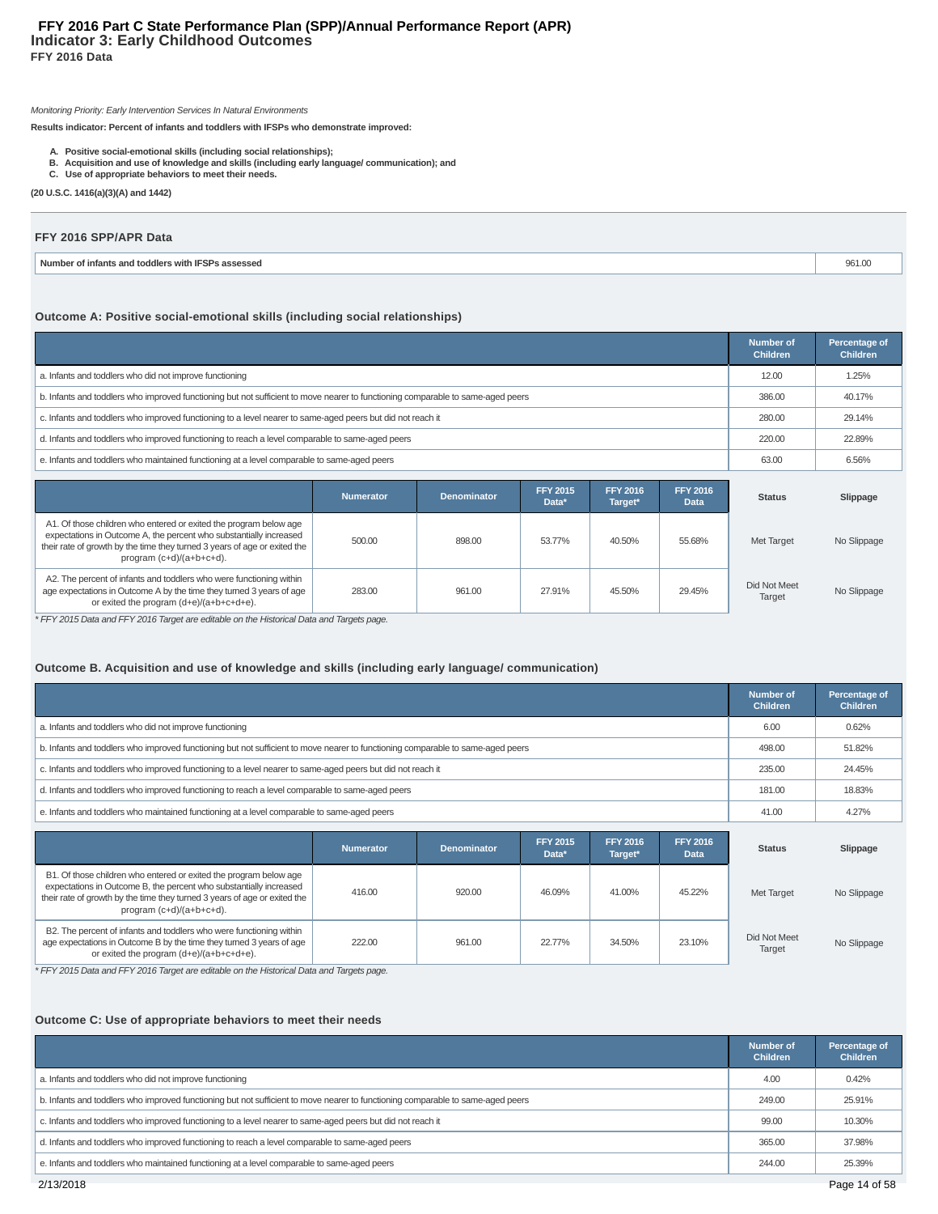## Monitoring Priority: Early Intervention Services In Natural Environments

**Results indicator: Percent of infants and toddlers with IFSPs who demonstrate improved:**

- 
- A. Positive social-emotional skills (including social relationships);<br>B. Acquisition and use of knowledge and skills (including early language/ communication); and<br>C. Use of appropriate behaviors to meet their needs.
- 
- **(20 U.S.C. 1416(a)(3)(A) and 1442)**

#### **FFY 2016 SPP/APR Data**

| Numher<br>'s assessed<br>htants and<br><b>TOOOIALS</b><br>$\sim$<br>with '<br> | ີ<br>JU HUU |
|--------------------------------------------------------------------------------|-------------|
|                                                                                |             |

# **Outcome A: Positive social-emotional skills (including social relationships)**

|                                                                                                                                 | Number of<br><b>Children</b> | Percentage of<br><b>Children</b> |
|---------------------------------------------------------------------------------------------------------------------------------|------------------------------|----------------------------------|
| a. Infants and toddlers who did not improve functioning                                                                         | 12.00                        | 1.25%                            |
| b. Infants and toddlers who improved functioning but not sufficient to move nearer to functioning comparable to same-aged peers | 386.00                       | 40.17%                           |
| c. Infants and toddlers who improved functioning to a level nearer to same-aged peers but did not reach it                      | 280.00                       | 29.14%                           |
| d. Infants and toddlers who improved functioning to reach a level comparable to same-aged peers                                 | 220.00                       | 22.89%                           |
| e. Infants and toddlers who maintained functioning at a level comparable to same-aged peers                                     | 63.00                        | 6.56%                            |

|                                                                                                                                                                                                                                                     | <b>Numerator</b> | <b>Denominator</b> | <b>FFY 2015</b><br>Data* | <b>FFY 2016</b><br>Target* | <b>FFY 2016</b><br><b>Data</b> | <b>Status</b>          | Slippage    |
|-----------------------------------------------------------------------------------------------------------------------------------------------------------------------------------------------------------------------------------------------------|------------------|--------------------|--------------------------|----------------------------|--------------------------------|------------------------|-------------|
| A1. Of those children who entered or exited the program below age<br>expectations in Outcome A, the percent who substantially increased<br>their rate of growth by the time they turned 3 years of age or exited the<br>program $(c+d)/(a+b+c+d)$ . | 500.00           | 898.00             | 53.77%                   | 40.50%                     | 55.68%                         | Met Target             | No Slippage |
| A2. The percent of infants and toddlers who were functioning within<br>age expectations in Outcome A by the time they turned 3 years of age<br>or exited the program (d+e)/(a+b+c+d+e).                                                             | 283.00           | 961.00             | 27.91%                   | 45.50%                     | 29.45%                         | Did Not Meet<br>Target | No Slippage |

\* FFY 2015 Data and FFY 2016 Target are editable on the Historical Data and Targets page.

## **Outcome B. Acquisition and use of knowledge and skills (including early language/ communication)**

|                                                                                                                                 | <b>Number of</b><br><b>Children</b> | Percentage of<br><b>Children</b> |
|---------------------------------------------------------------------------------------------------------------------------------|-------------------------------------|----------------------------------|
| a. Infants and toddlers who did not improve functioning                                                                         | 6.00                                | 0.62%                            |
| b. Infants and toddlers who improved functioning but not sufficient to move nearer to functioning comparable to same-aged peers | 498.00                              | 51.82%                           |
| c. Infants and toddlers who improved functioning to a level nearer to same-aged peers but did not reach it                      | 235.00                              | 24.45%                           |
| d. Infants and toddlers who improved functioning to reach a level comparable to same-aged peers                                 | 181.00                              | 18.83%                           |
| e. Infants and toddlers who maintained functioning at a level comparable to same-aged peers                                     | 41.00                               | 4.27%                            |

|                                                                                                                                                                                                                                                     | <b>Numerator</b> | <b>Denominator</b> | <b>FFY 2015</b><br>Data* | <b>FFY 2016</b><br>Target* | <b>FFY 2016</b><br><b>Data</b> | <b>Status</b>          | Slippage    |
|-----------------------------------------------------------------------------------------------------------------------------------------------------------------------------------------------------------------------------------------------------|------------------|--------------------|--------------------------|----------------------------|--------------------------------|------------------------|-------------|
| B1. Of those children who entered or exited the program below age<br>expectations in Outcome B, the percent who substantially increased<br>their rate of growth by the time they turned 3 years of age or exited the<br>program $(c+d)/(a+b+c+d)$ . | 416.00           | 920.00             | 46.09%                   | 41.00%                     | 45.22%                         | Met Target             | No Slippage |
| B2. The percent of infants and toddlers who were functioning within<br>age expectations in Outcome B by the time they turned 3 years of age<br>or exited the program (d+e)/(a+b+c+d+e).                                                             | 222.00           | 961.00             | 22.77%                   | 34.50%                     | 23.10%                         | Did Not Meet<br>Target | No Slippage |

\* FFY 2015 Data and FFY 2016 Target are editable on the Historical Data and Targets page.

# **Outcome C: Use of appropriate behaviors to meet their needs**

|                                                                                                                                 | <b>Number of</b><br><b>Children</b> | Percentage of<br><b>Children</b> |
|---------------------------------------------------------------------------------------------------------------------------------|-------------------------------------|----------------------------------|
| a. Infants and toddlers who did not improve functioning                                                                         | 4.00                                | 0.42%                            |
| b. Infants and toddlers who improved functioning but not sufficient to move nearer to functioning comparable to same-aged peers | 249.00                              | 25.91%                           |
| c. Infants and toddlers who improved functioning to a level nearer to same-aged peers but did not reach it                      | 99.00                               | 10.30%                           |
| d. Infants and toddlers who improved functioning to reach a level comparable to same-aged peers                                 | 365.00                              | 37.98%                           |
| e. Infants and toddlers who maintained functioning at a level comparable to same-aged peers                                     | 244.00                              | 25.39%                           |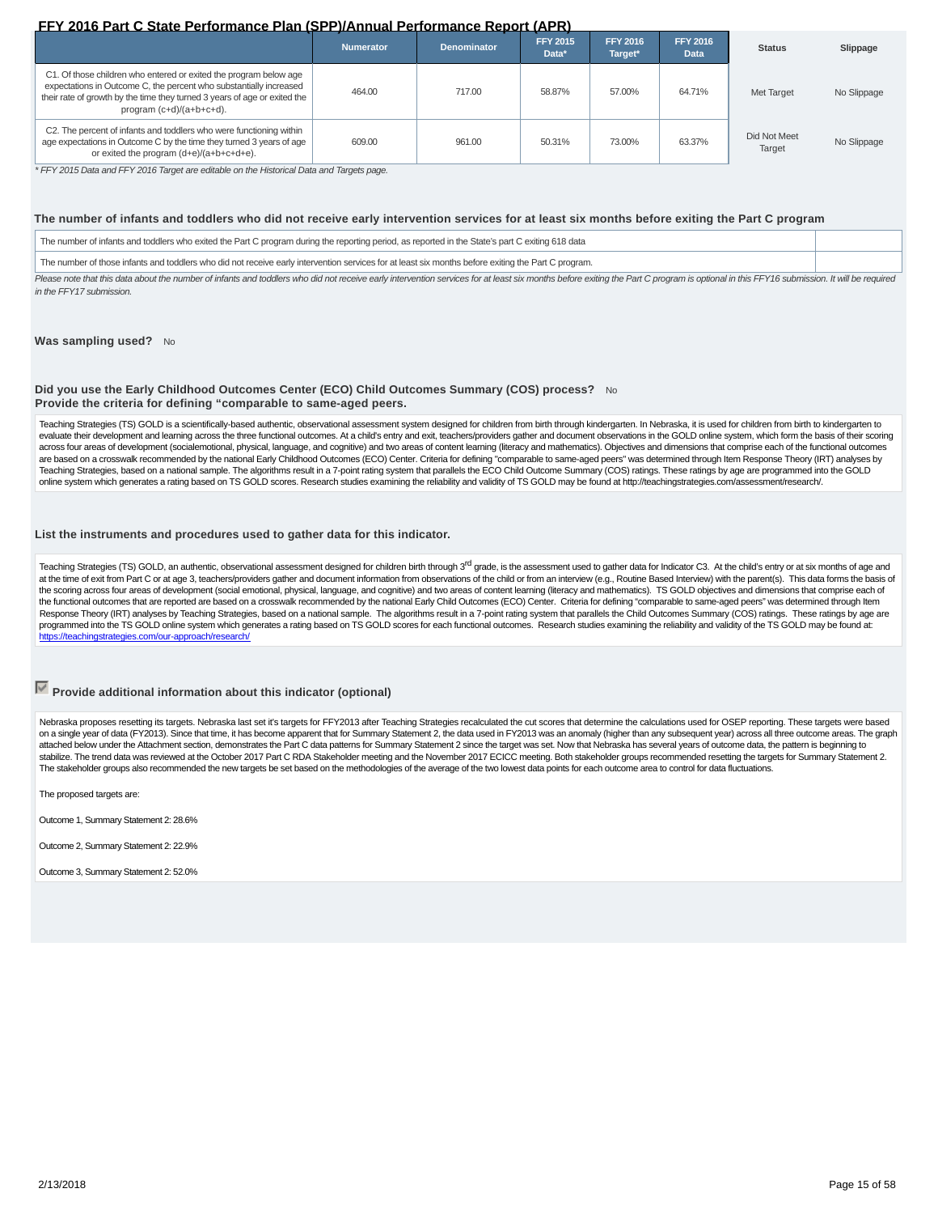# **FFY 2016 Part C State Performance Plan (SPP)/Annual Performance Report (APR)**

|                                                                                                                                                                                                                                                  | <b>Numerator</b> | <b>Denominator</b> | <b>FFY 2015</b><br>Data* | <b>FFY 2016</b><br>Target* | <b>FFY 2016</b><br><b>Data</b> | <b>Status</b>          | Slippage    |
|--------------------------------------------------------------------------------------------------------------------------------------------------------------------------------------------------------------------------------------------------|------------------|--------------------|--------------------------|----------------------------|--------------------------------|------------------------|-------------|
| C1. Of those children who entered or exited the program below age<br>expectations in Outcome C, the percent who substantially increased<br>their rate of growth by the time they turned 3 years of age or exited the<br>program (c+d)/(a+b+c+d). | 464.00           | 717.00             | 58.87%                   | 57.00%                     | 64.71%                         | Met Target             | No Slippage |
| C2. The percent of infants and toddlers who were functioning within<br>age expectations in Outcome C by the time they turned 3 years of age<br>or exited the program (d+e)/(a+b+c+d+e).                                                          | 609.00           | 961.00             | 50.31%                   | 73.00%                     | 63.37%                         | Did Not Meet<br>Target | No Slippage |

\* FFY 2015 Data and FFY 2016 Target are editable on the Historical Data and Targets page.

#### **The number of infants and toddlers who did not receive early intervention services for at least six months before exiting the Part C program**

The number of infants and toddlers who exited the Part C program during the reporting period, as reported in the State's part C exiting 618 data

The number of those infants and toddlers who did not receive early intervention services for at least six months before exiting the Part C program.

Please note that this data about the number of infants and toddlers who did not receive early intervention services for at least six months before exiting the Part C program is optional in this FFY16 submission. It will be in the FFY17 submission.

#### Was sampling used? No

#### **Did you use the Early Childhood Outcomes Center (ECO) Child Outcomes Summary (COS) process?** No **Provide the criteria for defining "comparable to same-aged peers.**

Teaching Strategies (TS) GOLD is a scientifically-based authentic, observational assessment system designed for children from birth through kindergarten. In Nebraska, it is used for children from birth to kindergarten to evaluate their development and learning across the three functional outcomes. At a child's entry and exit, teachers/providers gather and document observations in the GOLD online system, which form the basis of their scorin across four areas of development (socialemotional, physical, language, and cognitive) and two areas of content learning (literacy and mathematics). Objectives and dimensions that comprise each of the functional outcomes are based on a crosswalk recommended by the national Early Childhood Outcomes (ECO) Center. Criteria for defining "comparable to same-aged peers" was determined through Item Response Theory (IRT) analyses by Teaching Strategies, based on a national sample. The algorithms result in a 7-point rating system that parallels the ECO Child Outcome Summary (COS) ratings. These ratings by age are programmed into the GOLD online system which generates a rating based on TS GOLD scores. Research studies examining the reliability and validity of TS GOLD may be found at http://teachingstrategies.com/assessment/research/.

#### **List the instruments and procedures used to gather data for this indicator.**

Teaching Strategies (TS) GOLD, an authentic, observational assessment designed for children birth through 3<sup>rd</sup> grade, is the assessment used to gather data for Indicator C3. At the child's entry or at six months of age an at the time of exit from Part C or at age 3, teachers/providers gather and document information from observations of the child or from an interview (e.g., Routine Based Interview) with the parent(s). This data forms the ba the scoring across four areas of development (social emotional, physical, language, and cognitive) and two areas of content learning (literacy and mathematics). TS GOLD objectives and dimensions that comprise each of the functional outcomes that are reported are based on a crosswalk recommended by the national Early Child Outcomes (ECO) Center. Criteria for defining "comparable to same-aged peers" was determined through Item Response Theory (IRT) analyses by Teaching Strategies, based on a national sample. The algorithms result in a 7-point rating system that parallels the Child Outcomes Summary (COS) ratings. These ratings by age are programmed into the TS GOLD online system which generates a rating based on TS GOLD scores for each functional outcomes. Research studies examining the reliability and validity of the TS GOLD may be found at: https://teachingstrategies.com/our-approach/research/

# **Provide additional information about this indicator (optional)**

Nebraska proposes resetting its targets. Nebraska last set it's targets for FFY2013 after Teaching Strategies recalculated the cut scores that determine the calculations used for OSEP reporting. These targets were based on a single year of data (FY2013). Since that time, it has become apparent that for Summary Statement 2, the data used in FY2013 was an anomaly (higher than any subsequent year) across all three outcome areas. The graph attached below under the Attachment section, demonstrates the Part C data patterns for Summary Statement 2 since the target was set. Now that Nebraska has several years of outcome data, the pattern is beginning to stabilize. The trend data was reviewed at the October 2017 Part C RDA Stakeholder meeting and the November 2017 ECICC meeting. Both stakeholder groups recommended resetting the targets for Summary Statement 2. The stakeholder groups also recommended the new targets be set based on the methodologies of the average of the two lowest data points for each outcome area to control for data fluctuations

The proposed targets are:

Outcome 1, Summary Statement 2: 28.6%

Outcome 2, Summary Statement 2: 22.9%

Outcome 3, Summary Statement 2: 52.0%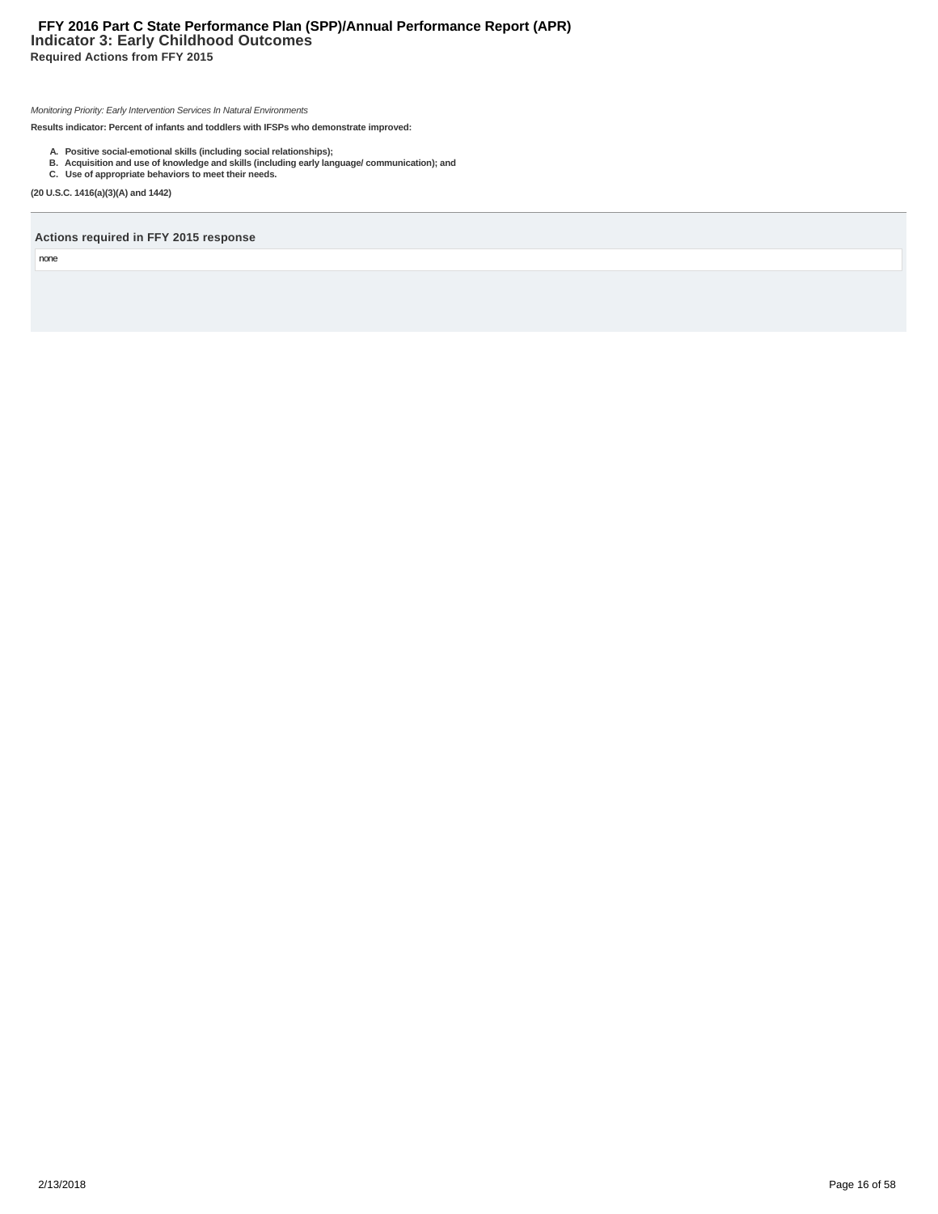# **Indicator 3: Early Childhood Outcomes Required Actions from FFY 2015 FFY 2016 Part C State Performance Plan (SPP)/Annual Performance Report (APR)**

Monitoring Priority: Early Intervention Services In Natural Environments

**Results indicator: Percent of infants and toddlers with IFSPs who demonstrate improved:**

- 
- A. Positive social-emotional skills (including social relationships);<br>B. Acquisition and use of knowledge and skills (including early language/ communication); and<br>C. Use of appropriate behaviors to meet their needs.

**(20 U.S.C. 1416(a)(3)(A) and 1442)**

#### **Actions required in FFY 2015 response**

none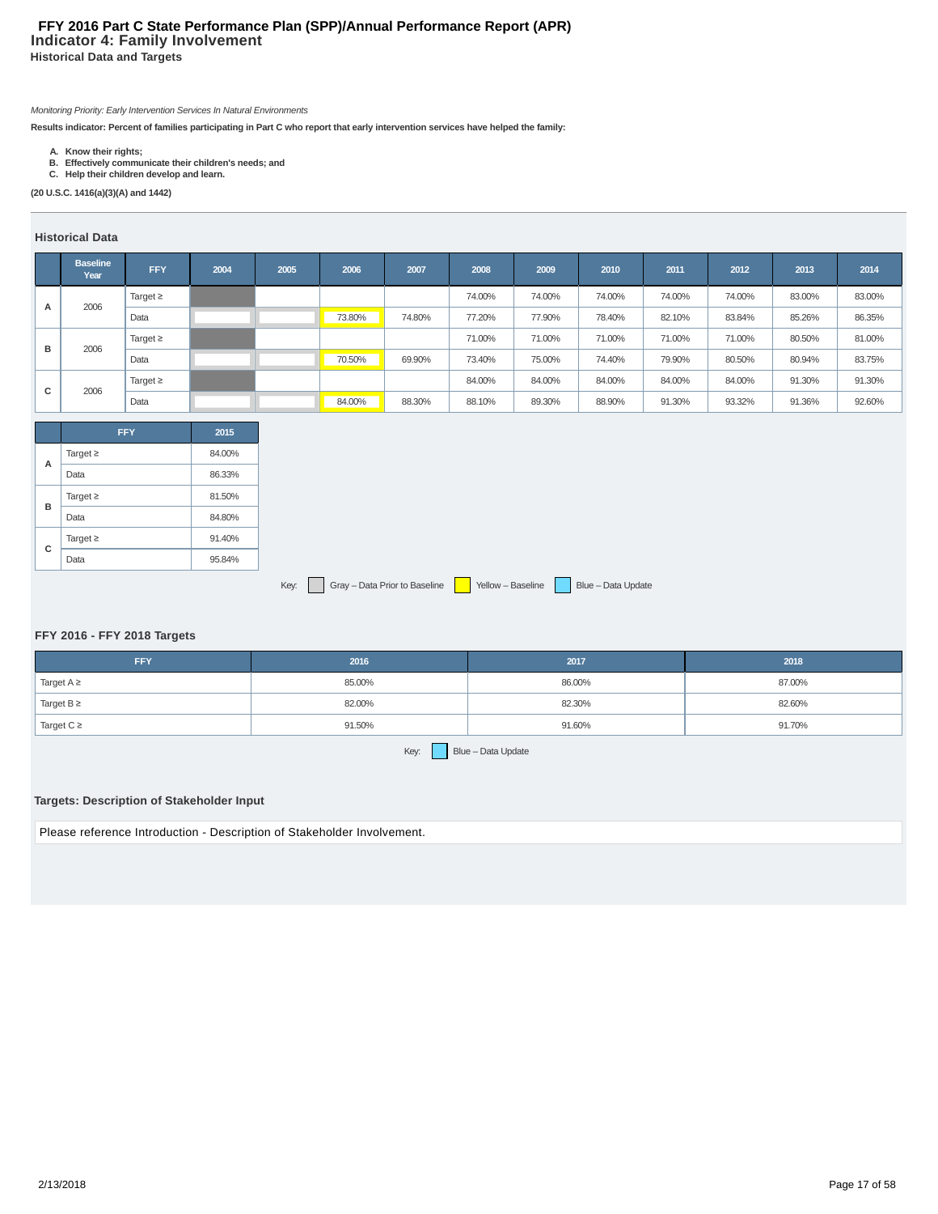# **Indicator 4: Family Involvement Historical Data and Targets FFY 2016 Part C State Performance Plan (SPP)/Annual Performance Report (APR)**

Monitoring Priority: Early Intervention Services In Natural Environments

**Results indicator: Percent of families participating in Part C who report that early intervention services have helped the family:**

- **A. Know their rights; B. Effectively communicate their children's needs; and C. Help their children develop and learn.**
- 

**(20 U.S.C. 1416(a)(3)(A) and 1442)**

# **Historical Data**

|   | <b>Baseline</b><br>Year | <b>FFY</b>    | 2004 | 2005 | 2006   | 2007   | 2008   | 2009   | 2010   | 2011   | 2012   | 2013   | 2014   |
|---|-------------------------|---------------|------|------|--------|--------|--------|--------|--------|--------|--------|--------|--------|
| A | 2006                    | Target $\geq$ |      |      |        |        | 74.00% | 74.00% | 74.00% | 74.00% | 74.00% | 83.00% | 83.00% |
|   |                         | Data          |      |      | 73.80% | 74.80% | 77.20% | 77.90% | 78.40% | 82.10% | 83.84% | 85.26% | 86.35% |
| в |                         | Target $\geq$ |      |      |        |        | 71.00% | 71.00% | 71.00% | 71.00% | 71.00% | 80.50% | 81.00% |
|   | 2006                    | Data          |      |      | 70.50% | 69.90% | 73.40% | 75.00% | 74.40% | 79.90% | 80.50% | 80.94% | 83.75% |
|   | 2006                    | Target $\geq$ |      |      |        |        | 84.00% | 84.00% | 84.00% | 84.00% | 84.00% | 91.30% | 91.30% |
| с |                         | Data          |      |      | 84.00% | 88.30% | 88.10% | 89.30% | 88.90% | 91.30% | 93.32% | 91.36% | 92.60% |

|   | <b>FFY</b>    | 2015   |
|---|---------------|--------|
| A | Target $\geq$ | 84.00% |
|   | Data          | 86.33% |
|   | Target $\geq$ | 81.50% |
| в | Data          | 84.80% |
| C | Target $\geq$ | 91.40% |
|   | Data          | 95.84% |

Key: Gray – Data Prior to Baseline Yellow – Baseline Blue – Data Update

# **FFY 2016 - FFY 2018 Targets**

| <b>FFY</b>              | 2016   | 2017   | 2018   |
|-------------------------|--------|--------|--------|
| <sup>1</sup> Target A ≥ | 85.00% | 86.00% | 87.00% |
| Target $B \geq$         | 82.00% | 82.30% | 82.60% |
| Target $C \geq$         | 91.50% | 91.60% | 91.70% |

Key: Blue – Data Update

## **Targets: Description of Stakeholder Input**

Please reference Introduction - Description of Stakeholder Involvement.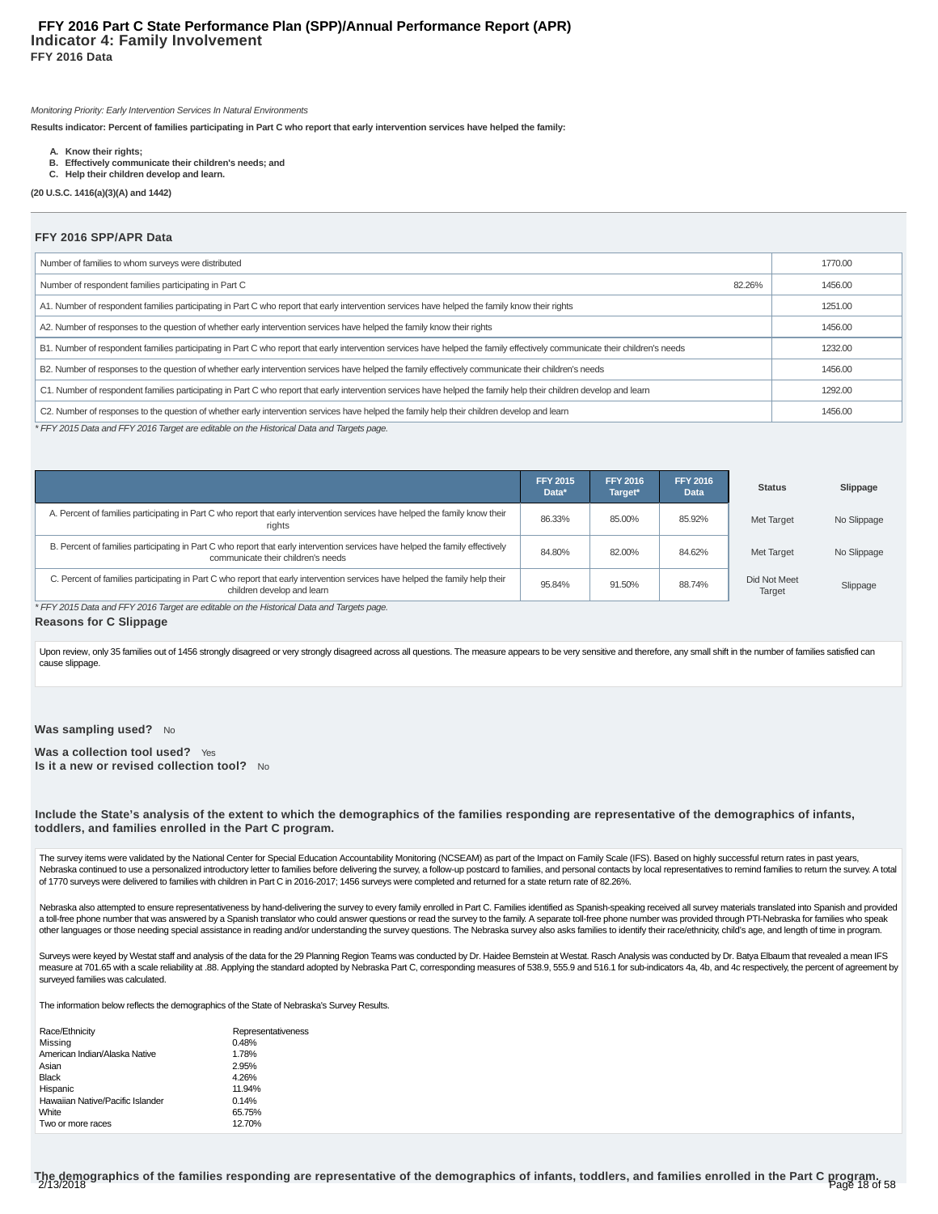#### **Indicator 4: Family Involvement FFY 2016 Data FFY 2016 Part C State Performance Plan (SPP)/Annual Performance Report (APR)**

Monitoring Priority: Early Intervention Services In Natural Environments

**Results indicator: Percent of families participating in Part C who report that early intervention services have helped the family:**

- **A. Know their rights;**
- **B. Effectively communicate their children's needs; and**
- **C. Help their children develop and learn.**

**(20 U.S.C. 1416(a)(3)(A) and 1442)**

#### **FFY 2016 SPP/APR Data**

| Number of families to whom surveys were distributed                                                                                                                         | 1770.00 |
|-----------------------------------------------------------------------------------------------------------------------------------------------------------------------------|---------|
| Number of respondent families participating in Part C<br>82.26%                                                                                                             | 1456.00 |
| A1. Number of respondent families participating in Part C who report that early intervention services have helped the family know their rights                              | 1251.00 |
| A2. Number of responses to the question of whether early intervention services have helped the family know their rights                                                     | 1456.00 |
| B1. Number of respondent families participating in Part C who report that early intervention services have helped the family effectively communicate their children's needs | 1232.00 |
| B2. Number of responses to the question of whether early intervention services have helped the family effectively communicate their children's needs                        | 1456.00 |
| C1. Number of respondent families participating in Part C who report that early intervention services have helped the family help their children develop and learn          | 1292.00 |
| C2. Number of responses to the question of whether early intervention services have helped the family help their children develop and learn                                 | 1456.00 |

\* FFY 2015 Data and FFY 2016 Target are editable on the Historical Data and Targets page.

|                                                                                                                                                                     | <b>FFY 2015</b><br>Data* | <b>FFY 2016</b><br>Target* | <b>FFY 2016</b><br>Data | <b>Status</b>          | Slippage    |
|---------------------------------------------------------------------------------------------------------------------------------------------------------------------|--------------------------|----------------------------|-------------------------|------------------------|-------------|
| A. Percent of families participating in Part C who report that early intervention services have helped the family know their<br>rights                              | 86.33%                   | 85.00%                     | 85.92%                  | Met Target             | No Slippage |
| B. Percent of families participating in Part C who report that early intervention services have helped the family effectively<br>communicate their children's needs | 84.80%                   | 82.00%                     | 84.62%                  | Met Target             | No Slippage |
| C. Percent of families participating in Part C who report that early intervention services have helped the family help their<br>children develop and learn          | 95.84%                   | 91.50%                     | 88.74%                  | Did Not Meet<br>Target | Slippage    |

\* FFY 2015 Data and FFY 2016 Target are editable on the Historical Data and Targets page.

#### **Reasons for C Slippage**

Upon review, only 35 families out of 1456 strongly disagreed or very strongly disagreed across all questions. The measure appears to be very sensitive and therefore, any small shift in the number of families satisfied can cause slippage.

#### Was sampling used? No

Was a collection tool used? Yes **Is it a new or revised collection tool?** No

**Include the State's analysis of the extent to which the demographics of the families responding are representative of the demographics of infants, toddlers, and families enrolled in the Part C program.**

The survey items were validated by the National Center for Special Education Accountability Monitoring (NCSEAM) as part of the Impact on Family Scale (IFS). Based on highly successful return rates in past years, Nebraska continued to use a personalized introductory letter to families before delivering the survey, a follow-up postcard to families, and personal contacts by local representatives to remind families to return the surve of 1770 surveys were delivered to families with children in Part C in 2016-2017; 1456 surveys were completed and returned for a state return rate of 82.26%.

Nebraska also attempted to ensure representativeness by hand-delivering the survey to every family enrolled in Part C. Families identified as Spanish-speaking received all survey materials translated into Spanish and provi a toll-free phone number that was answered by a Spanish translator who could answer questions or read the survey to the family. A separate toll-free phone number was provided through PTI-Nebraska for families who speak other languages or those needing special assistance in reading and/or understanding the survey questions. The Nebraska survey also asks families to identify their race/ethnicity, child's age, and length of time in program.

Surveys were keyed by Westat staff and analysis of the data for the 29 Planning Region Teams was conducted by Dr. Haidee Bernstein at Westat. Rasch Analysis was conducted by Dr. Batya Elbaum that revealed a mean IFS measure at 701.65 with a scale reliability at .88. Applying the standard adopted by Nebraska Part C, corresponding measures of 538.9, 555.9 and 516.1 for sub-indicators 4a, 4b, and 4c respectively, the percent of agreement surveyed families was calculated.

The information below reflects the demographics of the State of Nebraska's Survey Results.

| Race/Ethnicity                   | Representativeness |
|----------------------------------|--------------------|
| Missing                          | 0.48%              |
| American Indian/Alaska Native    | 1.78%              |
| Asian                            | 2.95%              |
| <b>Black</b>                     | 4.26%              |
| Hispanic                         | 11.94%             |
| Hawaiian Native/Pacific Islander | 0.14%              |
| White                            | 65.75%             |
| Two or more races                | 12.70%             |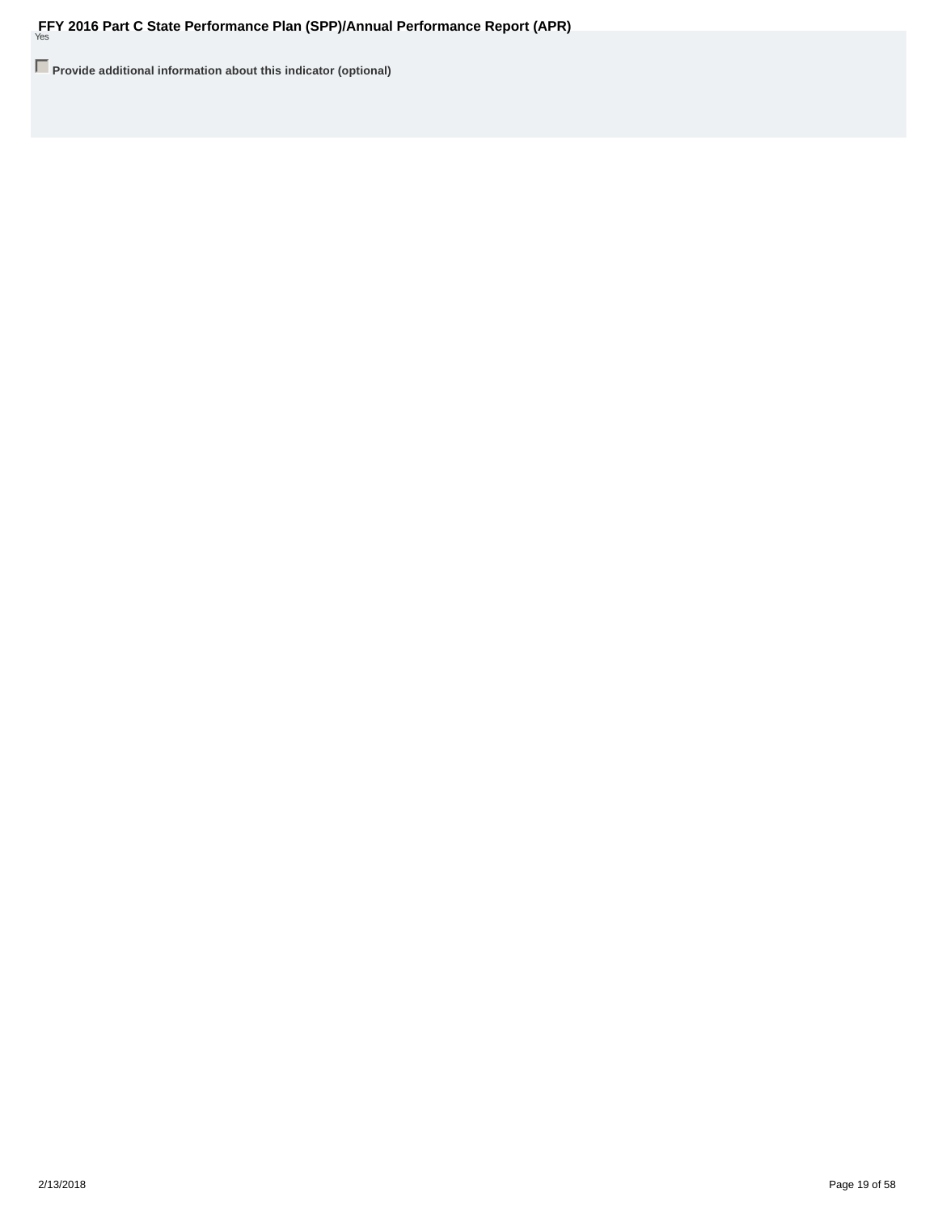**Provide additional information about this indicator (optional)**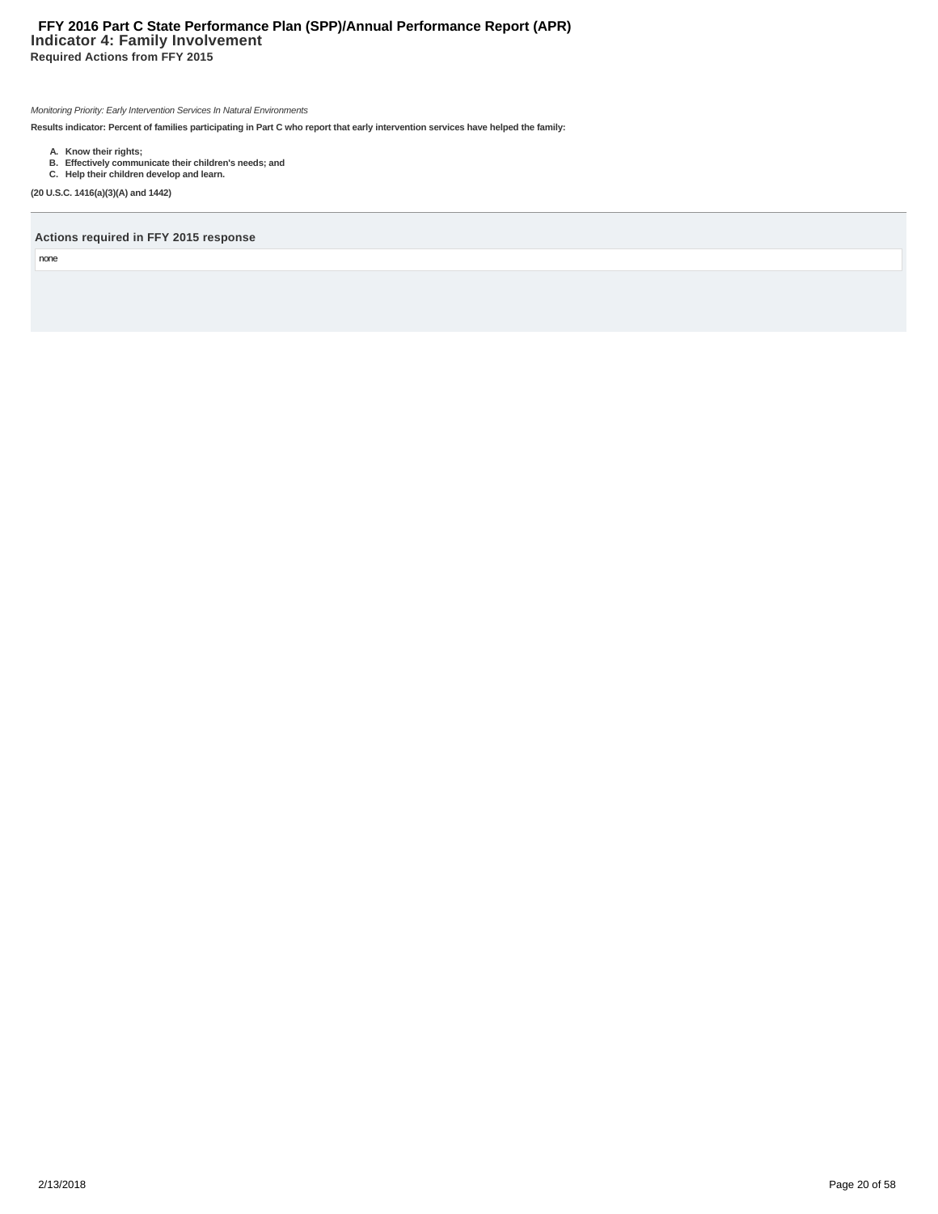# **Indicator 4: Family Involvement Required Actions from FFY 2015 FFY 2016 Part C State Performance Plan (SPP)/Annual Performance Report (APR)**

Monitoring Priority: Early Intervention Services In Natural Environments

**Results indicator: Percent of families participating in Part C who report that early intervention services have helped the family:**

- 
- **A. Know their rights; B. Effectively communicate their children's needs; and C. Help their children develop and learn.**

**(20 U.S.C. 1416(a)(3)(A) and 1442)**

**Actions required in FFY 2015 response**

none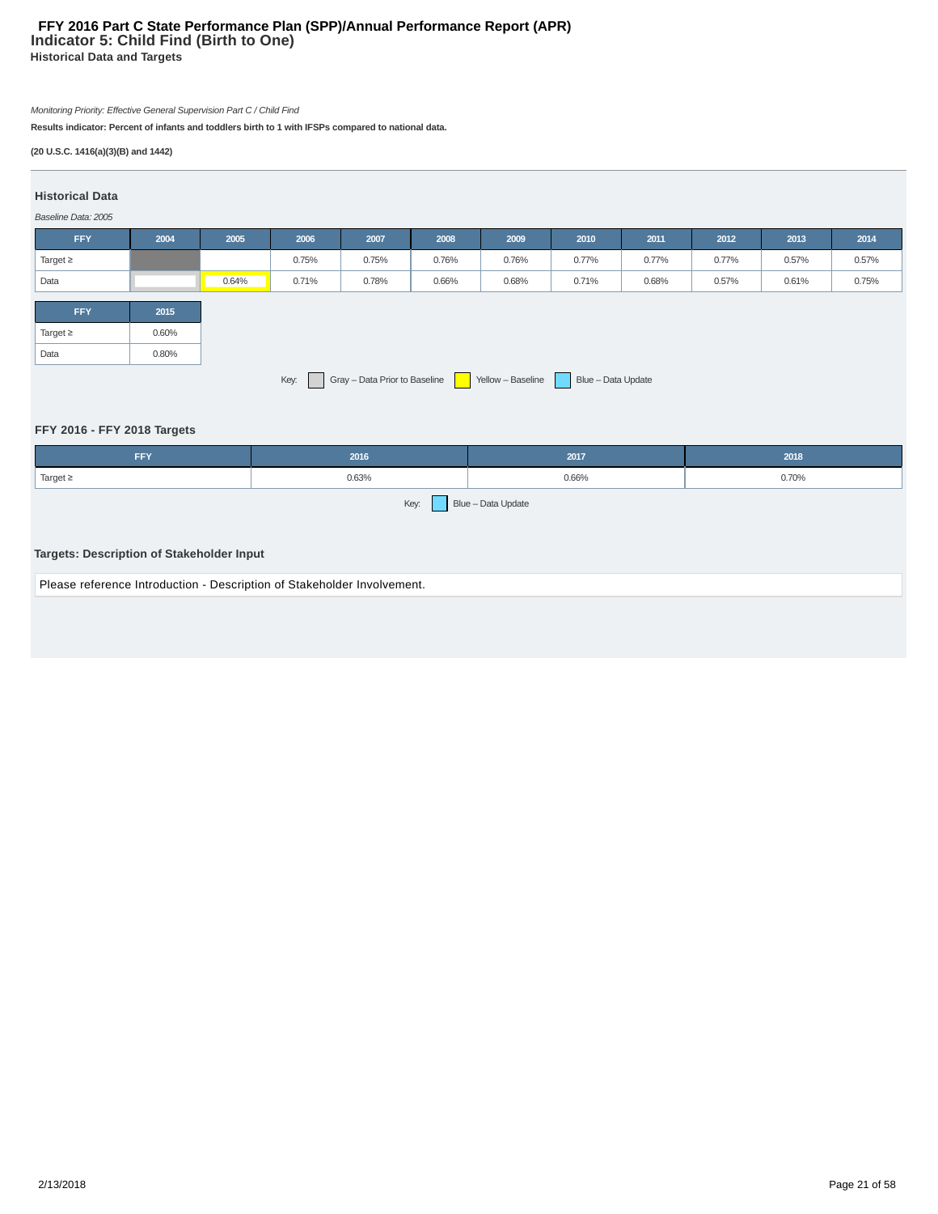# **Indicator 5: Child Find (Birth to One) Historical Data and Targets FFY 2016 Part C State Performance Plan (SPP)/Annual Performance Report (APR)**

# Monitoring Priority: Effective General Supervision Part C / Child Find

**Results indicator: Percent of infants and toddlers birth to 1 with IFSPs compared to national data.**

# **(20 U.S.C. 1416(a)(3)(B) and 1442)**

# **Historical Data**

# Baseline Data: 2005

| <b>FFY</b>                                                              | 2004  | 2005  | 2006  | 2007  | 2008  | 2009  | 2010  | 2011  | 2012  | 2013  | 2014  |
|-------------------------------------------------------------------------|-------|-------|-------|-------|-------|-------|-------|-------|-------|-------|-------|
| Target $\geq$                                                           |       |       | 0.75% | 0.75% | 0.76% | 0.76% | 0.77% | 0.77% | 0.77% | 0.57% | 0.57% |
| Data                                                                    |       | 0.64% | 0.71% | 0.78% | 0.66% | 0.68% | 0.71% | 0.68% | 0.57% | 0.61% | 0.75% |
|                                                                         |       |       |       |       |       |       |       |       |       |       |       |
| <b>FFY</b>                                                              | 2015  |       |       |       |       |       |       |       |       |       |       |
| Target $\geq$                                                           | 0.60% |       |       |       |       |       |       |       |       |       |       |
| Data                                                                    | 0.80% |       |       |       |       |       |       |       |       |       |       |
| Key: Gray - Data Prior to Baseline Yellow - Baseline Blue - Data Update |       |       |       |       |       |       |       |       |       |       |       |

# **FFY 2016 - FFY 2018 Targets**

| <b>FFY</b>                                                              | 2016                                                                    | 2017  | 2018  |  |  |  |  |  |  |
|-------------------------------------------------------------------------|-------------------------------------------------------------------------|-------|-------|--|--|--|--|--|--|
| Target $\geq$                                                           | 0.63%                                                                   | 0.66% | 0.70% |  |  |  |  |  |  |
|                                                                         | Blue - Data Update<br>Key:<br>Targets: Description of Stakeholder Input |       |       |  |  |  |  |  |  |
| Please reference Introduction - Description of Stakeholder Involvement. |                                                                         |       |       |  |  |  |  |  |  |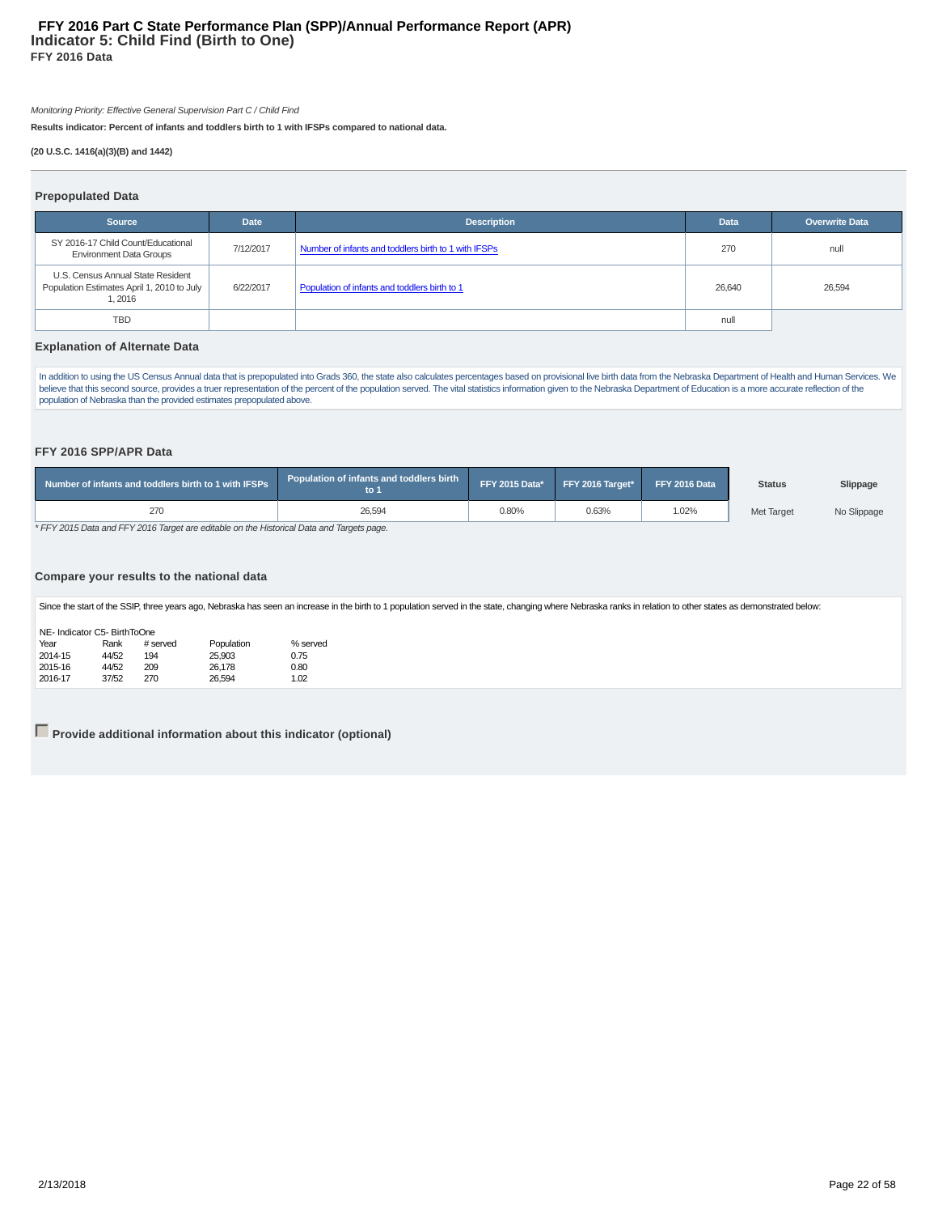## **Indicator 5: Child Find (Birth to One) FFY 2016 Data FFY 2016 Part C State Performance Plan (SPP)/Annual Performance Report (APR)**

Monitoring Priority: Effective General Supervision Part C / Child Find

**Results indicator: Percent of infants and toddlers birth to 1 with IFSPs compared to national data.**

#### **(20 U.S.C. 1416(a)(3)(B) and 1442)**

#### **Prepopulated Data**

| .                                                                                          |             |                                                      |             |                       |
|--------------------------------------------------------------------------------------------|-------------|------------------------------------------------------|-------------|-----------------------|
| <b>Source</b>                                                                              | <b>Date</b> | <b>Description</b>                                   | <b>Data</b> | <b>Overwrite Data</b> |
| SY 2016-17 Child Count/Educational<br><b>Environment Data Groups</b>                       | 7/12/2017   | Number of infants and toddlers birth to 1 with IFSPs | 270         | null                  |
| U.S. Census Annual State Resident<br>Population Estimates April 1, 2010 to July<br>l. 2016 | 6/22/2017   | Population of infants and toddlers birth to 1        | 26.640      | 26,594                |
| <b>TBD</b>                                                                                 |             |                                                      | null        |                       |

#### **Explanation of Alternate Data**

In addition to using the US Census Annual data that is prepopulated into Grads 360, the state also calculates percentages based on provisional live birth data from the Nebraska Department of Health and Human Services. We believe that this second source, provides a truer representation of the percent of the population served. The vital statistics information given to the Nebraska Department of Education is a more accurate reflection of the population of Nebraska than the provided estimates prepopulated above.

#### **FFY 2016 SPP/APR Data**

| Number of infants and toddlers birth to 1 with IFSPs | <b>Population of infants and toddlers birth</b><br>rto 1 |       | FFY 2015 Data* FFY 2016 Target* FFY 2016 Data |       | <b>Status</b>     | Slippage    |
|------------------------------------------------------|----------------------------------------------------------|-------|-----------------------------------------------|-------|-------------------|-------------|
| 270                                                  | 26,594                                                   | 0.80% | 0.63%                                         | 1.02% | <b>Met Target</b> | No Slippage |

\* FFY 2015 Data and FFY 2016 Target are editable on the Historical Data and Targets page.

#### **Compare your results to the national data**

Since the start of the SSIP, three years ago, Nebraska has seen an increase in the birth to 1 population served in the state, changing where Nebraska ranks in relation to other states as demonstrated below:

| NE- Indicator C5- BirthToOne |       |          |            |          |  |  |  |  |  |
|------------------------------|-------|----------|------------|----------|--|--|--|--|--|
| Year                         | Rank  | # served | Population | % served |  |  |  |  |  |
| 2014-15                      | 44/52 | 194      | 25,903     | 0.75     |  |  |  |  |  |
| 2015-16                      | 44/52 | 209      | 26.178     | 0.80     |  |  |  |  |  |
| 2016-17                      | 37/52 | 270      | 26.594     | 1.02     |  |  |  |  |  |

**Provide additional information about this indicator (optional)**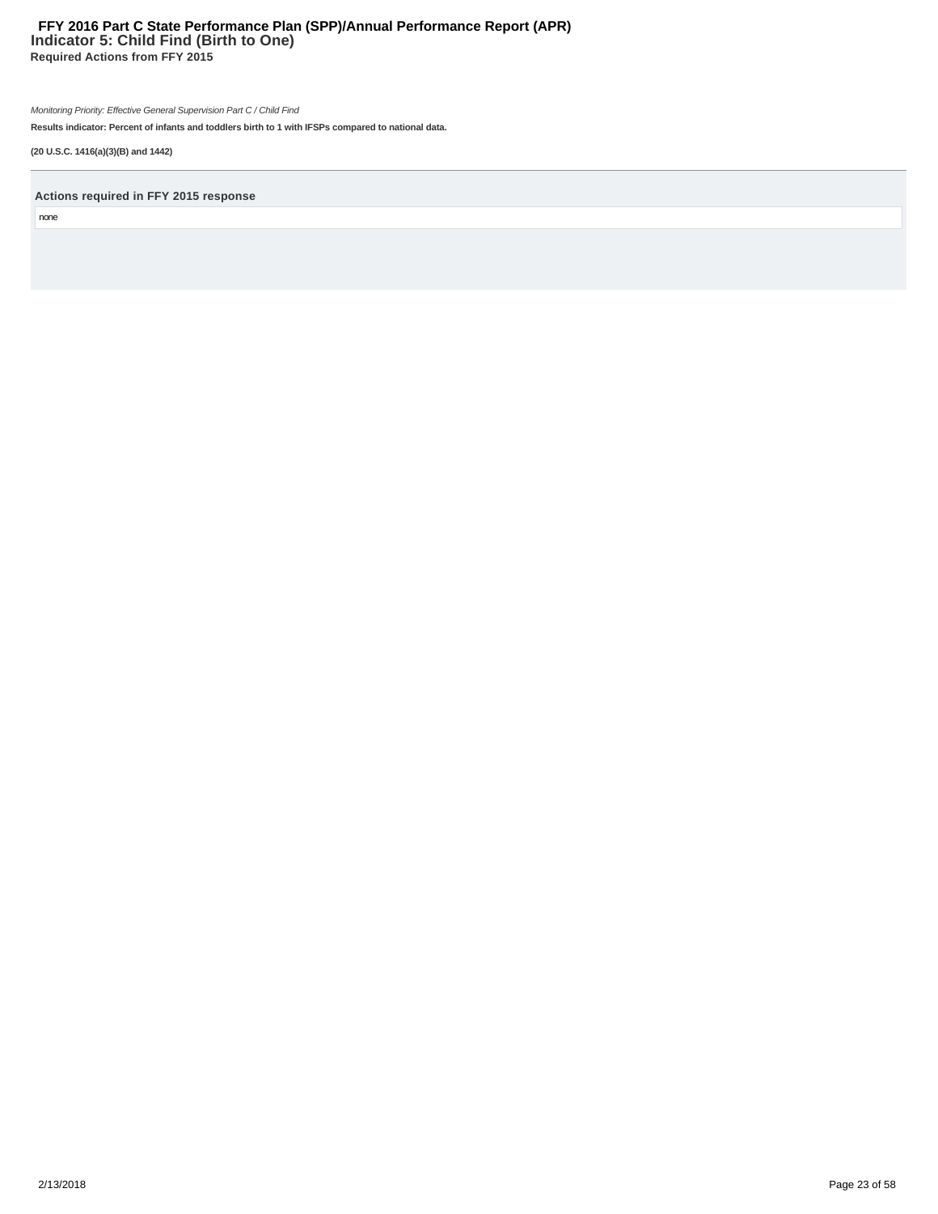# **Indicator 5: Child Find (Birth to One) Required Actions from FFY 2015 FFY 2016 Part C State Performance Plan (SPP)/Annual Performance Report (APR)**

Monitoring Priority: Effective General Supervision Part C / Child Find

**Results indicator: Percent of infants and toddlers birth to 1 with IFSPs compared to national data.**

**(20 U.S.C. 1416(a)(3)(B) and 1442)**

**Actions required in FFY 2015 response**

none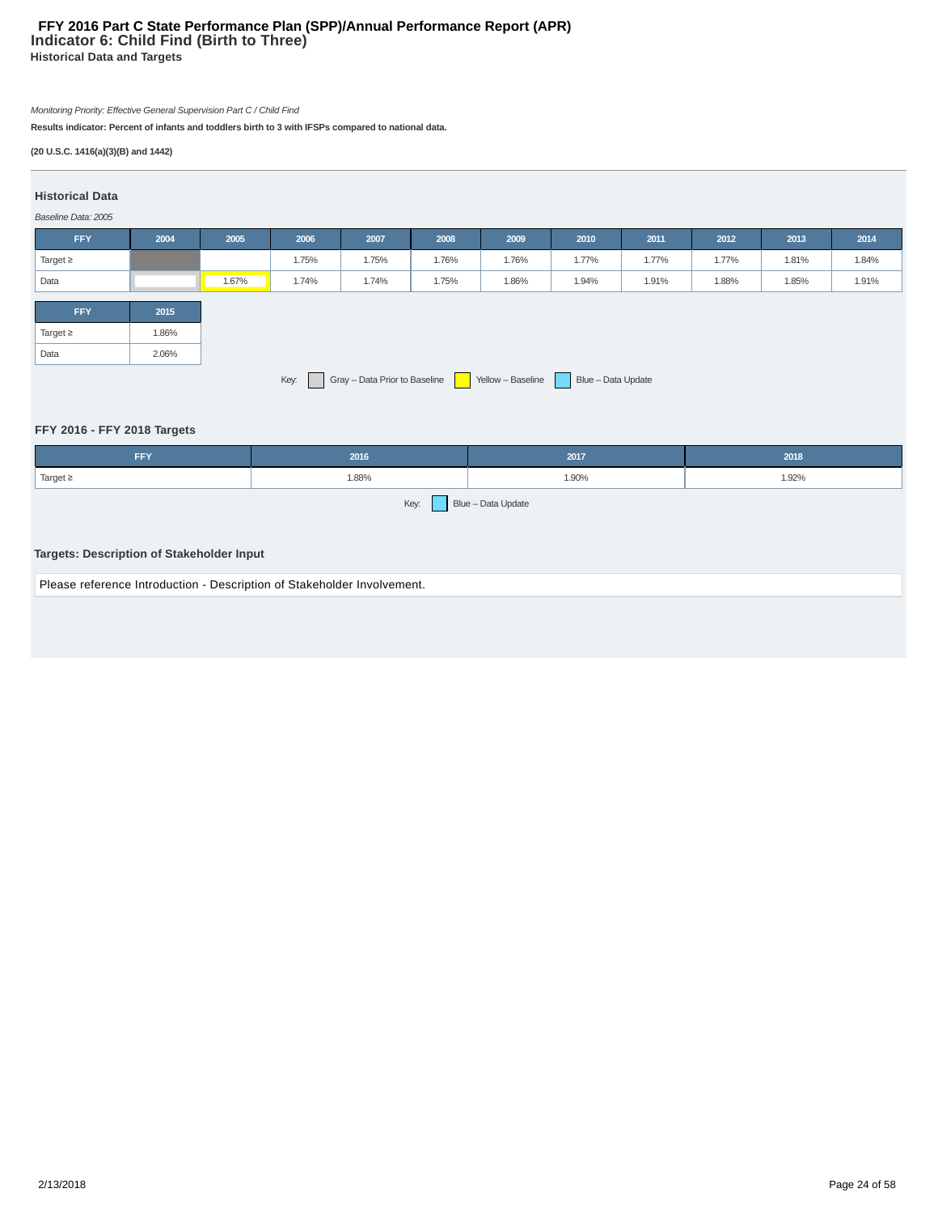# **Indicator 6: Child Find (Birth to Three) Historical Data and Targets FFY 2016 Part C State Performance Plan (SPP)/Annual Performance Report (APR)**

# Monitoring Priority: Effective General Supervision Part C / Child Find

**Results indicator: Percent of infants and toddlers birth to 3 with IFSPs compared to national data.**

# **(20 U.S.C. 1416(a)(3)(B) and 1442)**

# **Historical Data**

# Baseline Data: 2005

| $2000$ $m1$ $m2$ $m3$ $m4$ $m5$ $m6$ |       |       |       |       |       |       |       |       |       |       |       |
|--------------------------------------|-------|-------|-------|-------|-------|-------|-------|-------|-------|-------|-------|
| <b>FFY</b>                           | 2004  | 2005  | 2006  | 2007  | 2008  | 2009  | 2010  | 2011  | 2012  | 2013  | 2014  |
| Target $\geq$                        |       |       | 1.75% | 1.75% | 1.76% | 1.76% | 1.77% | 1.77% | 1.77% | 1.81% | 1.84% |
| Data                                 |       | 1.67% | 1.74% | 1.74% | 1.75% | 1.86% | 1.94% | 1.91% | 1.88% | 1.85% | 1.91% |
|                                      |       |       |       |       |       |       |       |       |       |       |       |
| <b>FFY</b>                           | 2015  |       |       |       |       |       |       |       |       |       |       |
| Target $\geq$                        | 1.86% |       |       |       |       |       |       |       |       |       |       |
| Data                                 | 2.06% |       |       |       |       |       |       |       |       |       |       |
| Key:                                 |       |       |       |       |       |       |       |       |       |       |       |

# **FFY 2016 - FFY 2018 Targets**

| 2016<br><b>FFY</b>                                                      |       | 2017               | 2018  |  |  |  |  |
|-------------------------------------------------------------------------|-------|--------------------|-------|--|--|--|--|
| Target $\geq$                                                           | 1.88% | 1.90%              | 1.92% |  |  |  |  |
| Targets: Description of Stakeholder Input                               | Key:  | Blue - Data Update |       |  |  |  |  |
| Please reference Introduction - Description of Stakeholder Involvement. |       |                    |       |  |  |  |  |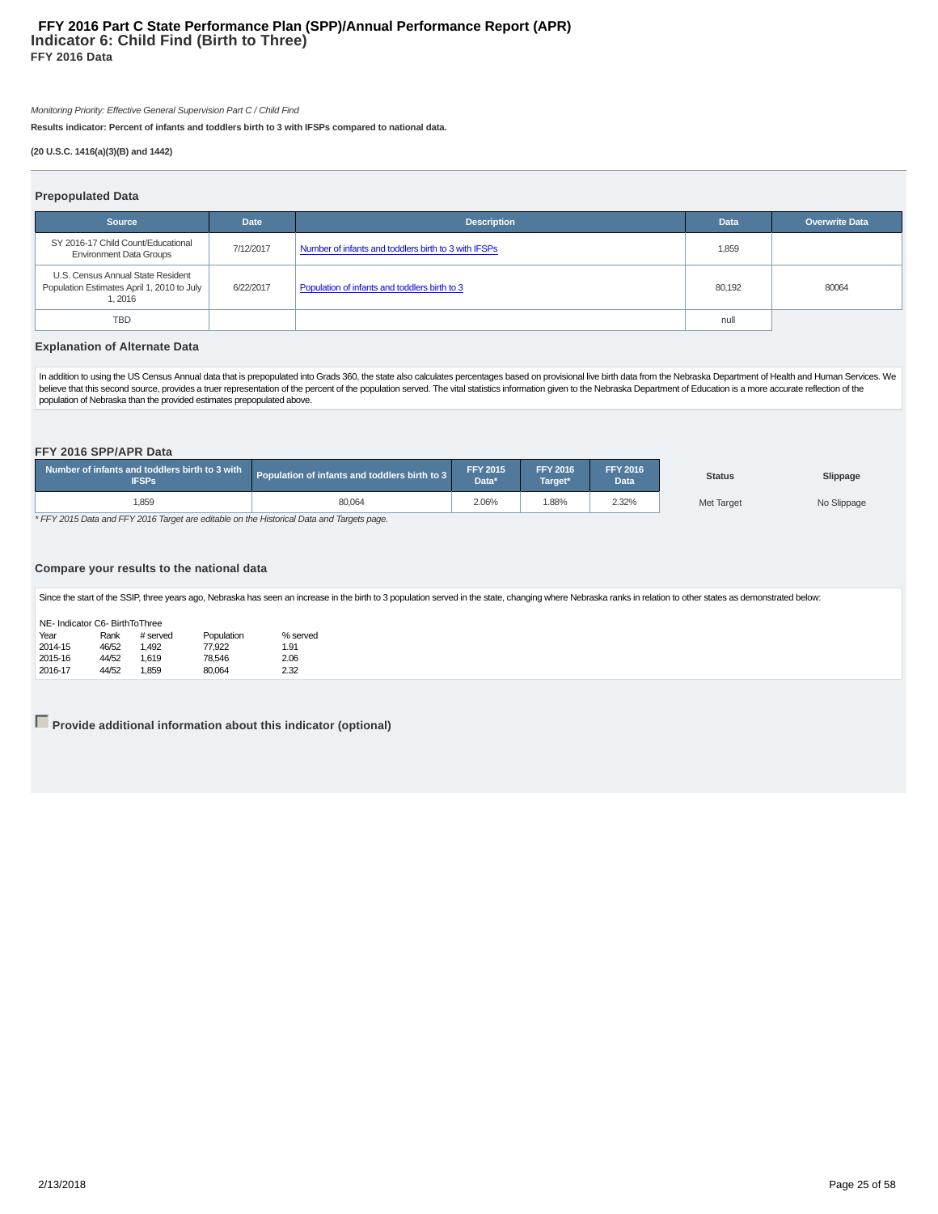## **Indicator 6: Child Find (Birth to Three) FFY 2016 Data FFY 2016 Part C State Performance Plan (SPP)/Annual Performance Report (APR)**

Monitoring Priority: Effective General Supervision Part C / Child Find

**Results indicator: Percent of infants and toddlers birth to 3 with IFSPs compared to national data.**

#### **(20 U.S.C. 1416(a)(3)(B) and 1442)**

#### **Prepopulated Data**

| .                                                                                         |             |                                                      |             |                       |
|-------------------------------------------------------------------------------------------|-------------|------------------------------------------------------|-------------|-----------------------|
| <b>Source</b>                                                                             | <b>Date</b> | <b>Description</b>                                   | <b>Data</b> | <b>Overwrite Data</b> |
| SY 2016-17 Child Count/Educational<br><b>Environment Data Groups</b>                      | 7/12/2017   | Number of infants and toddlers birth to 3 with IFSPs | 1,859       |                       |
| U.S. Census Annual State Resident<br>Population Estimates April 1, 2010 to July<br>1.2016 | 6/22/2017   | Population of infants and toddlers birth to 3        | 80.192      | 80064                 |
| <b>TBD</b>                                                                                |             |                                                      | null        |                       |

#### **Explanation of Alternate Data**

In addition to using the US Census Annual data that is prepopulated into Grads 360, the state also calculates percentages based on provisional live birth data from the Nebraska Department of Health and Human Services. We believe that this second source, provides a truer representation of the percent of the population served. The vital statistics information given to the Nebraska Department of Education is a more accurate reflection of the population of Nebraska than the provided estimates prepopulated above.

#### **FFY 2016 SPP/APR Data**

| Number of infants and toddlers birth to 3 with<br><b>IFSPs</b> | Population of infants and toddlers birth to 3 | <b>FFY 2015</b><br>Data* | <b>FFY 2016</b><br>Tarαet* | <b>FFY 2016</b><br>Data <sup>'</sup> | <b>Status</b> | Slippage    |
|----------------------------------------------------------------|-----------------------------------------------|--------------------------|----------------------------|--------------------------------------|---------------|-------------|
| 859,                                                           | 80,064                                        | 2.06%                    | .88%                       | 2.32%                                | Met Target    | No Slippage |

\* FFY 2015 Data and FFY 2016 Target are editable on the Historical Data and Targets page.

#### **Compare your results to the national data**

Since the start of the SSIP, three years ago, Nebraska has seen an increase in the birth to 3 population served in the state, changing where Nebraska ranks in relation to other states as demonstrated below:

| NE- Indicator C6- BirthToThree |         |       |          |            |          |  |  |  |  |
|--------------------------------|---------|-------|----------|------------|----------|--|--|--|--|
|                                | Year    | Rank  | # served | Population | % served |  |  |  |  |
|                                | 2014-15 | 46/52 | 1.492    | 77,922     | 1.91     |  |  |  |  |
|                                | 2015-16 | 44/52 | 1.619    | 78.546     | 2.06     |  |  |  |  |
|                                | 2016-17 | 44/52 | 1.859    | 80.064     | 2.32     |  |  |  |  |

**Provide additional information about this indicator (optional)**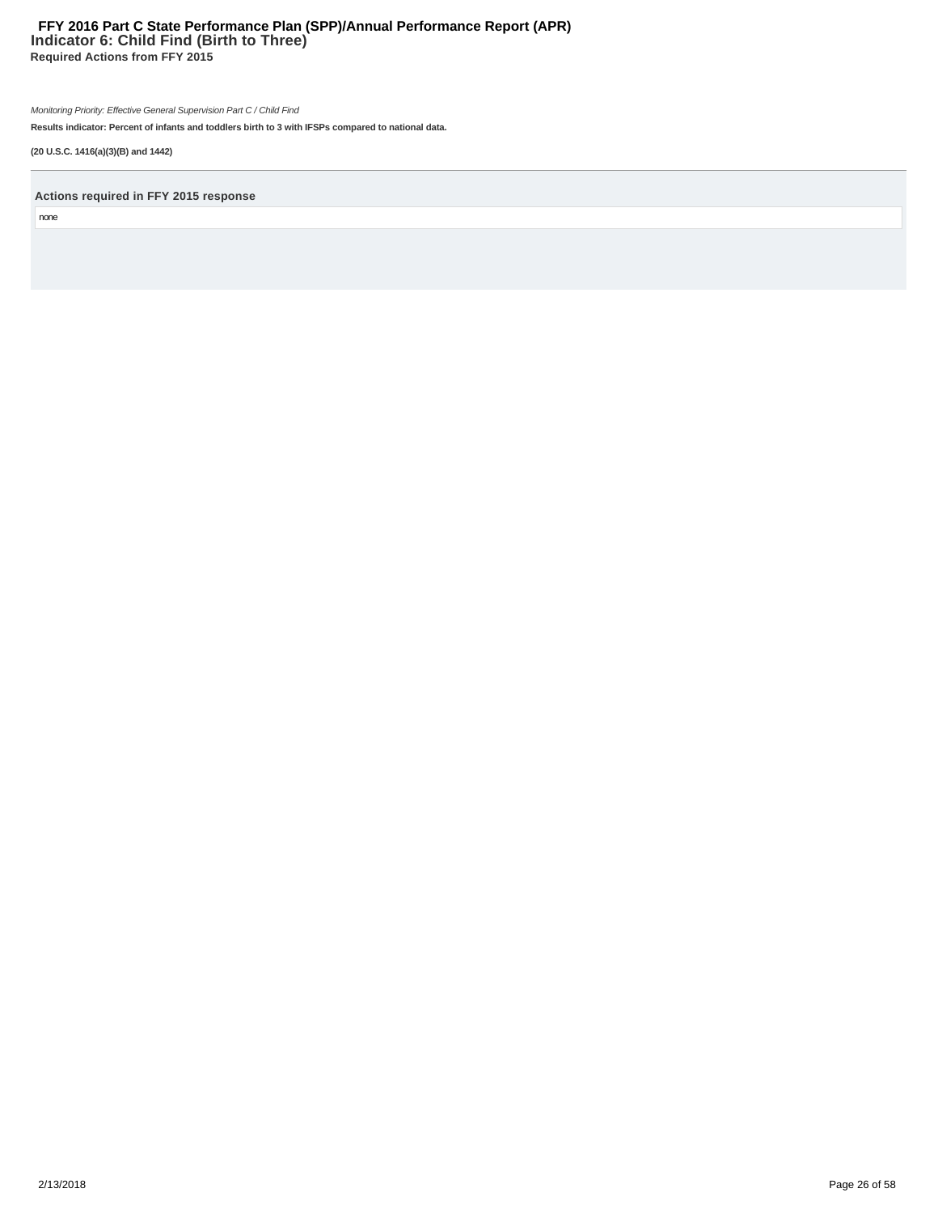# **Indicator 6: Child Find (Birth to Three) Required Actions from FFY 2015 FFY 2016 Part C State Performance Plan (SPP)/Annual Performance Report (APR)**

Monitoring Priority: Effective General Supervision Part C / Child Find

**Results indicator: Percent of infants and toddlers birth to 3 with IFSPs compared to national data.**

**(20 U.S.C. 1416(a)(3)(B) and 1442)**

**Actions required in FFY 2015 response**

none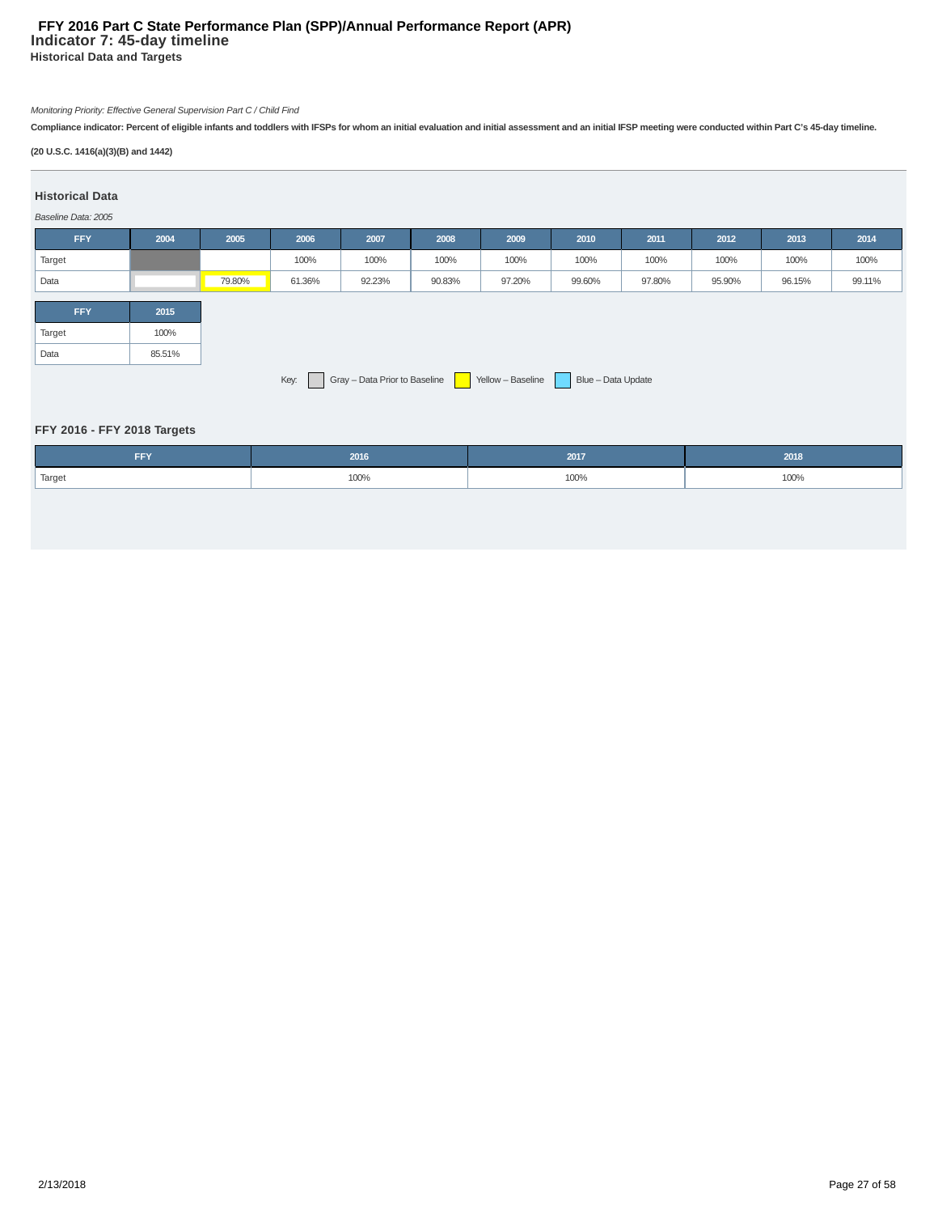# **Indicator 7: 45-day timeline Historical Data and Targets FFY 2016 Part C State Performance Plan (SPP)/Annual Performance Report (APR)**

# Monitoring Priority: Effective General Supervision Part C / Child Find

**Compliance indicator: Percent of eligible infants and toddlers with IFSPs for whom an initial evaluation and initial assessment and an initial IFSP meeting were conducted within Part C's 45-day timeline.**

# **(20 U.S.C. 1416(a)(3)(B) and 1442)**

# **Historical Data**

#### Baseline Data: 2005

| <b>FFY</b>                                                                       | 2004   | 2005   | 2006   | 2007   | 2008   | 2009   | 2010   | 2011   | 2012   | 2013   | 2014   |
|----------------------------------------------------------------------------------|--------|--------|--------|--------|--------|--------|--------|--------|--------|--------|--------|
| Target                                                                           |        |        | 100%   | 100%   | 100%   | 100%   | 100%   | 100%   | 100%   | 100%   | 100%   |
| Data                                                                             |        | 79.80% | 61.36% | 92.23% | 90.83% | 97.20% | 99.60% | 97.80% | 95.90% | 96.15% | 99.11% |
| <b>FFY</b>                                                                       | 2015   |        |        |        |        |        |        |        |        |        |        |
| Target                                                                           | 100%   |        |        |        |        |        |        |        |        |        |        |
| Data                                                                             | 85.51% |        |        |        |        |        |        |        |        |        |        |
| Gray - Data Prior to Baseline<br>Yellow - Baseline<br>Blue - Data Update<br>Key: |        |        |        |        |        |        |        |        |        |        |        |

# **FFY 2016 - FFY 2018 Targets**

| <b>CCV</b><br>FF 1. | 2016 | 2017 | 2018 |
|---------------------|------|------|------|
| Target              | 100% | 100% | 100% |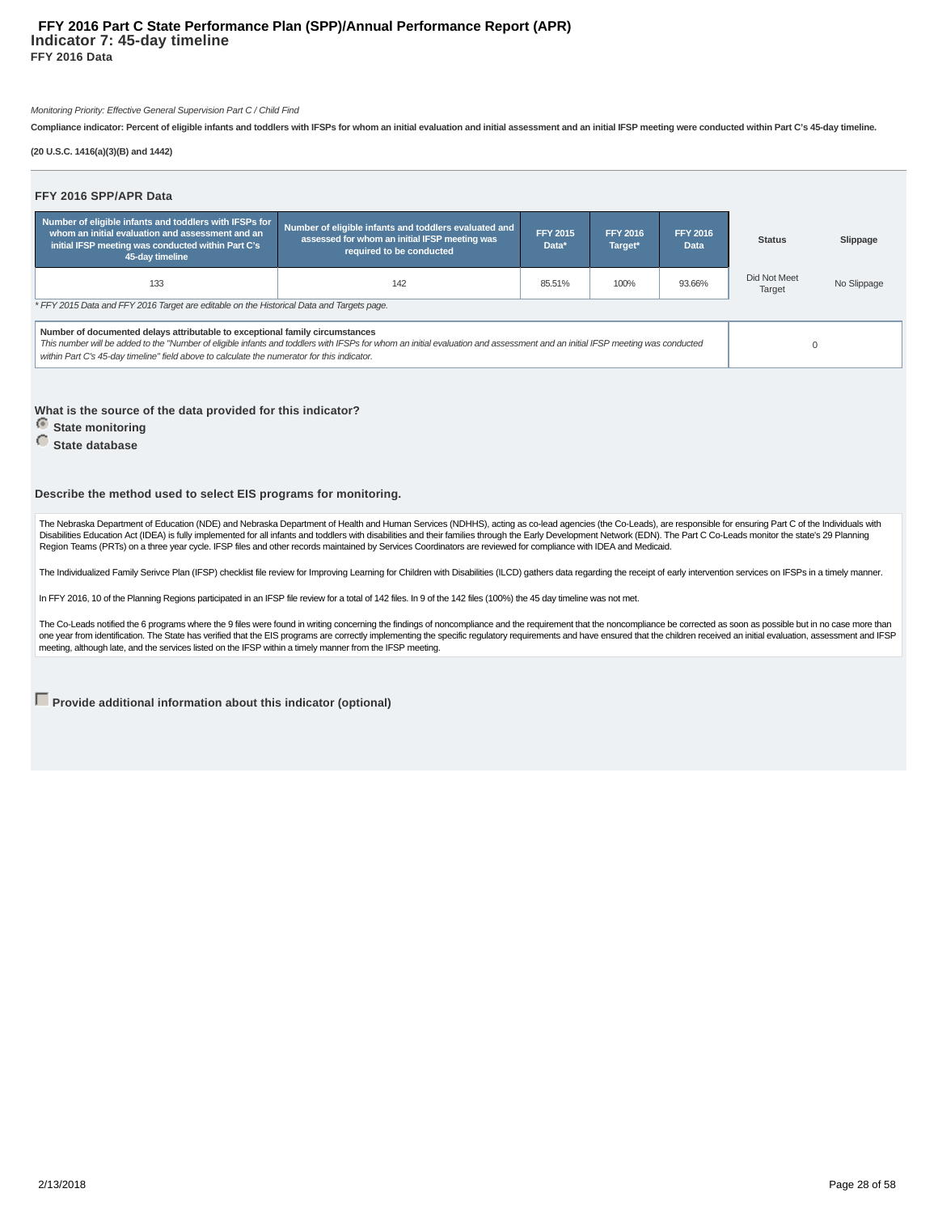#### **Indicator 7: 45-day timeline FFY 2016 Data FFY 2016 Part C State Performance Plan (SPP)/Annual Performance Report (APR)**

#### Monitoring Priority: Effective General Supervision Part C / Child Find

**Compliance indicator: Percent of eligible infants and toddlers with IFSPs for whom an initial evaluation and initial assessment and an initial IFSP meeting were conducted within Part C's 45-day timeline.**

#### **(20 U.S.C. 1416(a)(3)(B) and 1442)**

| FFY 2016 SPP/APR Data                                                                                                                                                                                                                                                                                                                                       |                                                                                                                                    |                          |                            |                         |                        |             |
|-------------------------------------------------------------------------------------------------------------------------------------------------------------------------------------------------------------------------------------------------------------------------------------------------------------------------------------------------------------|------------------------------------------------------------------------------------------------------------------------------------|--------------------------|----------------------------|-------------------------|------------------------|-------------|
| Number of eligible infants and toddlers with IFSPs for<br>whom an initial evaluation and assessment and an<br>initial IFSP meeting was conducted within Part C's<br>45-day timeline                                                                                                                                                                         | Number of eligible infants and toddlers evaluated and<br>assessed for whom an initial IFSP meeting was<br>required to be conducted | <b>FFY 2015</b><br>Data* | <b>FFY 2016</b><br>Target* | <b>FFY 2016</b><br>Data | <b>Status</b>          | Slippage    |
| 133                                                                                                                                                                                                                                                                                                                                                         | 142                                                                                                                                |                          |                            |                         | Did Not Meet<br>Target | No Slippage |
| * FFY 2015 Data and FFY 2016 Target are editable on the Historical Data and Targets page.                                                                                                                                                                                                                                                                   |                                                                                                                                    |                          |                            |                         |                        |             |
| Number of documented delays attributable to exceptional family circumstances<br>This number will be added to the "Number of eligible infants and toddlers with IFSPs for whom an initial evaluation and assessment and an initial IFSP meeting was conducted<br>within Part C's 45-day timeline" field above to calculate the numerator for this indicator. | $\Omega$                                                                                                                           |                          |                            |                         |                        |             |

#### **What is the source of the data provided for this indicator?**

*<u>State monitoring</u>* 

# **State database**

#### **Describe the method used to select EIS programs for monitoring.**

The Nebraska Department of Education (NDE) and Nebraska Department of Health and Human Services (NDHHS), acting as co-lead agencies (the Co-Leads), are responsible for ensuring Part C of the Individuals with Disabilities Education Act (IDEA) is fully implemented for all infants and toddlers with disabilities and their families through the Early Development Network (EDN). The Part C Co-Leads monitor the state's 29 Planning Region Teams (PRTs) on a three year cycle. IFSP files and other records maintained by Services Coordinators are reviewed for compliance with IDEA and Medicaid.

The Individualized Family Serivce Plan (IFSP) checklist file review for Improving Learning for Children with Disabilities (ILCD) gathers data regarding the receipt of early intervention services on IFSPs in a timely manner

In FFY 2016, 10 of the Planning Regions participated in an IFSP file review for a total of 142 files. In 9 of the 142 files (100%) the 45 day timeline was not met.

The Co-Leads notified the 6 programs where the 9 files were found in writing concerning the findings of noncompliance and the requirement that the noncompliance be corrected as soon as possible but in no case more than one year from identification. The State has verified that the EIS programs are correctly implementing the specific regulatory requirements and have ensured that the children received an initial evaluation, assessment and I meeting, although late, and the services listed on the IFSP within a timely manner from the IFSP meeting.

**Provide additional information about this indicator (optional)**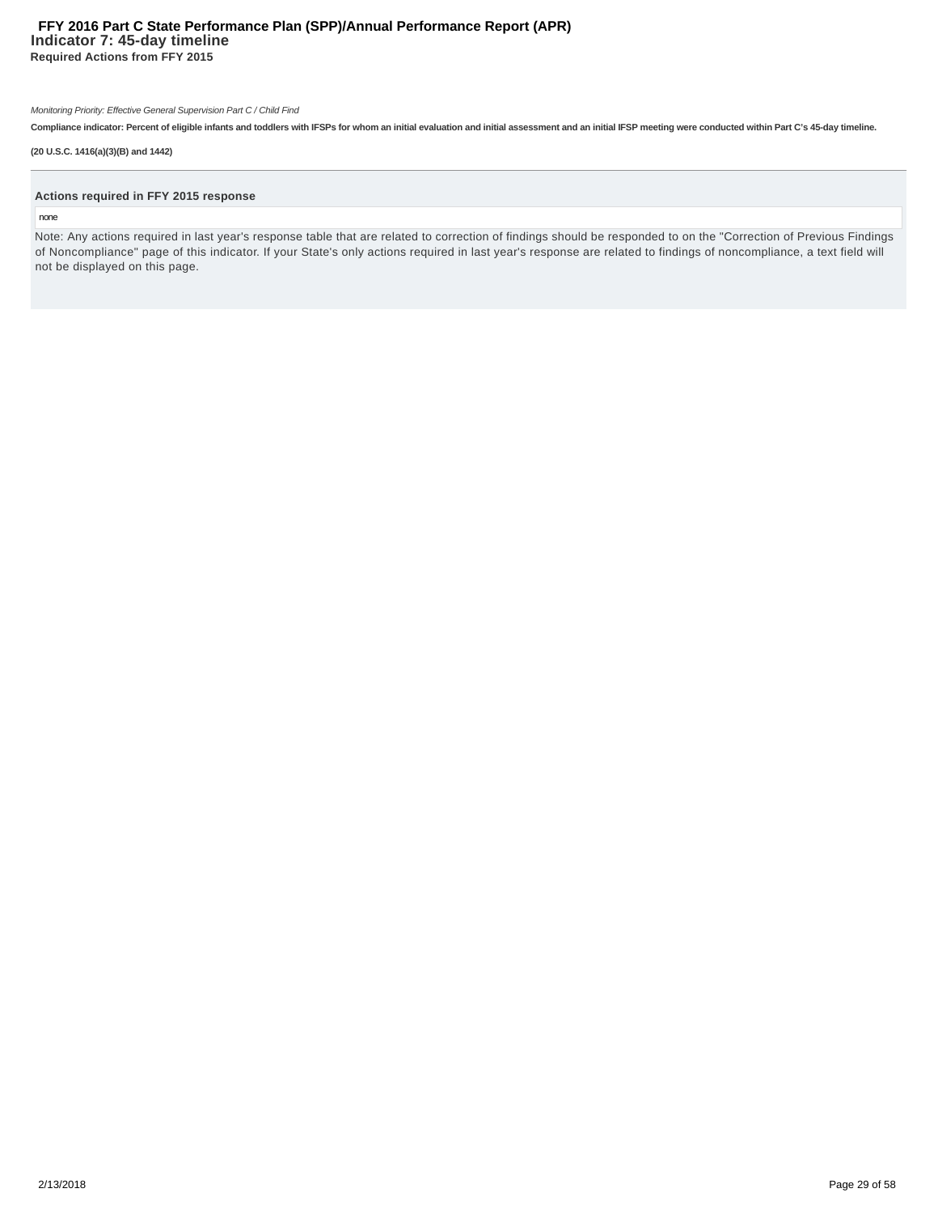# **Indicator 7: 45-day timeline Required Actions from FFY 2015 FFY 2016 Part C State Performance Plan (SPP)/Annual Performance Report (APR)**

Monitoring Priority: Effective General Supervision Part C / Child Find

**Compliance indicator: Percent of eligible infants and toddlers with IFSPs for whom an initial evaluation and initial assessment and an initial IFSP meeting were conducted within Part C's 45-day timeline.**

#### **(20 U.S.C. 1416(a)(3)(B) and 1442)**

#### **Actions required in FFY 2015 response**

#### none

Note: Any actions required in last year's response table that are related to correction of findings should be responded to on the "Correction of Previous Findings of Noncompliance" page of this indicator. If your State's only actions required in last year's response are related to findings of noncompliance, a text field will not be displayed on this page.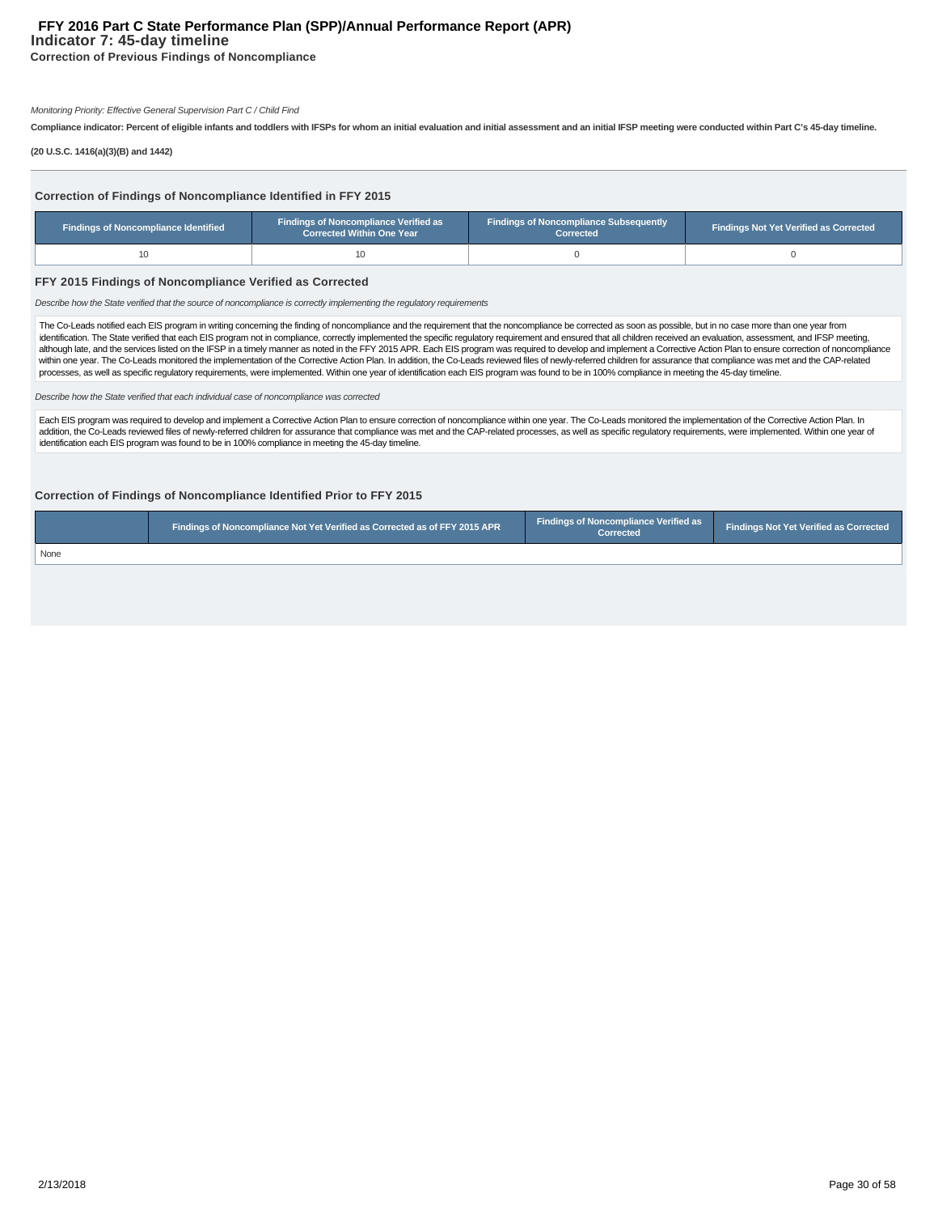# **Indicator 7: 45-day timeline FFY 2016 Part C State Performance Plan (SPP)/Annual Performance Report (APR)**

**Correction of Previous Findings of Noncompliance**

#### Monitoring Priority: Effective General Supervision Part C / Child Find

**Compliance indicator: Percent of eligible infants and toddlers with IFSPs for whom an initial evaluation and initial assessment and an initial IFSP meeting were conducted within Part C's 45-day timeline.**

**(20 U.S.C. 1416(a)(3)(B) and 1442)**

| Correction of Findings of Noncompliance Identified in FFY 2015<br><b>Findings of Noncompliance Verified as</b><br><b>Findings of Noncompliance Subsequently</b><br><b>Findings of Noncompliance Identified</b><br><b>Findings Not Yet Verified as Corrected</b><br><b>Corrected Within One Year</b><br><b>Corrected</b> |    |  |  |  |  |  |  |  |  |  |
|-------------------------------------------------------------------------------------------------------------------------------------------------------------------------------------------------------------------------------------------------------------------------------------------------------------------------|----|--|--|--|--|--|--|--|--|--|
| 10                                                                                                                                                                                                                                                                                                                      | 10 |  |  |  |  |  |  |  |  |  |
| FFY 2015 Findings of Noncompliance Verified as Corrected<br>Describe how the State verified that the source of noncompliance is correctly implementing the requlatory requirements                                                                                                                                      |    |  |  |  |  |  |  |  |  |  |
| The Co-Leads notified each EIS program in writing concerning the finding of noncompliance and the requirement that the noncompliance be corrected as soon as possible, but in no case more than one year from                                                                                                           |    |  |  |  |  |  |  |  |  |  |

The Co-Leads notified each EIS program in writing concerning the finding of noncompliance and the requirement that the noncompliance be corrected as soon as possible, but in no case more than one year from<br>identification. although late, and the services listed on the IFSP in a timely manner as noted in the FFY 2015 APR. Each EIS program was required to develop and implement a Corrective Action Plan to ensure correction of noncompliance<br>with processes, as well as specific regulatory requirements, were implemented. Within one year of identification each EIS program was found to be in 100% compliance in meeting the 45-day timeline.

Describe how the State verified that each individual case of noncompliance was corrected

Each EIS program was required to develop and implement a Corrective Action Plan to ensure correction of noncompliance within one year. The Co-Leads monitored the implementation of the Corrective Action Plan. In addition, the Co-Leads reviewed files of newly-referred children for assurance that compliance was met and the CAP-related processes, as well as specific regulatory requirements, were implemented. Within one year of identification each EIS program was found to be in 100% compliance in meeting the 45-day timeline.

#### **Correction of Findings of Noncompliance Identified Prior to FFY 2015**

|      | Findings of Noncompliance Not Yet Verified as Corrected as of FFY 2015 APR | Findings of Noncompliance Verified as<br><b>Corrected</b> | Findings Not Yet Verified as Corrected |
|------|----------------------------------------------------------------------------|-----------------------------------------------------------|----------------------------------------|
| None |                                                                            |                                                           |                                        |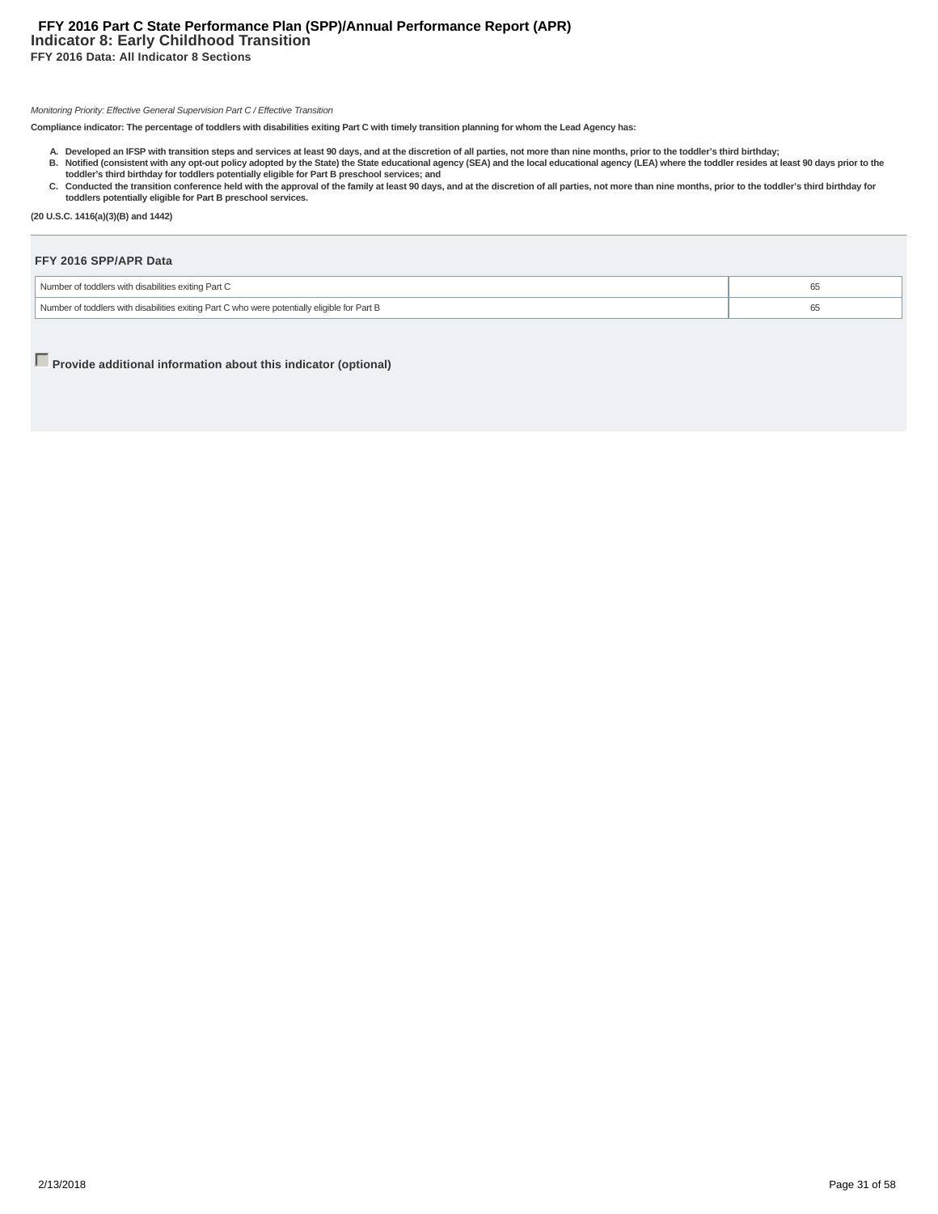# **Indicator 8: Early Childhood Transition FFY 2016 Data: All Indicator 8 Sections FFY 2016 Part C State Performance Plan (SPP)/Annual Performance Report (APR)**

#### Monitoring Priority: Effective General Supervision Part C / Effective Transition

**Compliance indicator: The percentage of toddlers with disabilities exiting Part C with timely transition planning for whom the Lead Agency has:**

- A. Developed an IFSP with transition steps and services at least 90 days, and at the discretion of all parties, not more than nine months, prior to the toddler's third birthday;<br>B. Notified (consistent with any opt-out pol
- C. Conducted the transition conference held with the approval of the family at least 90 days, and at the discretion of all parties, not more than nine months, prior to the toddler's third birthday for
- **toddlers potentially eligible for Part B preschool services.**

**(20 U.S.C. 1416(a)(3)(B) and 1442)**

| FFY 2016 SPP/APR Data                                                                        |    |
|----------------------------------------------------------------------------------------------|----|
| Number of toddlers with disabilities exiting Part C                                          | 65 |
| Number of toddlers with disabilities exiting Part C who were potentially eligible for Part B | 65 |

**Provide additional information about this indicator (optional)**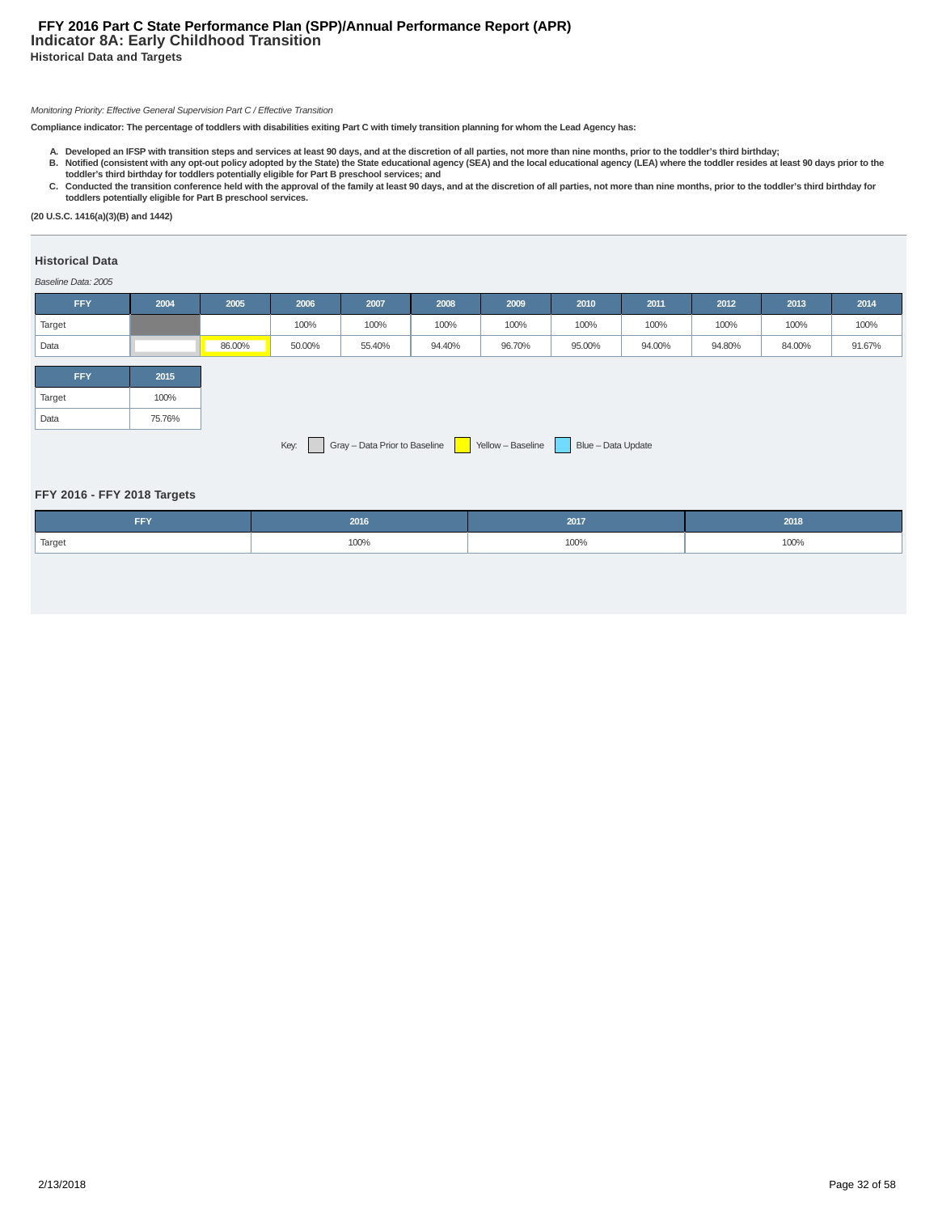# **Indicator 8A: Early Childhood Transition Historical Data and Targets FFY 2016 Part C State Performance Plan (SPP)/Annual Performance Report (APR)**

#### Monitoring Priority: Effective General Supervision Part C / Effective Transition

**Compliance indicator: The percentage of toddlers with disabilities exiting Part C with timely transition planning for whom the Lead Agency has:**

- A. Developed an IFSP with transition steps and services at least 90 days, and at the discretion of all parties, not more than nine months, prior to the toddler's third birthday;<br>B. Notified (consistent with any opt-out pol
- C. Conducted the transition conference held with the approval of the family at least 90 days, and at the discretion of all parties, not more than nine months, prior to the toddler's third birthday for **toddlers potentially eligible for Part B preschool services.**

**(20 U.S.C. 1416(a)(3)(B) and 1442)**

# **Historical Data**

#### Baseline Data: 2005

| <b>FFY</b> | 2004                                                                       | 2005   | 2006   | 2007   | 2008   | 2009   | 2010   | 2011   | 2012   | 2013   | 2014   |
|------------|----------------------------------------------------------------------------|--------|--------|--------|--------|--------|--------|--------|--------|--------|--------|
| Target     |                                                                            |        | 100%   | 100%   | 100%   | 100%   | 100%   | 100%   | 100%   | 100%   | 100%   |
| Data       |                                                                            | 86.00% | 50.00% | 55.40% | 94.40% | 96.70% | 95.00% | 94.00% | 94.80% | 84.00% | 91.67% |
|            |                                                                            |        |        |        |        |        |        |        |        |        |        |
| <b>FFY</b> | 2015                                                                       |        |        |        |        |        |        |        |        |        |        |
| Target     | 100%                                                                       |        |        |        |        |        |        |        |        |        |        |
| Data       | 75.76%                                                                     |        |        |        |        |        |        |        |        |        |        |
|            | Key: Gray - Data Prior to Baseline Yellow - Baseline<br>Blue - Data Update |        |        |        |        |        |        |        |        |        |        |

#### **FFY 2016 - FFY 2018 Targets**

| <b>FFY</b> | 2016 | 2017      | 2018 |
|------------|------|-----------|------|
| Target     | 100% | 100%<br>. | 100% |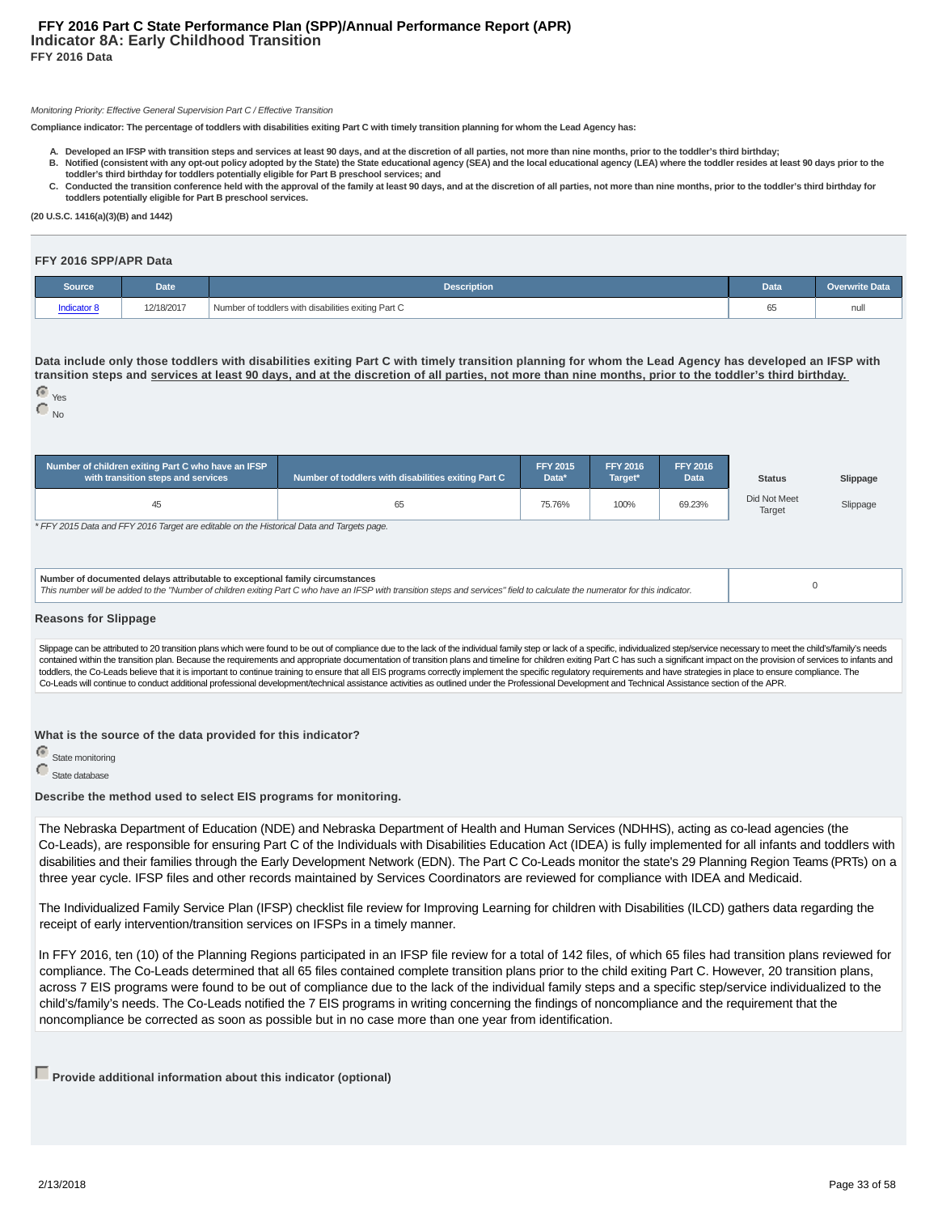#### Monitoring Priority: Effective General Supervision Part C / Effective Transition

**Compliance indicator: The percentage of toddlers with disabilities exiting Part C with timely transition planning for whom the Lead Agency has:**

- **A. Developed an IFSP with transition steps and services at least 90 days, and at the discretion of all parties, not more than nine months, prior to the toddler's third birthday; Notified (consistent with any opt-out policy adopted by the State) the State educational agency (SEA) and the local educational agency (LEA) where the toddler resides at least 90 days prior to the B.**
- **toddler's third birthday for toddlers potentially eligible for Part B preschool services; and** C. Conducted the transition conference held with the approval of the family at least 90 days, and at the discretion of all parties, not more than nine months, prior to the toddler's third birthday for **toddlers potentially eligible for Part B preschool services.**

**(20 U.S.C. 1416(a)(3)(B) and 1442)**

#### **FFY 2016 SPP/APR Data**

| Source     | <b>Date</b> | <b>Description</b>                                  | Data         | Overwrite Data |
|------------|-------------|-----------------------------------------------------|--------------|----------------|
| adicator 8 | 12/18/2017  | Number of toddlers with disabilities exiting Part C | $\sim$<br>65 | nul            |

**Data include only those toddlers with disabilities exiting Part C with timely transition planning for whom the Lead Agency has developed an IFSP with transition steps and services at least 90 days, and at the discretion of all parties, not more than nine months, prior to the toddler's third birthday.**

 Yes  $\bigcap_{\text{No}}$ 

| Number of children exiting Part C who have an IFSP<br>with transition steps and services                                                                                                                                                                      | Number of toddlers with disabilities exiting Part C | <b>FFY 2015</b><br>Data* | <b>FFY 2016</b><br>Target* | <b>FFY 2016</b><br><b>Data</b> | <b>Status</b> | Slippage |
|---------------------------------------------------------------------------------------------------------------------------------------------------------------------------------------------------------------------------------------------------------------|-----------------------------------------------------|--------------------------|----------------------------|--------------------------------|---------------|----------|
| 45                                                                                                                                                                                                                                                            | 65                                                  | Did Not Meet<br>Target   | Slippage                   |                                |               |          |
| * FFY 2015 Data and FFY 2016 Target are editable on the Historical Data and Targets page.                                                                                                                                                                     |                                                     |                          |                            |                                |               |          |
| Number of documented delays attributable to exceptional family circumstances<br>This number will be added to the "Number of children exiting Part C who have an IFSP with transition steps and services" field to calculate the numerator for this indicator. |                                                     |                          |                            |                                |               |          |

#### **Reasons for Slippage**

Slippage can be attributed to 20 transition plans which were found to be out of compliance due to the lack of the individual family step or lack of a specific, individualized step/service necessary to meet the child's/fami contained within the transition plan. Because the requirements and appropriate documentation of transition plans and timeline for children exiting Part C has such a significant impact on the provision of services to infant toddlers, the Co-Leads believe that it is important to continue training to ensure that all EIS programs correctly implement the specific regulatory requirements and have strategies in place to ensure compliance. The Co-Leads will continue to conduct additional professional development/technical assistance activities as outlined under the Professional Development and Technical Assistance section of the APR.

**What is the source of the data provided for this indicator?**

**C** State monitoring

State database

**Describe the method used to select EIS programs for monitoring.**

The Nebraska Department of Education (NDE) and Nebraska Department of Health and Human Services (NDHHS), acting as co-lead agencies (the Co-Leads), are responsible for ensuring Part C of the Individuals with Disabilities Education Act (IDEA) is fully implemented for all infants and toddlers with disabilities and their families through the Early Development Network (EDN). The Part C Co-Leads monitor the state's 29 Planning Region Teams (PRTs) on a three year cycle. IFSP files and other records maintained by Services Coordinators are reviewed for compliance with IDEA and Medicaid.

The Individualized Family Service Plan (IFSP) checklist file review for Improving Learning for children with Disabilities (ILCD) gathers data regarding the receipt of early intervention/transition services on IFSPs in a timely manner.

In FFY 2016, ten (10) of the Planning Regions participated in an IFSP file review for a total of 142 files, of which 65 files had transition plans reviewed for compliance. The Co-Leads determined that all 65 files contained complete transition plans prior to the child exiting Part C. However, 20 transition plans, across 7 EIS programs were found to be out of compliance due to the lack of the individual family steps and a specific step/service individualized to the child's/family's needs. The Co-Leads notified the 7 EIS programs in writing concerning the findings of noncompliance and the requirement that the noncompliance be corrected as soon as possible but in no case more than one year from identification.

**Provide additional information about this indicator (optional)**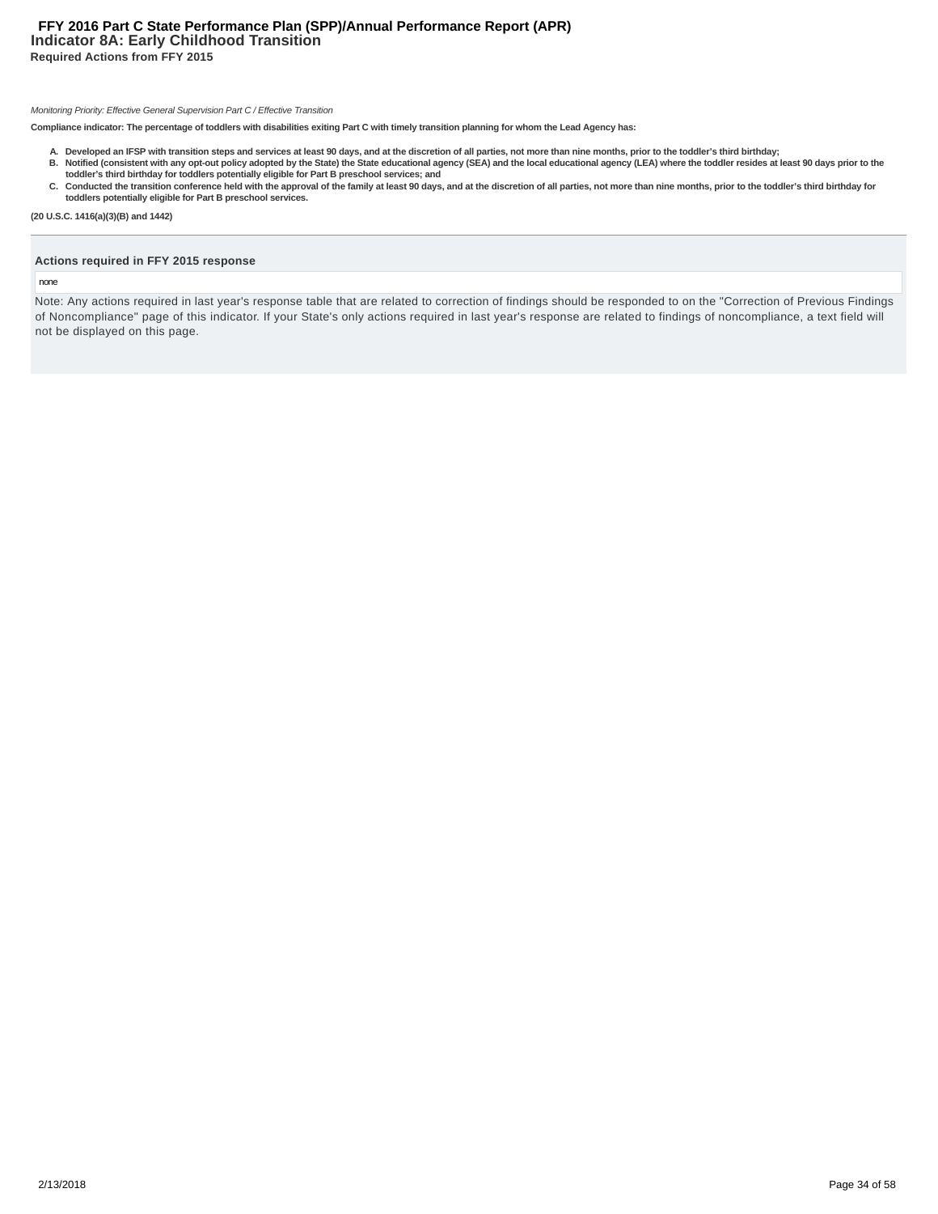# **Indicator 8A: Early Childhood Transition Required Actions from FFY 2015 FFY 2016 Part C State Performance Plan (SPP)/Annual Performance Report (APR)**

#### Monitoring Priority: Effective General Supervision Part C / Effective Transition

**Compliance indicator: The percentage of toddlers with disabilities exiting Part C with timely transition planning for whom the Lead Agency has:**

- A. Developed an IFSP with transition steps and services at least 90 days, and at the discretion of all parties, not more than nine months, prior to the toddler's third birthday;<br>B. Notified (consistent with any opt-out pol
- **toddler's third birthday for toddlers potentially eligible for Part B preschool services; and** C. Conducted the transition conference held with the approval of the family at least 90 days, and at the discretion of all parties, not more than nine months, prior to the toddler's third birthday for **toddlers potentially eligible for Part B preschool services.**
- **(20 U.S.C. 1416(a)(3)(B) and 1442)**

# **Actions required in FFY 2015 response**

#### none

Note: Any actions required in last year's response table that are related to correction of findings should be responded to on the "Correction of Previous Findings of Noncompliance" page of this indicator. If your State's only actions required in last year's response are related to findings of noncompliance, a text field will not be displayed on this page.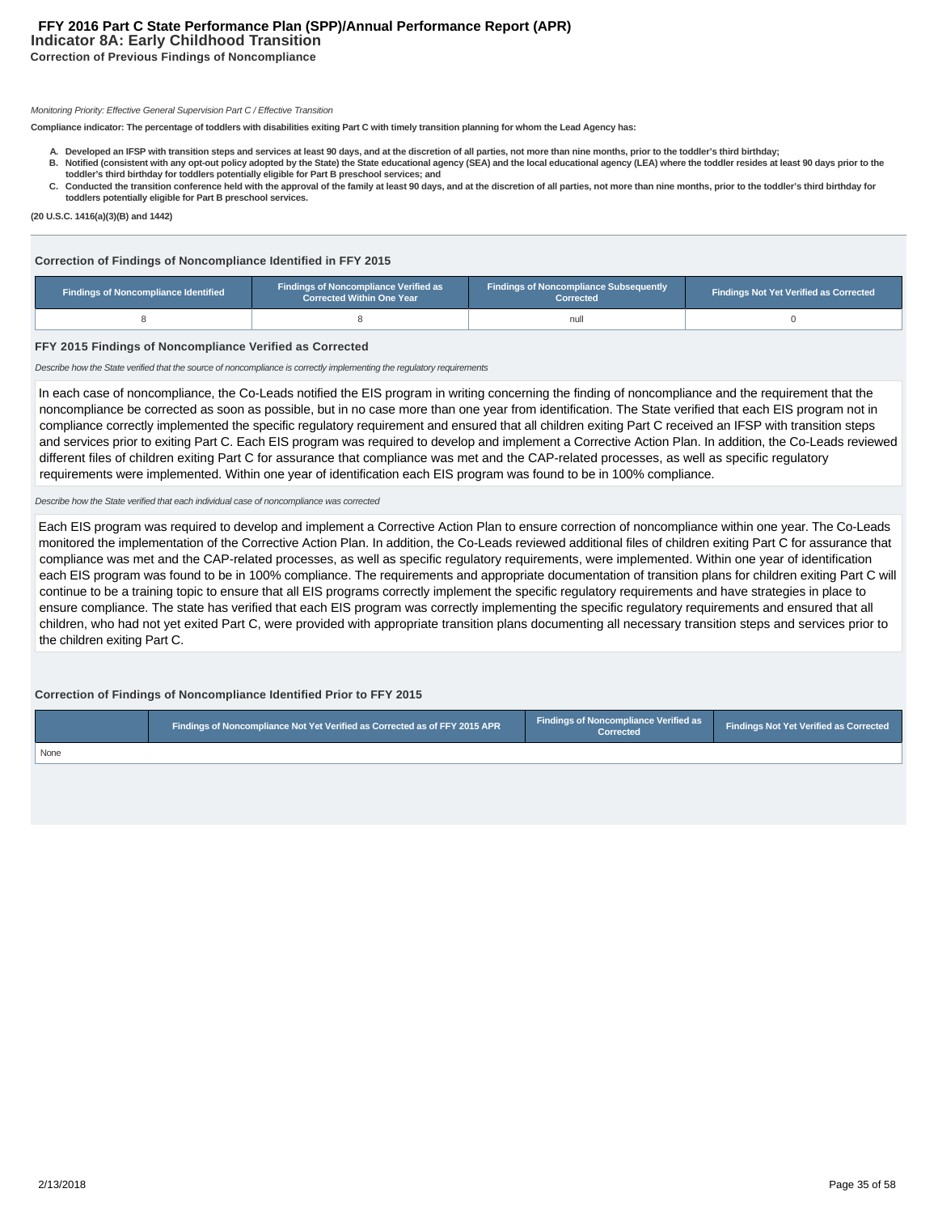# **Indicator 8A: Early Childhood Transition Correction of Previous Findings of Noncompliance FFY 2016 Part C State Performance Plan (SPP)/Annual Performance Report (APR)**

Monitoring Priority: Effective General Supervision Part C / Effective Transition

**Compliance indicator: The percentage of toddlers with disabilities exiting Part C with timely transition planning for whom the Lead Agency has:**

- **A. Developed an IFSP with transition steps and services at least 90 days, and at the discretion of all parties, not more than nine months, prior to the toddler's third birthday; Notified (consistent with any opt-out policy adopted by the State) the State educational agency (SEA) and the local educational agency (LEA) where the toddler resides at least 90 days prior to the B.**
- **toddler's third birthday for toddlers potentially eligible for Part B preschool services; and** C. Conducted the transition conference held with the approval of the family at least 90 days, and at the discretion of all parties, not more than nine months, prior to the toddler's third birthday for
- **toddlers potentially eligible for Part B preschool services.**

**(20 U.S.C. 1416(a)(3)(B) and 1442)**

#### **Correction of Findings of Noncompliance Identified in FFY 2015**

| Findings of Noncompliance Verified as<br>Findings of Noncompliance Identified<br><b>Corrected Within One Year</b> |  | <b>Findings of Noncompliance Subsequently</b><br>Corrected | <b>Findings Not Yet Verified as Corrected</b> |
|-------------------------------------------------------------------------------------------------------------------|--|------------------------------------------------------------|-----------------------------------------------|
|                                                                                                                   |  | null                                                       |                                               |

#### **FFY 2015 Findings of Noncompliance Verified as Corrected**

Describe how the State verified that the source of noncompliance is correctly implementing the regulatory requirements

In each case of noncompliance, the Co-Leads notified the EIS program in writing concerning the finding of noncompliance and the requirement that the noncompliance be corrected as soon as possible, but in no case more than one year from identification. The State verified that each EIS program not in compliance correctly implemented the specific regulatory requirement and ensured that all children exiting Part C received an IFSP with transition steps and services prior to exiting Part C. Each EIS program was required to develop and implement a Corrective Action Plan. In addition, the Co-Leads reviewed different files of children exiting Part C for assurance that compliance was met and the CAP-related processes, as well as specific regulatory requirements were implemented. Within one year of identification each EIS program was found to be in 100% compliance.

#### Describe how the State verified that each individual case of noncompliance was corrected

Each EIS program was required to develop and implement a Corrective Action Plan to ensure correction of noncompliance within one year. The Co-Leads monitored the implementation of the Corrective Action Plan. In addition, the Co-Leads reviewed additional files of children exiting Part C for assurance that compliance was met and the CAP-related processes, as well as specific regulatory requirements, were implemented. Within one year of identification each EIS program was found to be in 100% compliance. The requirements and appropriate documentation of transition plans for children exiting Part C will continue to be a training topic to ensure that all EIS programs correctly implement the specific regulatory requirements and have strategies in place to ensure compliance. The state has verified that each EIS program was correctly implementing the specific regulatory requirements and ensured that all children, who had not yet exited Part C, were provided with appropriate transition plans documenting all necessary transition steps and services prior to the children exiting Part C.

# **Correction of Findings of Noncompliance Identified Prior to FFY 2015**

|      | Findings of Noncompliance Not Yet Verified as Corrected as of FFY 2015 APR 1 | Findings of Noncompliance Verified as<br>Corrected | <b>Findings Not Yet Verified as Corrected</b> |
|------|------------------------------------------------------------------------------|----------------------------------------------------|-----------------------------------------------|
| None |                                                                              |                                                    |                                               |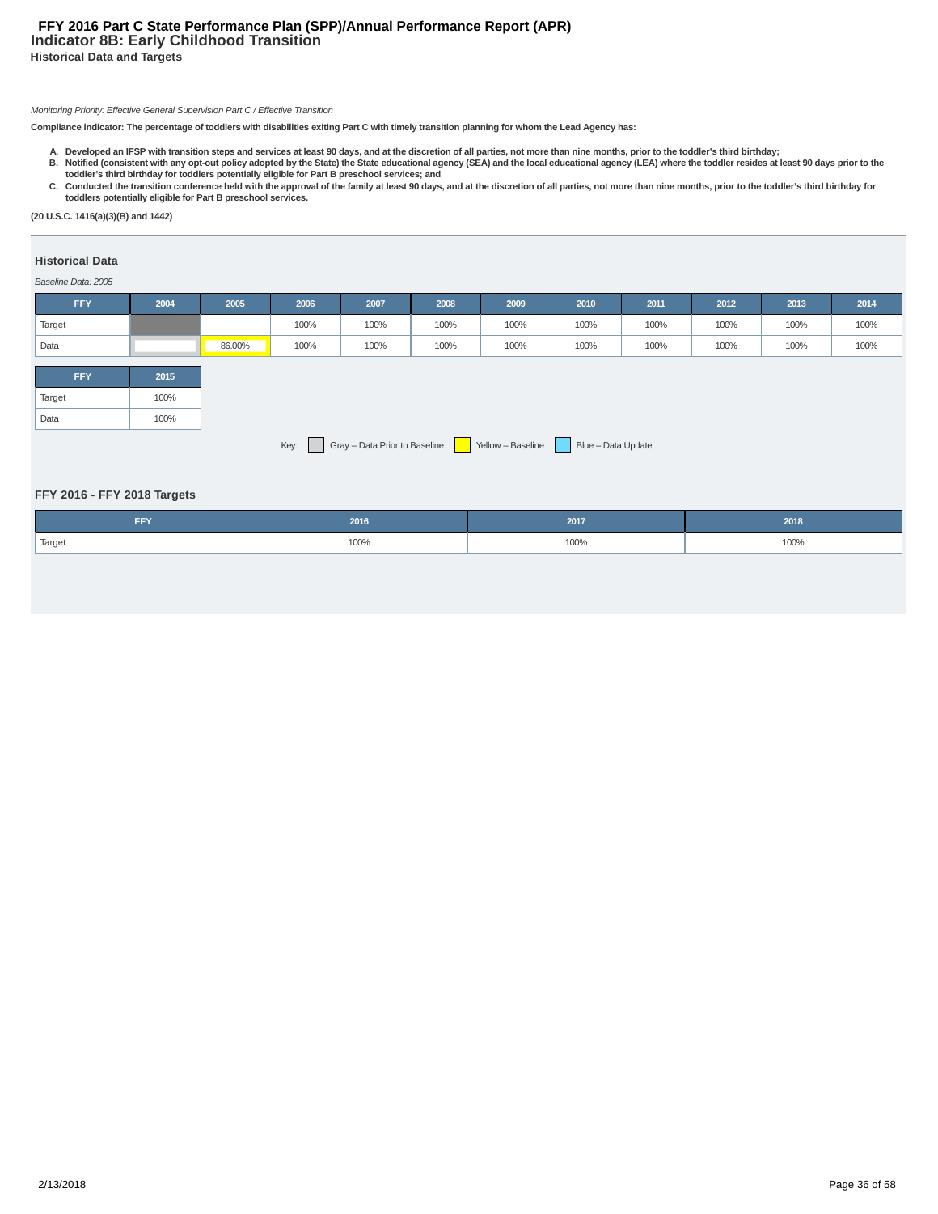# **Indicator 8B: Early Childhood Transition Historical Data and Targets FFY 2016 Part C State Performance Plan (SPP)/Annual Performance Report (APR)**

#### Monitoring Priority: Effective General Supervision Part C / Effective Transition

**Compliance indicator: The percentage of toddlers with disabilities exiting Part C with timely transition planning for whom the Lead Agency has:**

- A. Developed an IFSP with transition steps and services at least 90 days, and at the discretion of all parties, not more than nine months, prior to the toddler's third birthday;<br>B. Notified (consistent with any opt-out pol
- C. Conducted the transition conference held with the approval of the family at least 90 days, and at the discretion of all parties, not more than nine months, prior to the toddler's third birthday for **toddlers potentially eligible for Part B preschool services.**

**(20 U.S.C. 1416(a)(3)(B) and 1442)**

# **Historical Data**

#### Baseline Data: 2005

| <b>FFY</b> | 2004                                                                             | 2005   | 2006 | 2007 | 2008 | 2009 | 2010 | 2011 | 2012 | 2013 | 2014 |
|------------|----------------------------------------------------------------------------------|--------|------|------|------|------|------|------|------|------|------|
| Target     |                                                                                  |        | 100% | 100% | 100% | 100% | 100% | 100% | 100% | 100% | 100% |
| Data       |                                                                                  | 86.00% | 100% | 100% | 100% | 100% | 100% | 100% | 100% | 100% | 100% |
| <b>FFY</b> | 2015                                                                             |        |      |      |      |      |      |      |      |      |      |
| Target     | 100%                                                                             |        |      |      |      |      |      |      |      |      |      |
| Data       | 100%                                                                             |        |      |      |      |      |      |      |      |      |      |
|            | Gray - Data Prior to Baseline<br>Yellow - Baseline<br>Blue - Data Update<br>Key: |        |      |      |      |      |      |      |      |      |      |

#### **FFY 2016 - FFY 2018 Targets**

| <b>FFY</b> | 2016 | 2017 | 2018 |
|------------|------|------|------|
| Target     | 100% | 100% | 100% |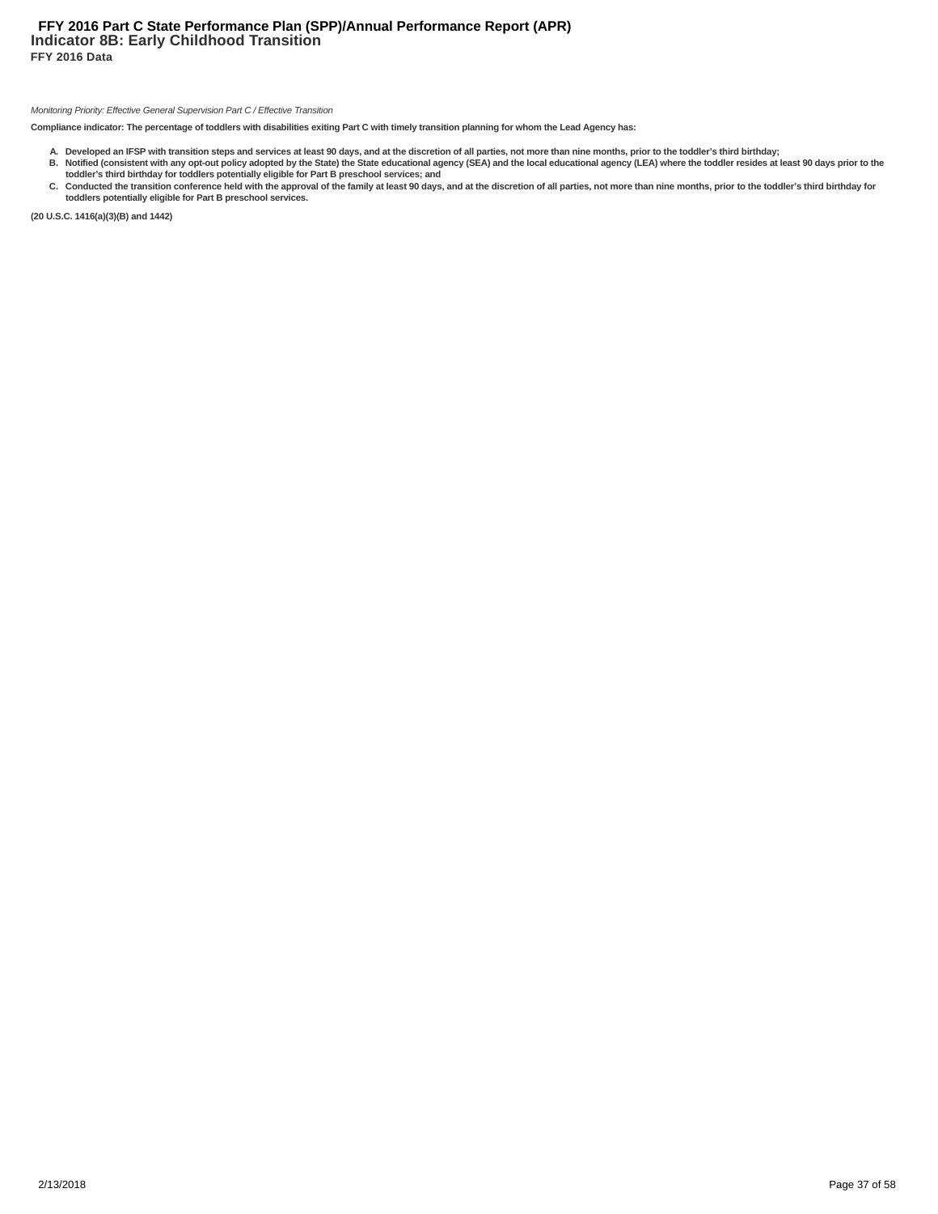# **Indicator 8B: Early Childhood Transition FFY 2016 Data FFY 2016 Part C State Performance Plan (SPP)/Annual Performance Report (APR)**

#### Monitoring Priority: Effective General Supervision Part C / Effective Transition

**Compliance indicator: The percentage of toddlers with disabilities exiting Part C with timely transition planning for whom the Lead Agency has:**

- A. Developed an IFSP with transition steps and services at least 90 days, and at the discretion of all parties, not more than nine months, prior to the toddler's third birthday;<br>B. Notified (consistent with any opt-out pol
- C. Conducted the transition conference held with the approval of the family at least 90 days, and at the discretion of all parties, not more than nine months, prior to the toddler's third birthday for **toddlers potentially eligible for Part B preschool services.**

**(20 U.S.C. 1416(a)(3)(B) and 1442)**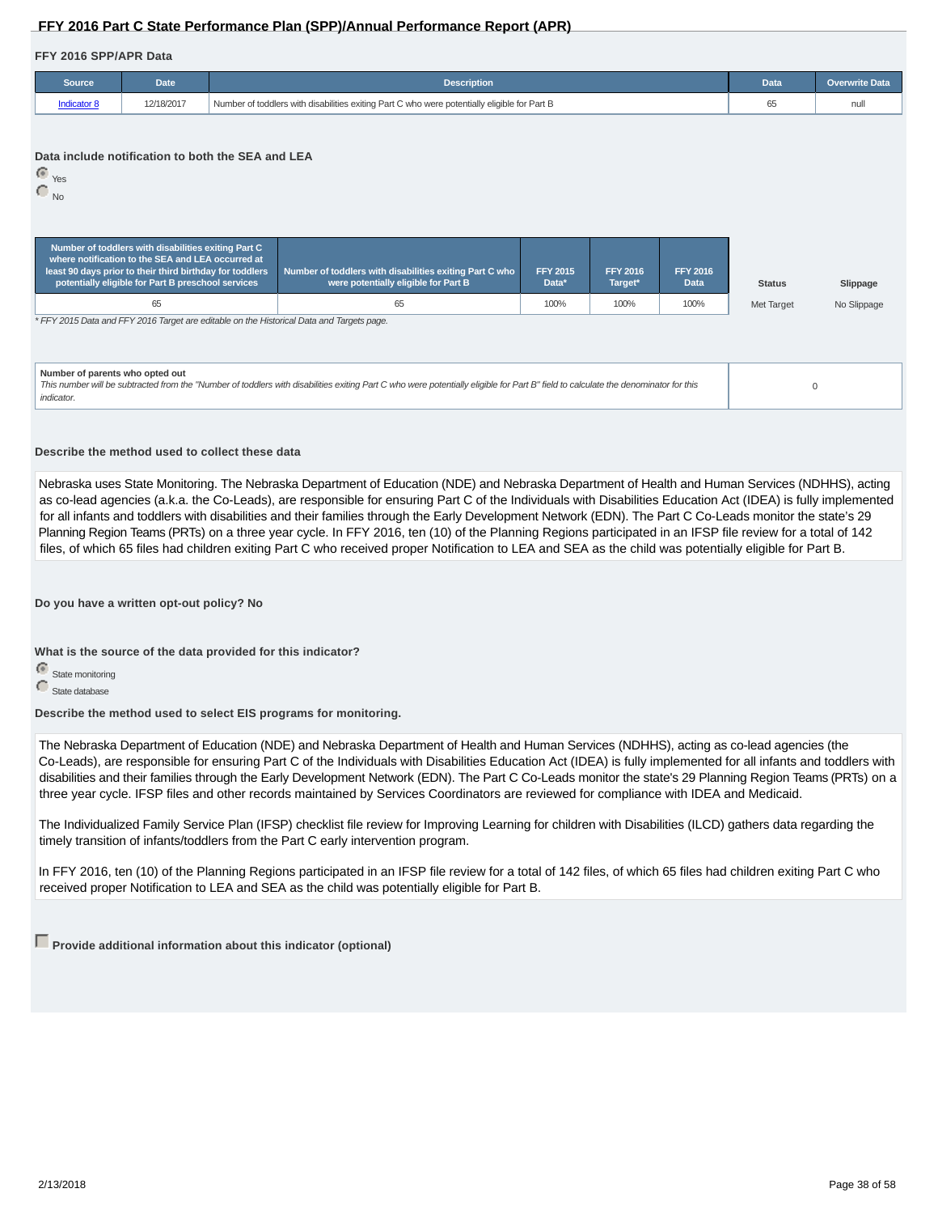# **FFY 2016 Part C State Performance Plan (SPP)/Annual Performance Report (APR)**

#### **FFY 2016 SPP/APR Data**

| Source             | <b>Date</b> | <b>Description</b>                                                                           | Data | <b>Overwrite Data</b> |
|--------------------|-------------|----------------------------------------------------------------------------------------------|------|-----------------------|
| <b>Indicator 8</b> | 12/18/2017  | Number of toddlers with disabilities exiting Part C who were potentially eligible for Part B |      |                       |

#### **Data include notification to both the SEA and LEA**

 Yes  $\overline{\bigcirc}_{\mathsf{No}}$ 

| Number of toddlers with disabilities exiting Part C<br>where notification to the SEA and LEA occurred at<br>least 90 days prior to their third birthday for toddlers<br>potentially eligible for Part B preschool services | Number of toddlers with disabilities exiting Part C who<br>were potentially eligible for Part B                                                                                    | <b>FFY 2015</b><br>Data* | <b>FFY 2016</b><br>Target* | <b>FFY 2016</b><br><b>Data</b> | <b>Status</b> | Slippage    |  |  |  |  |  |
|----------------------------------------------------------------------------------------------------------------------------------------------------------------------------------------------------------------------------|------------------------------------------------------------------------------------------------------------------------------------------------------------------------------------|--------------------------|----------------------------|--------------------------------|---------------|-------------|--|--|--|--|--|
| 65<br>100%<br>100%<br>100%<br>65                                                                                                                                                                                           |                                                                                                                                                                                    |                          |                            |                                |               | No Slippage |  |  |  |  |  |
| * FFY 2015 Data and FFY 2016 Target are editable on the Historical Data and Targets page.                                                                                                                                  |                                                                                                                                                                                    |                          |                            |                                |               |             |  |  |  |  |  |
| Number of parents who opted out<br>indicator.                                                                                                                                                                              | This number will be subtracted from the "Number of toddlers with disabilities exiting Part C who were potentially eligible for Part B" field to calculate the denominator for this |                          |                            |                                |               | 0           |  |  |  |  |  |

#### **Describe the method used to collect these data**

Nebraska uses State Monitoring. The Nebraska Department of Education (NDE) and Nebraska Department of Health and Human Services (NDHHS), acting as co-lead agencies (a.k.a. the Co-Leads), are responsible for ensuring Part C of the Individuals with Disabilities Education Act (IDEA) is fully implemented for all infants and toddlers with disabilities and their families through the Early Development Network (EDN). The Part C Co-Leads monitor the state's 29 Planning Region Teams (PRTs) on a three year cycle. In FFY 2016, ten (10) of the Planning Regions participated in an IFSP file review for a total of 142 files, of which 65 files had children exiting Part C who received proper Notification to LEA and SEA as the child was potentially eligible for Part B.

**Do you have a written opt-out policy? No**

**What is the source of the data provided for this indicator?**

State monitoring

State database

**Describe the method used to select EIS programs for monitoring.**

The Nebraska Department of Education (NDE) and Nebraska Department of Health and Human Services (NDHHS), acting as co-lead agencies (the Co-Leads), are responsible for ensuring Part C of the Individuals with Disabilities Education Act (IDEA) is fully implemented for all infants and toddlers with disabilities and their families through the Early Development Network (EDN). The Part C Co-Leads monitor the state's 29 Planning Region Teams (PRTs) on a three year cycle. IFSP files and other records maintained by Services Coordinators are reviewed for compliance with IDEA and Medicaid.

The Individualized Family Service Plan (IFSP) checklist file review for Improving Learning for children with Disabilities (ILCD) gathers data regarding the timely transition of infants/toddlers from the Part C early intervention program.

In FFY 2016, ten (10) of the Planning Regions participated in an IFSP file review for a total of 142 files, of which 65 files had children exiting Part C who received proper Notification to LEA and SEA as the child was potentially eligible for Part B.

**Provide additional information about this indicator (optional)**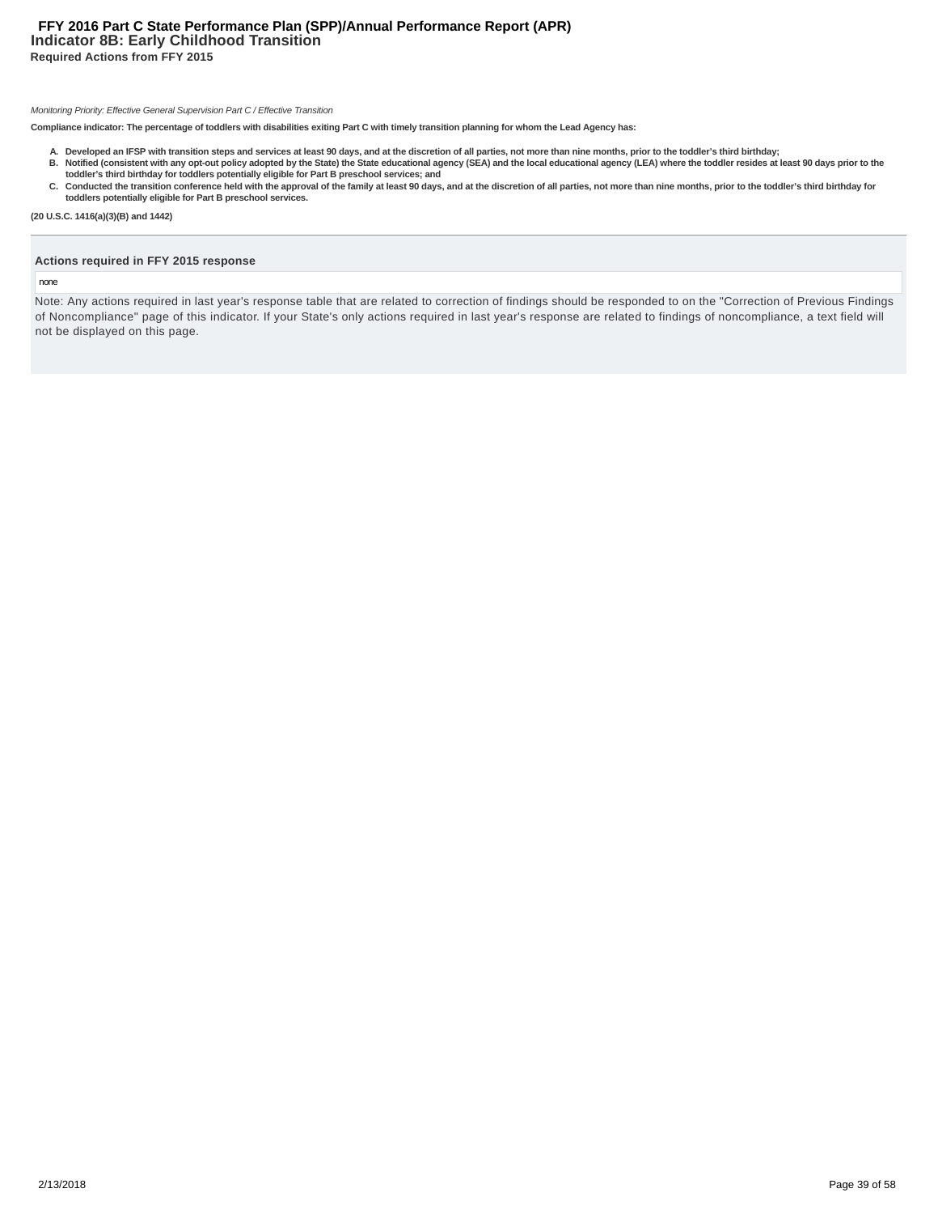# **Indicator 8B: Early Childhood Transition Required Actions from FFY 2015 FFY 2016 Part C State Performance Plan (SPP)/Annual Performance Report (APR)**

#### Monitoring Priority: Effective General Supervision Part C / Effective Transition

**Compliance indicator: The percentage of toddlers with disabilities exiting Part C with timely transition planning for whom the Lead Agency has:**

- A. Developed an IFSP with transition steps and services at least 90 days, and at the discretion of all parties, not more than nine months, prior to the toddler's third birthday;<br>B. Notified (consistent with any opt-out pol
- **toddler's third birthday for toddlers potentially eligible for Part B preschool services; and** C. Conducted the transition conference held with the approval of the family at least 90 days, and at the discretion of all parties, not more than nine months, prior to the toddler's third birthday for **toddlers potentially eligible for Part B preschool services.**
- **(20 U.S.C. 1416(a)(3)(B) and 1442)**

# **Actions required in FFY 2015 response**

#### none

Note: Any actions required in last year's response table that are related to correction of findings should be responded to on the "Correction of Previous Findings of Noncompliance" page of this indicator. If your State's only actions required in last year's response are related to findings of noncompliance, a text field will not be displayed on this page.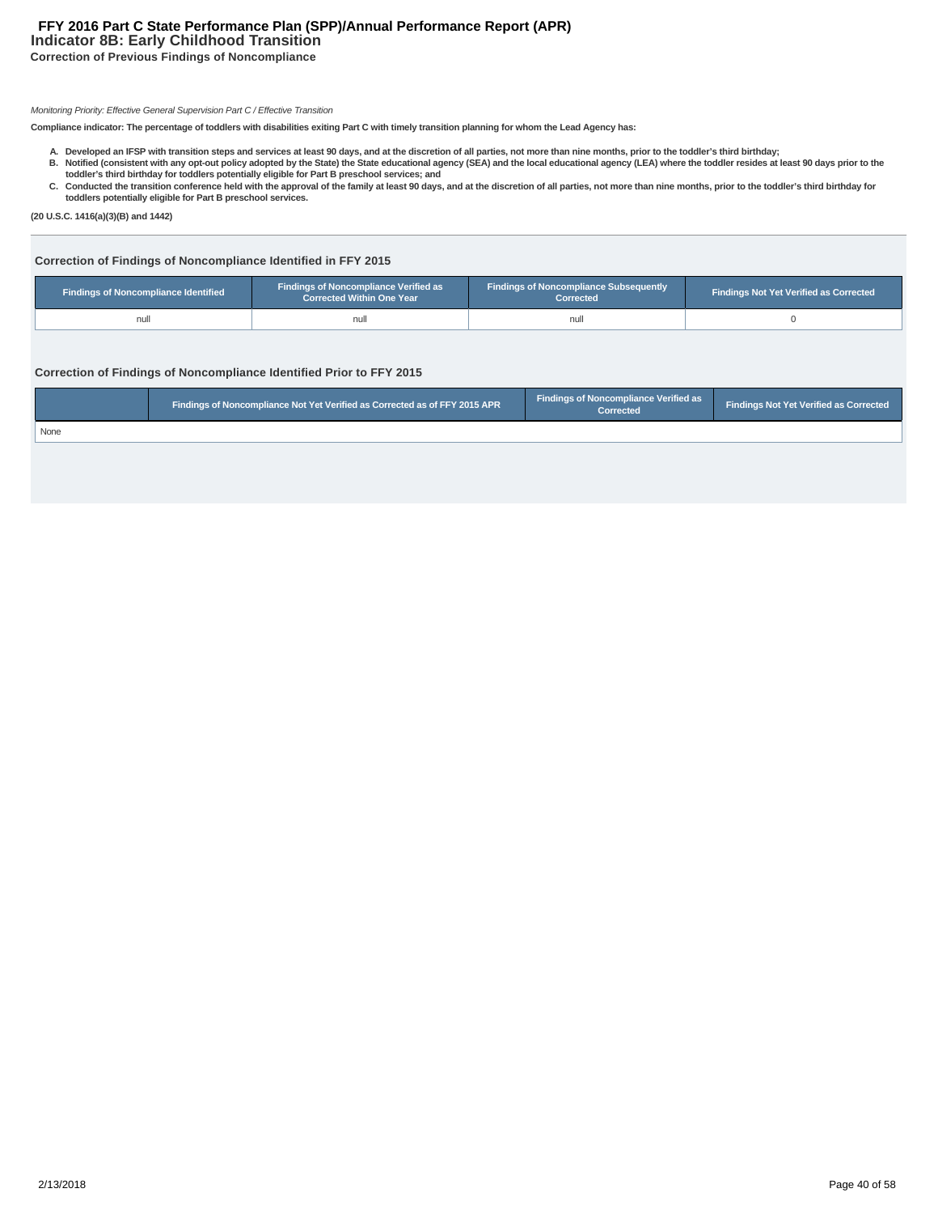# **Indicator 8B: Early Childhood Transition FFY 2016 Part C State Performance Plan (SPP)/Annual Performance Report (APR)**

**Correction of Previous Findings of Noncompliance**

#### Monitoring Priority: Effective General Supervision Part C / Effective Transition

**Compliance indicator: The percentage of toddlers with disabilities exiting Part C with timely transition planning for whom the Lead Agency has:**

- A. Developed an IFSP with transition steps and services at least 90 days, and at the discretion of all parties, not more than nine months, prior to the toddler's third birthday;<br>B. Notified (consistent with any opt-out pol
- C. Conducted the transition conference held with the approval of the family at least 90 days, and at the discretion of all parties, not more than nine months, prior to the toddler's third birthday for
- **toddlers potentially eligible for Part B preschool services.**

**(20 U.S.C. 1416(a)(3)(B) and 1442)**

# **Correction of Findings of Noncompliance Identified in FFY 2015**

| <b>Findings of Noncompliance Verified as</b><br>Findings of Noncompliance Identified<br><b>Corrected Within One Year</b> |      | <b>Findings of Noncompliance Subsequently</b><br>Corrected | <b>Findings Not Yet Verified as Corrected</b> |
|--------------------------------------------------------------------------------------------------------------------------|------|------------------------------------------------------------|-----------------------------------------------|
| null                                                                                                                     | null | nul                                                        |                                               |

# **Correction of Findings of Noncompliance Identified Prior to FFY 2015**

|      | Findings of Noncompliance Not Yet Verified as Corrected as of FFY 2015 APR | <b>Findings of Noncompliance Verified as</b><br>Corrected | Findings Not Yet Verified as Corrected |
|------|----------------------------------------------------------------------------|-----------------------------------------------------------|----------------------------------------|
| None |                                                                            |                                                           |                                        |
|      |                                                                            |                                                           |                                        |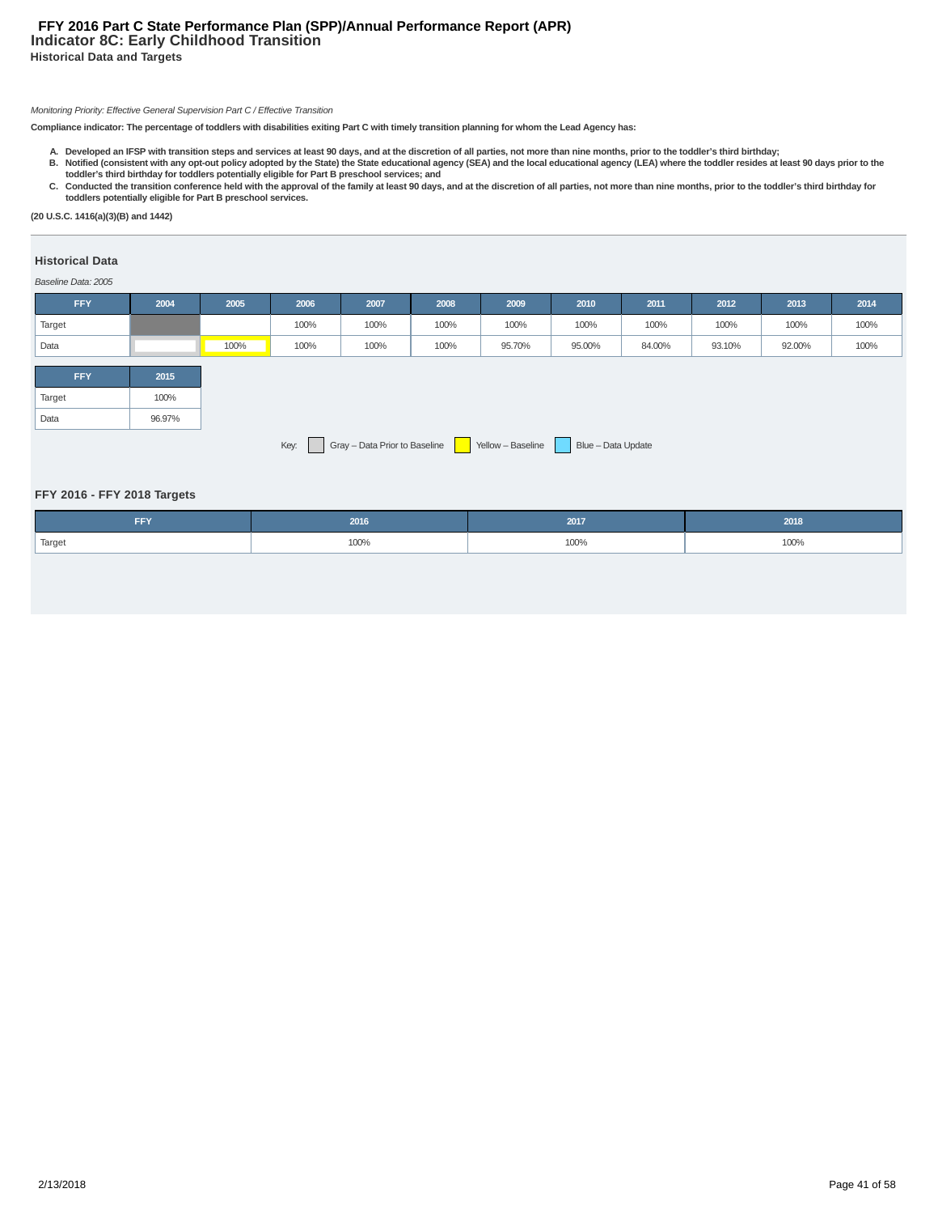# **Indicator 8C: Early Childhood Transition Historical Data and Targets FFY 2016 Part C State Performance Plan (SPP)/Annual Performance Report (APR)**

# Monitoring Priority: Effective General Supervision Part C / Effective Transition

**Compliance indicator: The percentage of toddlers with disabilities exiting Part C with timely transition planning for whom the Lead Agency has:**

- A. Developed an IFSP with transition steps and services at least 90 days, and at the discretion of all parties, not more than nine months, prior to the toddler's third birthday;<br>B. Notified (consistent with any opt-out pol
- C. Conducted the transition conference held with the approval of the family at least 90 days, and at the discretion of all parties, not more than nine months, prior to the toddler's third birthday for **toddlers potentially eligible for Part B preschool services.**

**(20 U.S.C. 1416(a)(3)(B) and 1442)**

# **Historical Data**

#### Baseline Data: 2005

| <b>FFY</b> | 2004                                                                             | 2005 | 2006 | 2007 | 2008 | 2009   | 2010   | 2011   | 2012   | 2013   | 2014 |
|------------|----------------------------------------------------------------------------------|------|------|------|------|--------|--------|--------|--------|--------|------|
| Target     |                                                                                  |      | 100% | 100% | 100% | 100%   | 100%   | 100%   | 100%   | 100%   | 100% |
| Data       |                                                                                  | 100% | 100% | 100% | 100% | 95.70% | 95.00% | 84.00% | 93.10% | 92.00% | 100% |
|            |                                                                                  |      |      |      |      |        |        |        |        |        |      |
| <b>FFY</b> | 2015                                                                             |      |      |      |      |        |        |        |        |        |      |
| Target     | 100%                                                                             |      |      |      |      |        |        |        |        |        |      |
| Data       | 96.97%                                                                           |      |      |      |      |        |        |        |        |        |      |
|            | Gray - Data Prior to Baseline<br>Yellow - Baseline<br>Blue - Data Update<br>Key: |      |      |      |      |        |        |        |        |        |      |

#### **FFY 2016 - FFY 2018 Targets**

| <b>FFY</b>          | 2016 | 2017      | 2018 |
|---------------------|------|-----------|------|
| <sup>1</sup> Target | 100% | 100%<br>. | 100% |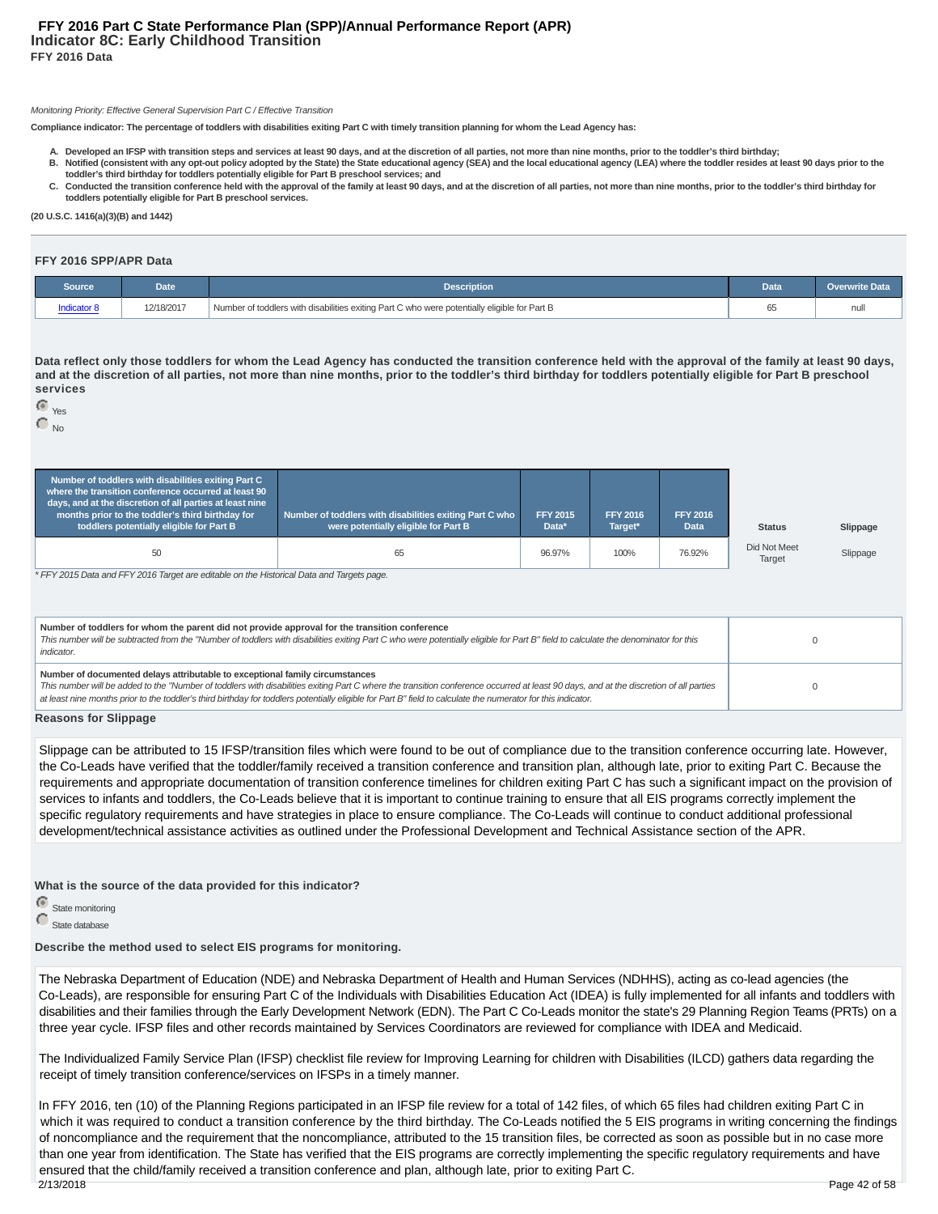#### Monitoring Priority: Effective General Supervision Part C / Effective Transition

**Compliance indicator: The percentage of toddlers with disabilities exiting Part C with timely transition planning for whom the Lead Agency has:**

- **A. Developed an IFSP with transition steps and services at least 90 days, and at the discretion of all parties, not more than nine months, prior to the toddler's third birthday; Notified (consistent with any opt-out policy adopted by the State) the State educational agency (SEA) and the local educational agency (LEA) where the toddler resides at least 90 days prior to the B.**
- **toddler's third birthday for toddlers potentially eligible for Part B preschool services; and** C. Conducted the transition conference held with the approval of the family at least 90 days, and at the discretion of all parties, not more than nine months, prior to the toddler's third birthday for **toddlers potentially eligible for Part B preschool services.**

**(20 U.S.C. 1416(a)(3)(B) and 1442)**

#### **FFY 2016 SPP/APR Data**

| Source             | Date       | <b>Description</b>                                                                           | Data | <b>Overwrite Data</b> |
|--------------------|------------|----------------------------------------------------------------------------------------------|------|-----------------------|
| <b>Indicator 8</b> | 12/18/2017 | Number of toddlers with disabilities exiting Part C who were potentially eligible for Part B |      | nul                   |

**Data reflect only those toddlers for whom the Lead Agency has conducted the transition conference held with the approval of the family at least 90 days, and at the discretion of all parties, not more than nine months, prior to the toddler's third birthday for toddlers potentially eligible for Part B preschool services**



| Number of toddlers with disabilities exiting Part C<br>where the transition conference occurred at least 90<br>days, and at the discretion of all parties at least nine<br>months prior to the toddler's third birthday for<br>toddlers potentially eligible for Part B | Number of toddlers with disabilities exiting Part C who<br>were potentially eligible for Part B | <b>FFY 2015</b><br>Data* | <b>FFY 2016</b><br>Target* | <b>FFY 2016</b><br><b>Data</b> | <b>Status</b>          | Slippage |
|-------------------------------------------------------------------------------------------------------------------------------------------------------------------------------------------------------------------------------------------------------------------------|-------------------------------------------------------------------------------------------------|--------------------------|----------------------------|--------------------------------|------------------------|----------|
| 50                                                                                                                                                                                                                                                                      | 65                                                                                              | 96.97%                   | 100%                       | 76.92%                         | Did Not Meet<br>Target | Slippage |

\* FFY 2015 Data and FFY 2016 Target are editable on the Historical Data and Targets page.

| Number of toddlers for whom the parent did not provide approval for the transition conference<br>This number will be subtracted from the "Number of toddlers with disabilities exiting Part C who were potentially eligible for Part B" field to calculate the denominator for this<br>indicator.                                                                                                                                      |  |
|----------------------------------------------------------------------------------------------------------------------------------------------------------------------------------------------------------------------------------------------------------------------------------------------------------------------------------------------------------------------------------------------------------------------------------------|--|
| Number of documented delays attributable to exceptional family circumstances<br>This number will be added to the "Number of toddlers with disabilities exiting Part C where the transition conference occurred at least 90 days, and at the discretion of all parties<br>at least nine months prior to the toddler's third birthday for toddlers potentially eligible for Part B" field to calculate the numerator for this indicator. |  |

**Reasons for Slippage**

Slippage can be attributed to 15 IFSP/transition files which were found to be out of compliance due to the transition conference occurring late. However, the Co-Leads have verified that the toddler/family received a transition conference and transition plan, although late, prior to exiting Part C. Because the requirements and appropriate documentation of transition conference timelines for children exiting Part C has such a significant impact on the provision of services to infants and toddlers, the Co-Leads believe that it is important to continue training to ensure that all EIS programs correctly implement the specific regulatory requirements and have strategies in place to ensure compliance. The Co-Leads will continue to conduct additional professional development/technical assistance activities as outlined under the Professional Development and Technical Assistance section of the APR.

**What is the source of the data provided for this indicator?**

State monitoring

State database

**Describe the method used to select EIS programs for monitoring.**

The Nebraska Department of Education (NDE) and Nebraska Department of Health and Human Services (NDHHS), acting as co-lead agencies (the Co-Leads), are responsible for ensuring Part C of the Individuals with Disabilities Education Act (IDEA) is fully implemented for all infants and toddlers with disabilities and their families through the Early Development Network (EDN). The Part C Co-Leads monitor the state's 29 Planning Region Teams (PRTs) on a three year cycle. IFSP files and other records maintained by Services Coordinators are reviewed for compliance with IDEA and Medicaid.

The Individualized Family Service Plan (IFSP) checklist file review for Improving Learning for children with Disabilities (ILCD) gathers data regarding the receipt of timely transition conference/services on IFSPs in a timely manner.

In FFY 2016, ten (10) of the Planning Regions participated in an IFSP file review for a total of 142 files, of which 65 files had children exiting Part C in which it was required to conduct a transition conference by the third birthday. The Co-Leads notified the 5 EIS programs in writing concerning the findings of noncompliance and the requirement that the noncompliance, attributed to the 15 transition files, be corrected as soon as possible but in no case more than one year from identification. The State has verified that the EIS programs are correctly implementing the specific regulatory requirements and have ensured that the child/family received a transition conference and plan, although late, prior to exiting Part C. 2/13/2018 Page 42 of 58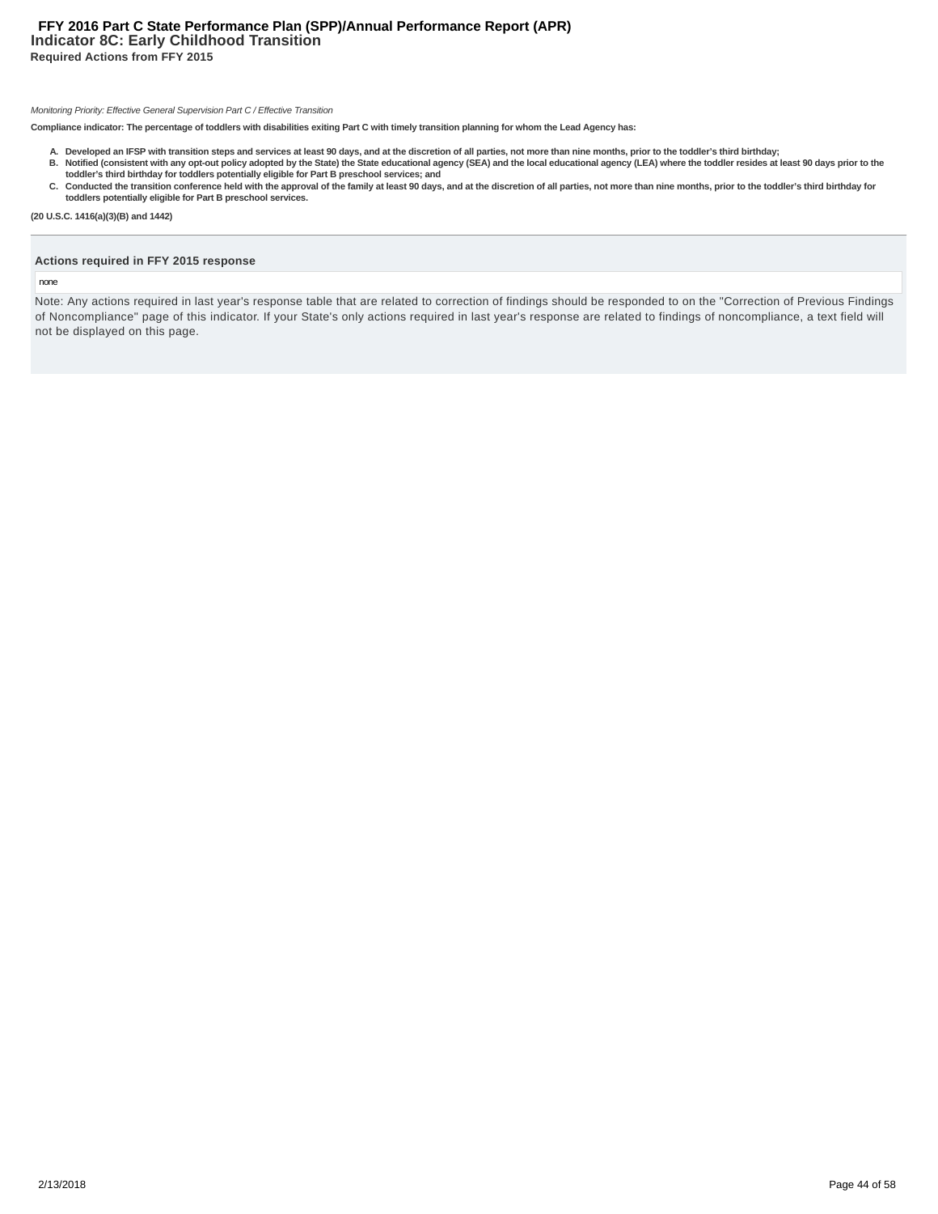# **Indicator 8C: Early Childhood Transition Required Actions from FFY 2015 FFY 2016 Part C State Performance Plan (SPP)/Annual Performance Report (APR)**

#### Monitoring Priority: Effective General Supervision Part C / Effective Transition

**Compliance indicator: The percentage of toddlers with disabilities exiting Part C with timely transition planning for whom the Lead Agency has:**

- A. Developed an IFSP with transition steps and services at least 90 days, and at the discretion of all parties, not more than nine months, prior to the toddler's third birthday;<br>B. Notified (consistent with any opt-out pol
- **toddler's third birthday for toddlers potentially eligible for Part B preschool services; and** C. Conducted the transition conference held with the approval of the family at least 90 days, and at the discretion of all parties, not more than nine months, prior to the toddler's third birthday for **toddlers potentially eligible for Part B preschool services.**

**(20 U.S.C. 1416(a)(3)(B) and 1442)**

# **Actions required in FFY 2015 response**

#### none

Note: Any actions required in last year's response table that are related to correction of findings should be responded to on the "Correction of Previous Findings of Noncompliance" page of this indicator. If your State's only actions required in last year's response are related to findings of noncompliance, a text field will not be displayed on this page.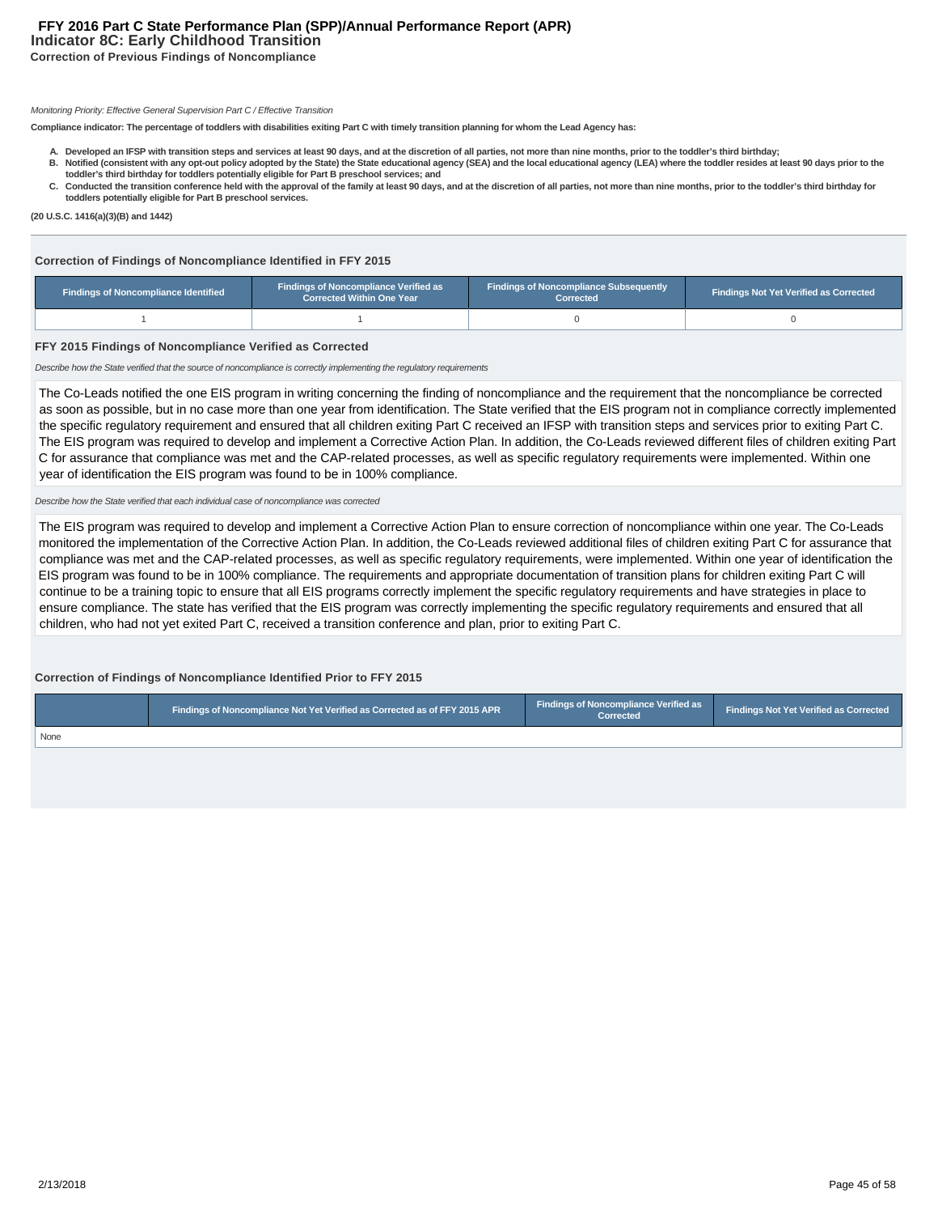# **Indicator 8C: Early Childhood Transition Correction of Previous Findings of Noncompliance FFY 2016 Part C State Performance Plan (SPP)/Annual Performance Report (APR)**

## Monitoring Priority: Effective General Supervision Part C / Effective Transition

**Compliance indicator: The percentage of toddlers with disabilities exiting Part C with timely transition planning for whom the Lead Agency has:**

- **A. Developed an IFSP with transition steps and services at least 90 days, and at the discretion of all parties, not more than nine months, prior to the toddler's third birthday; Notified (consistent with any opt-out policy adopted by the State) the State educational agency (SEA) and the local educational agency (LEA) where the toddler resides at least 90 days prior to the B.**
- **toddler's third birthday for toddlers potentially eligible for Part B preschool services; and** C. Conducted the transition conference held with the approval of the family at least 90 days, and at the discretion of all parties, not more than nine months, prior to the toddler's third birthday for
- **toddlers potentially eligible for Part B preschool services.**

**(20 U.S.C. 1416(a)(3)(B) and 1442)**

#### **Correction of Findings of Noncompliance Identified in FFY 2015**

| Findings of Noncompliance Verified as<br><b>Findings of Noncompliance Identified</b><br><b>Corrected Within One Year</b> |  | <b>Findings of Noncompliance Subsequently</b><br>Corrected | <b>Findings Not Yet Verified as Corrected</b> |  |  |
|--------------------------------------------------------------------------------------------------------------------------|--|------------------------------------------------------------|-----------------------------------------------|--|--|
|                                                                                                                          |  |                                                            |                                               |  |  |

#### **FFY 2015 Findings of Noncompliance Verified as Corrected**

Describe how the State verified that the source of noncompliance is correctly implementing the regulatory requirements

The Co-Leads notified the one EIS program in writing concerning the finding of noncompliance and the requirement that the noncompliance be corrected as soon as possible, but in no case more than one year from identification. The State verified that the EIS program not in compliance correctly implemented the specific regulatory requirement and ensured that all children exiting Part C received an IFSP with transition steps and services prior to exiting Part C. The EIS program was required to develop and implement a Corrective Action Plan. In addition, the Co-Leads reviewed different files of children exiting Part C for assurance that compliance was met and the CAP-related processes, as well as specific regulatory requirements were implemented. Within one year of identification the EIS program was found to be in 100% compliance.

#### Describe how the State verified that each individual case of noncompliance was corrected

The EIS program was required to develop and implement a Corrective Action Plan to ensure correction of noncompliance within one year. The Co-Leads monitored the implementation of the Corrective Action Plan. In addition, the Co-Leads reviewed additional files of children exiting Part C for assurance that compliance was met and the CAP-related processes, as well as specific regulatory requirements, were implemented. Within one year of identification the EIS program was found to be in 100% compliance. The requirements and appropriate documentation of transition plans for children exiting Part C will continue to be a training topic to ensure that all EIS programs correctly implement the specific regulatory requirements and have strategies in place to ensure compliance. The state has verified that the EIS program was correctly implementing the specific regulatory requirements and ensured that all children, who had not yet exited Part C, received a transition conference and plan, prior to exiting Part C.

#### **Correction of Findings of Noncompliance Identified Prior to FFY 2015**

|             | Findings of Noncompliance Not Yet Verified as Corrected as of FFY 2015 APR 1 | Findings of Noncompliance Verified as<br>Corrected | <b>Findings Not Yet Verified as Corrected</b> |
|-------------|------------------------------------------------------------------------------|----------------------------------------------------|-----------------------------------------------|
| <b>None</b> |                                                                              |                                                    |                                               |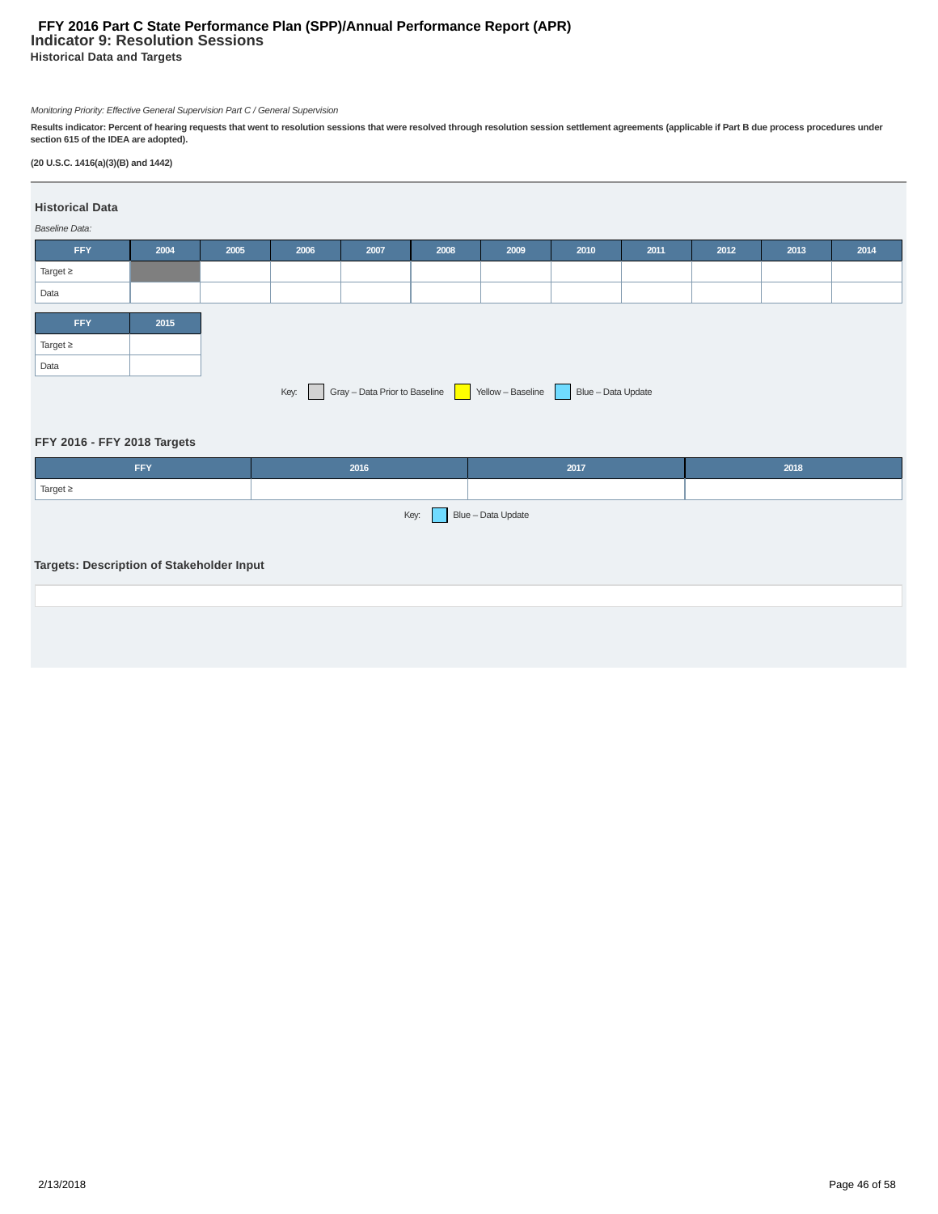# **Indicator 9: Resolution Sessions Historical Data and Targets FFY 2016 Part C State Performance Plan (SPP)/Annual Performance Report (APR)**

Monitoring Priority: Effective General Supervision Part C / General Supervision

Results indicator: Percent of hearing requests that went to resolution sessions that were resolved through resolution session settlement agreements (applicable if Part B due process procedures under<br>section 615 of the IDEA

# **(20 U.S.C. 1416(a)(3)(B) and 1442)**

#### **Historical Data**

# Baseline Data:

| <b>FFY</b>    | 2004 | 2005 | 2006 | 2007                          | 2008 | 2009              | 2010               | 2011 | 2012 | 2013 | 2014 |
|---------------|------|------|------|-------------------------------|------|-------------------|--------------------|------|------|------|------|
| Target $\geq$ |      |      |      |                               |      |                   |                    |      |      |      |      |
| Data          |      |      |      |                               |      |                   |                    |      |      |      |      |
|               |      |      |      |                               |      |                   |                    |      |      |      |      |
| <b>FFY</b>    | 2015 |      |      |                               |      |                   |                    |      |      |      |      |
| Target $\geq$ |      |      |      |                               |      |                   |                    |      |      |      |      |
| Data          |      |      |      |                               |      |                   |                    |      |      |      |      |
|               |      |      | Key: | Gray - Data Prior to Baseline |      | Yellow - Baseline | Blue - Data Update |      |      |      |      |

# **FFY 2016 - FFY 2018 Targets**

| 2016                                      | 2017 | 2018               |
|-------------------------------------------|------|--------------------|
|                                           |      |                    |
| Key:                                      |      |                    |
|                                           |      |                    |
| Targets: Description of Stakeholder Input |      |                    |
|                                           |      |                    |
|                                           |      |                    |
|                                           |      | Blue - Data Update |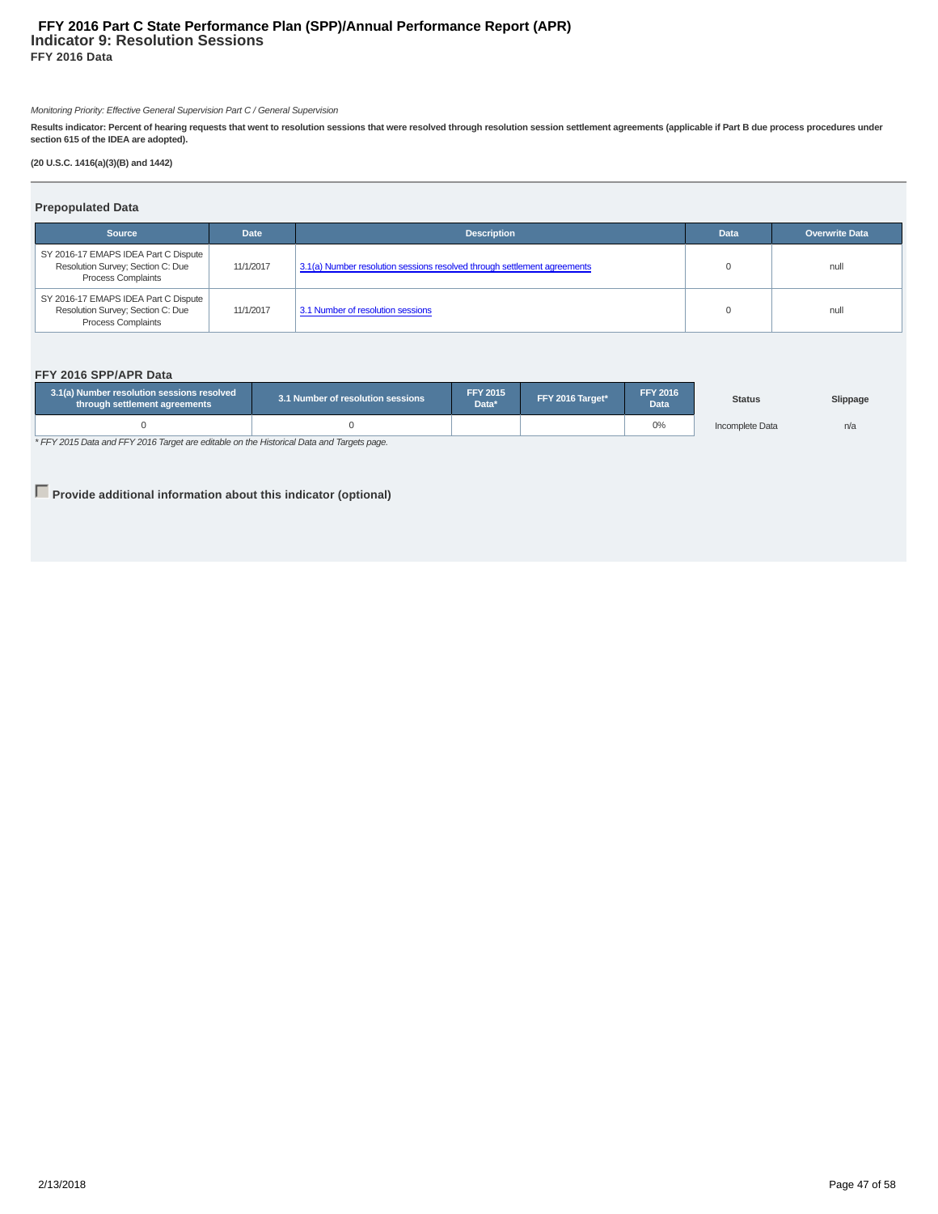# **Indicator 9: Resolution Sessions FFY 2016 Data FFY 2016 Part C State Performance Plan (SPP)/Annual Performance Report (APR)**

Monitoring Priority: Effective General Supervision Part C / General Supervision

Results indicator: Percent of hearing requests that went to resolution sessions that were resolved through resolution session settlement agreements (applicable if Part B due process procedures under<br>section 615 of the IDEA

**(20 U.S.C. 1416(a)(3)(B) and 1442)**

## **Prepopulated Data**

| <b>Source</b>                                                                                          | <b>Date</b> | <b>Description</b>                                                       | <b>Data</b> | <b>Overwrite Data</b> |
|--------------------------------------------------------------------------------------------------------|-------------|--------------------------------------------------------------------------|-------------|-----------------------|
| SY 2016-17 EMAPS IDEA Part C Dispute<br>Resolution Survey; Section C: Due<br><b>Process Complaints</b> | 11/1/2017   | 3.1(a) Number resolution sessions resolved through settlement agreements |             | null                  |
| SY 2016-17 EMAPS IDEA Part C Dispute<br>Resolution Survey; Section C: Due<br><b>Process Complaints</b> | 11/1/2017   | 3.1 Number of resolution sessions                                        |             | null                  |

#### **FFY 2016 SPP/APR Data**

| 3.1(a) Number resolution sessions resolved<br>through settlement agreements        | 3.1 Number of resolution sessions |  | <b>FFY 2015</b><br>FFY 2016 Target*<br>Data* |    | <b>Status</b>   | Slippage |
|------------------------------------------------------------------------------------|-----------------------------------|--|----------------------------------------------|----|-----------------|----------|
|                                                                                    |                                   |  |                                              | 0% | Incomplete Data | n/a      |
| * EEVOORE Data and EEVOORE Townstare aditable on the Unterior Data and Townstanana |                                   |  |                                              |    |                 |          |

\* FFY 2015 Data and FFY 2016 Target are editable on the Historical Data and Targets page.

**Provide additional information about this indicator (optional)**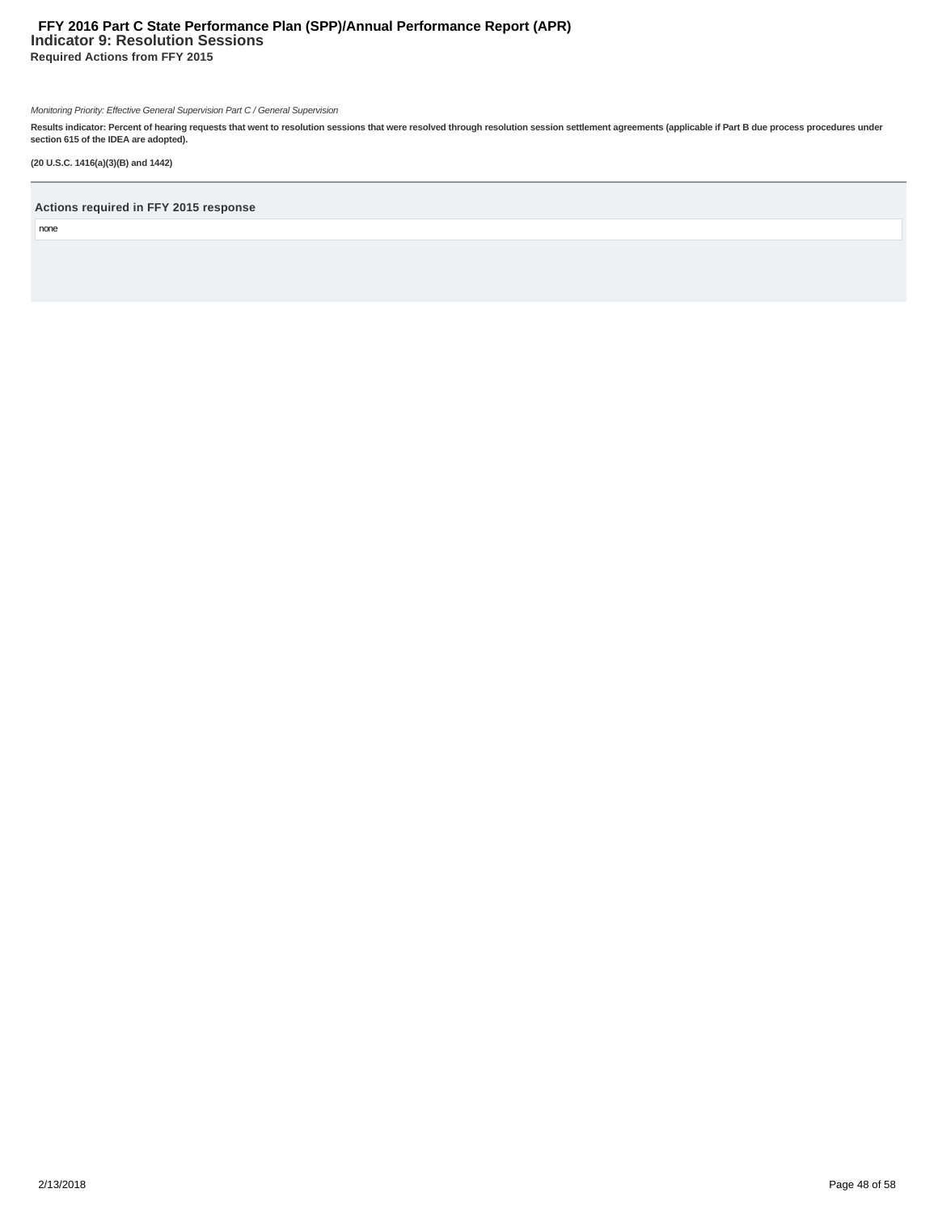# **Indicator 9: Resolution Sessions Required Actions from FFY 2015 FFY 2016 Part C State Performance Plan (SPP)/Annual Performance Report (APR)**

Monitoring Priority: Effective General Supervision Part C / General Supervision

Results indicator: Percent of hearing requests that went to resolution sessions that were resolved through resolution session settlement agreements (applicable if Part B due process procedures under<br>section 615 of the IDEA

**(20 U.S.C. 1416(a)(3)(B) and 1442)**

# **Actions required in FFY 2015 response**

none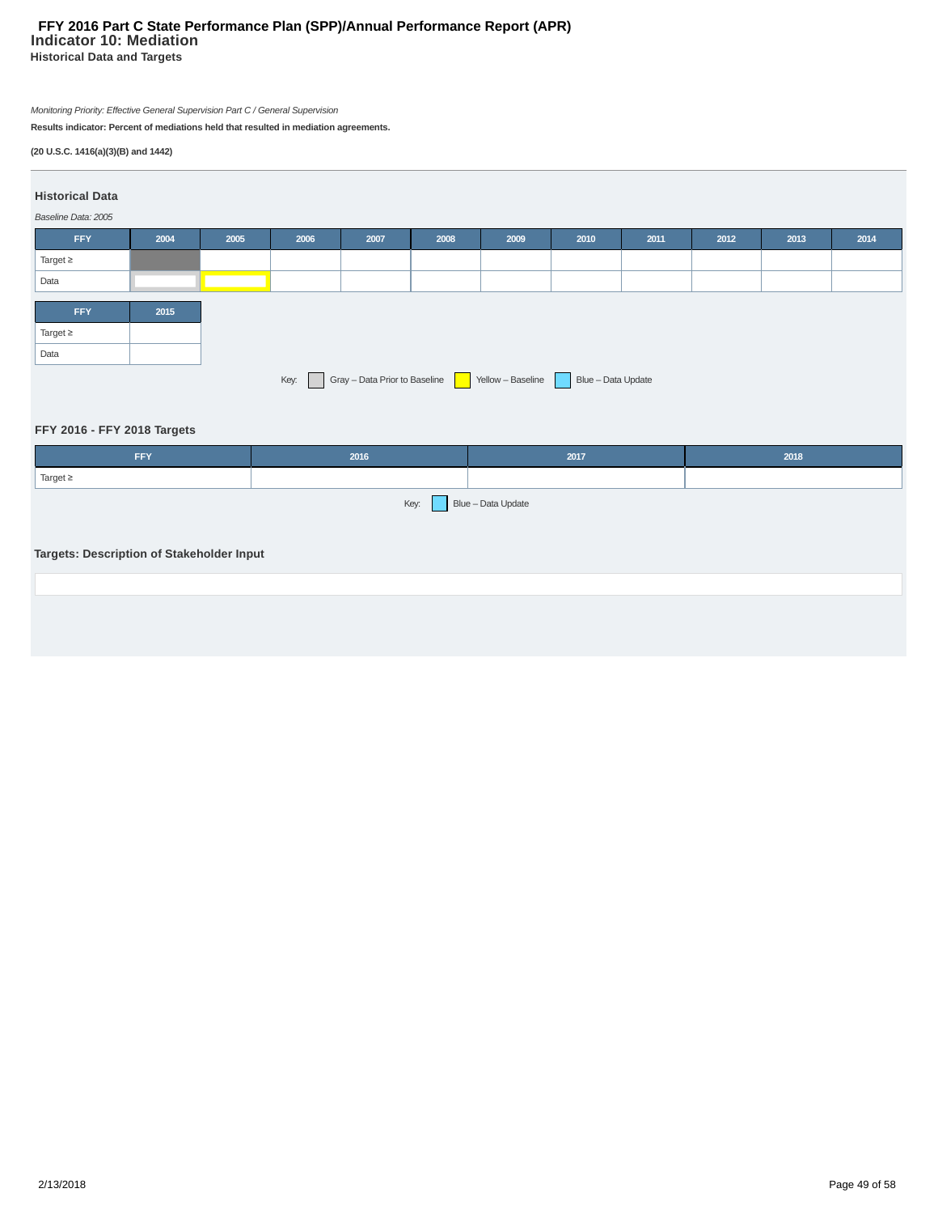# **Indicator 10: Mediation Historical Data and Targets FFY 2016 Part C State Performance Plan (SPP)/Annual Performance Report (APR)**

Monitoring Priority: Effective General Supervision Part C / General Supervision

**Results indicator: Percent of mediations held that resulted in mediation agreements.**

# **(20 U.S.C. 1416(a)(3)(B) and 1442)**

# **Historical Data**

| Baseline Data: 2005 |      |      |      |      |      |      |      |      |      |      |      |
|---------------------|------|------|------|------|------|------|------|------|------|------|------|
| <b>FFY</b>          | 2004 | 2005 | 2006 | 2007 | 2008 | 2009 | 2010 | 2011 | 2012 | 2013 | 2014 |
| Target $\geq$       |      |      |      |      |      |      |      |      |      |      |      |
| Data                |      |      |      |      |      |      |      |      |      |      |      |
|                     |      |      |      |      |      |      |      |      |      |      |      |
| <b>FFY</b>          | 2015 |      |      |      |      |      |      |      |      |      |      |
| Target $\geq$       |      |      |      |      |      |      |      |      |      |      |      |
| Data                |      |      |      |      |      |      |      |      |      |      |      |

# **FFY 2016 - FFY 2018 Targets**

| FFY           | 2016                    | 2017 | 2018 |
|---------------|-------------------------|------|------|
| Target $\geq$ |                         |      |      |
|               | Key: Blue - Data Update |      |      |

# **Targets: Description of Stakeholder Input**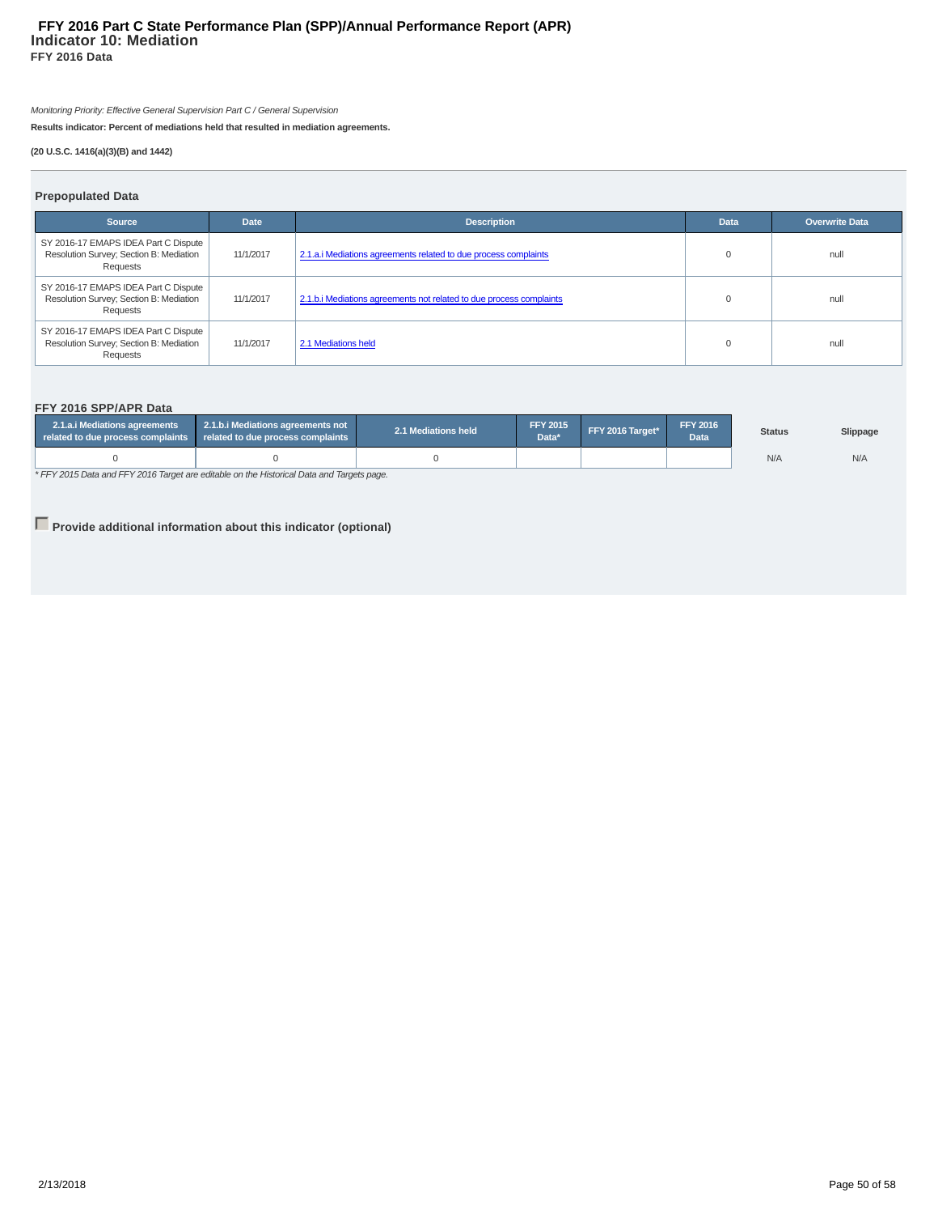### **Indicator 10: Mediation FFY 2016 Data FFY 2016 Part C State Performance Plan (SPP)/Annual Performance Report (APR)**

Monitoring Priority: Effective General Supervision Part C / General Supervision

**Results indicator: Percent of mediations held that resulted in mediation agreements.**

# **(20 U.S.C. 1416(a)(3)(B) and 1442)**

# **Prepopulated Data**

| <b>Source</b>                                                                               | <b>Date</b> | <b>Description</b>                                                  | <b>Data</b> | <b>Overwrite Data</b> |
|---------------------------------------------------------------------------------------------|-------------|---------------------------------------------------------------------|-------------|-----------------------|
| SY 2016-17 EMAPS IDEA Part C Dispute<br>Resolution Survey; Section B: Mediation<br>Requests | 11/1/2017   | 2.1.a.i Mediations agreements related to due process complaints     |             | null                  |
| SY 2016-17 EMAPS IDEA Part C Dispute<br>Resolution Survey; Section B: Mediation<br>Requests | 11/1/2017   | 2.1.b. iMediations agreements not related to due process complaints |             | null                  |
| SY 2016-17 EMAPS IDEA Part C Dispute<br>Resolution Survey; Section B: Mediation<br>Requests | 11/1/2017   | 2.1 Mediations held                                                 |             | null                  |

# **FFY 2016 SPP/APR Data**

| 2.1.a.i Mediations agreements<br>related to due process complaints | 2.1.b.i Mediations agreements not<br>related to due process complaints | 2.1 Mediations held | <b>FFY 2015</b><br>Data <sup>*</sup> | FFY 2016 Target* | <b>FFY 2016</b><br>Data | <b>Status</b> | Slippage |
|--------------------------------------------------------------------|------------------------------------------------------------------------|---------------------|--------------------------------------|------------------|-------------------------|---------------|----------|
|                                                                    |                                                                        |                     |                                      |                  |                         | N/A           | N/A      |

\* FFY 2015 Data and FFY 2016 Target are editable on the Historical Data and Targets page.

**Provide additional information about this indicator (optional)**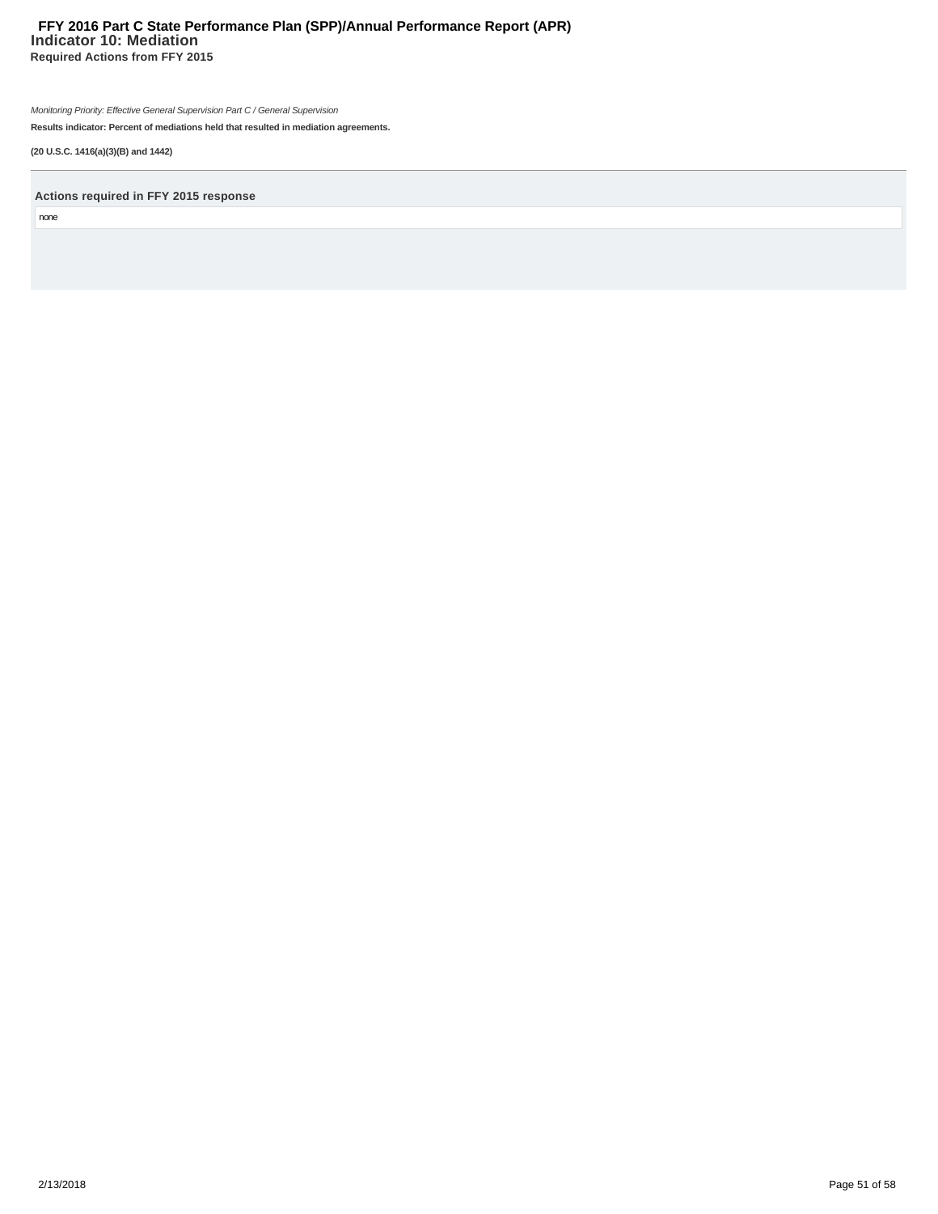# **Indicator 10: Mediation Required Actions from FFY 2015 FFY 2016 Part C State Performance Plan (SPP)/Annual Performance Report (APR)**

Monitoring Priority: Effective General Supervision Part C / General Supervision

**Results indicator: Percent of mediations held that resulted in mediation agreements.**

**(20 U.S.C. 1416(a)(3)(B) and 1442)**

**Actions required in FFY 2015 response**

none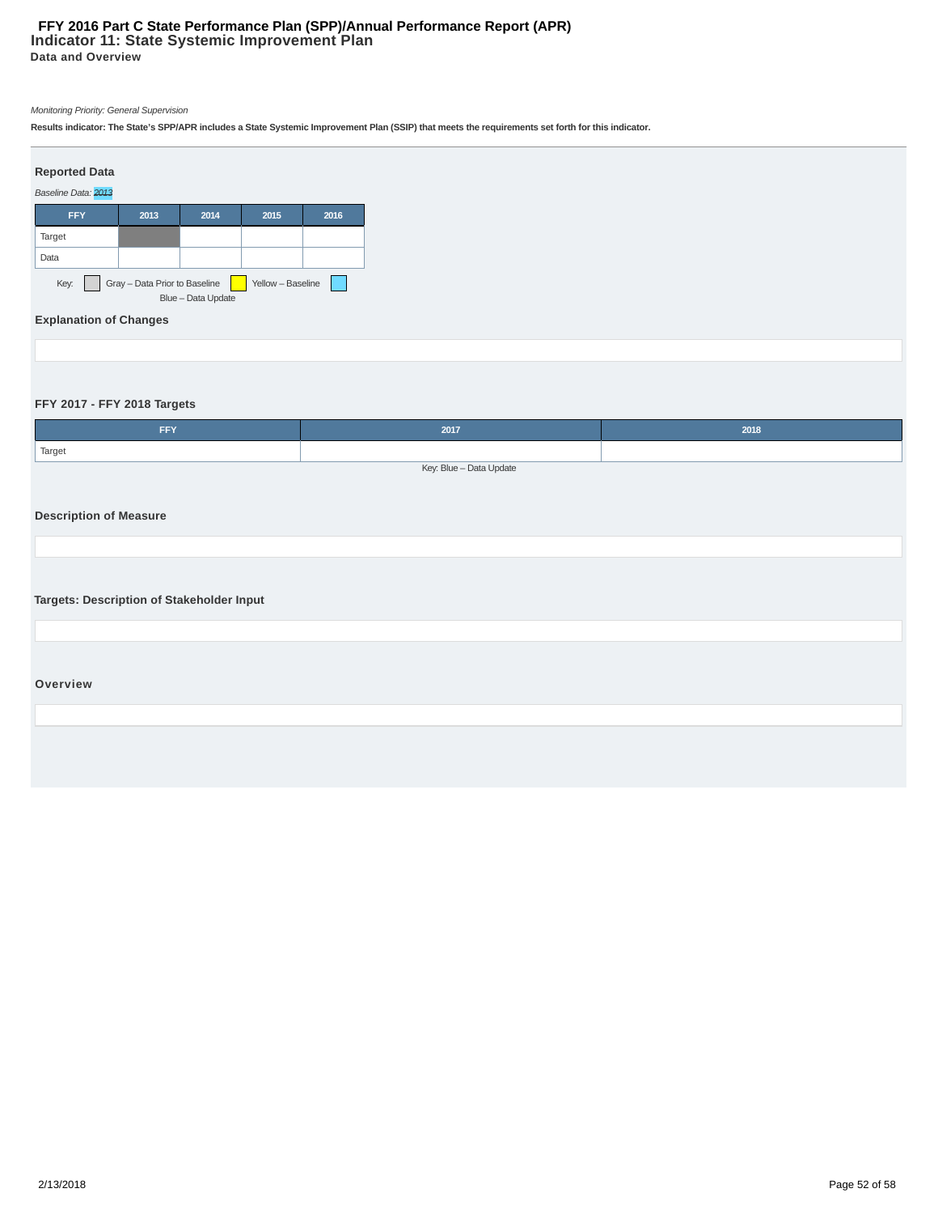**Results indicator: The State's SPP/APR includes a State Systemic Improvement Plan (SSIP) that meets the requirements set forth for this indicator.**



# **FFY 2017 - FFY 2018 Targets**

| <b>FFY</b>                                | 2017                    | 2018 |
|-------------------------------------------|-------------------------|------|
| Target                                    |                         |      |
|                                           | Key: Blue - Data Update |      |
|                                           |                         |      |
| <b>Description of Measure</b>             |                         |      |
|                                           |                         |      |
|                                           |                         |      |
|                                           |                         |      |
| Targets: Description of Stakeholder Input |                         |      |
|                                           |                         |      |
|                                           |                         |      |
|                                           |                         |      |
| Overview                                  |                         |      |
|                                           |                         |      |
|                                           |                         |      |
|                                           |                         |      |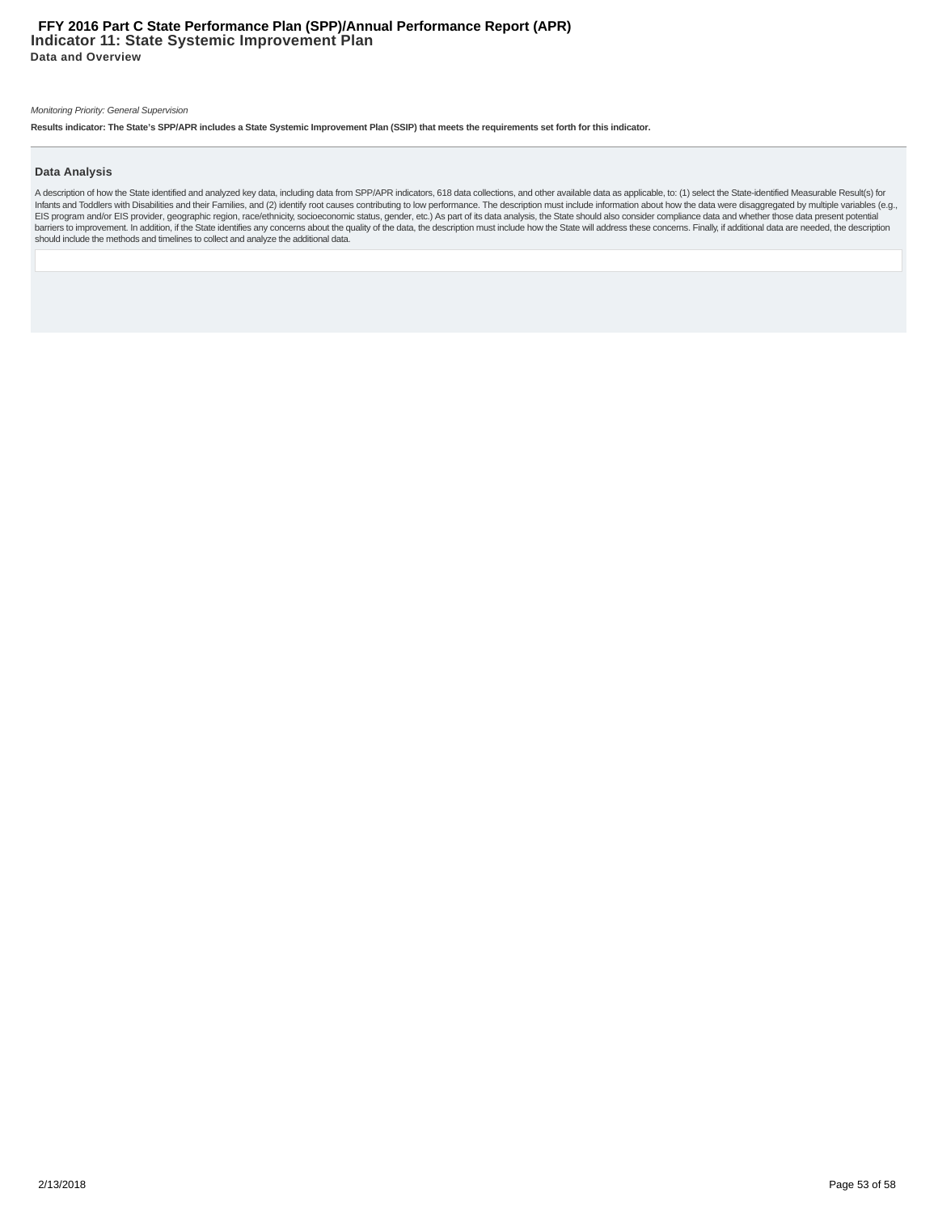**Results indicator: The State's SPP/APR includes a State Systemic Improvement Plan (SSIP) that meets the requirements set forth for this indicator.**

#### **Data Analysis**

A description of how the State identified and analyzed key data, including data from SPP/APR indicators, 618 data collections, and other available data as applicable, to: (1) select the State-identified Measurable Result(s Infants and Toddlers with Disabilities and their Families, and (2) identify root causes contributing to low performance. The description must include information about how the data were disaggregated by multiple variables should include the methods and timelines to collect and analyze the additional data.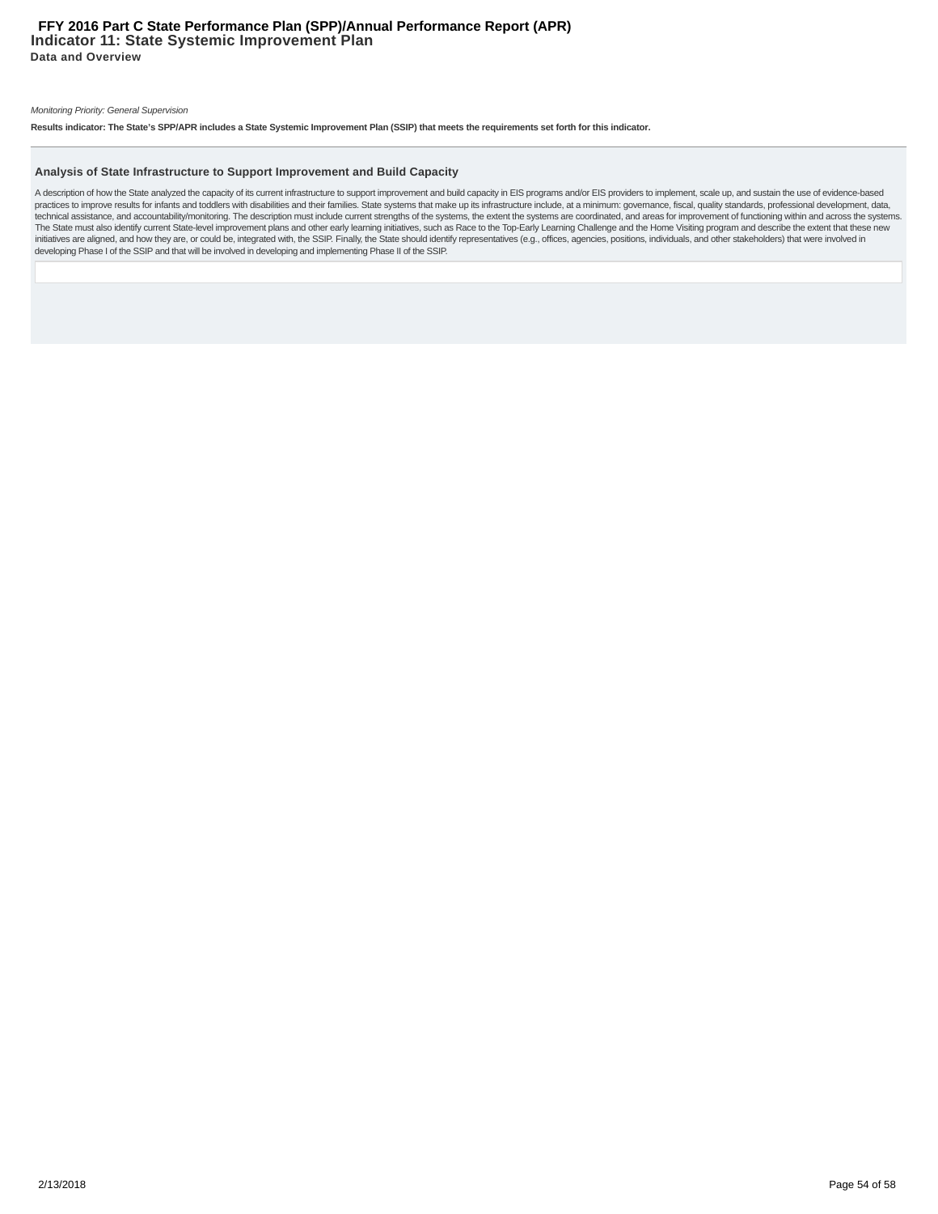**Results indicator: The State's SPP/APR includes a State Systemic Improvement Plan (SSIP) that meets the requirements set forth for this indicator.**

#### **Analysis of State Infrastructure to Support Improvement and Build Capacity**

A description of how the State analyzed the capacity of its current infrastructure to support improvement and build capacity in EIS programs and/or EIS providers to implement, scale up, and sustain the use of evidence-base practices to improve results for infants and toddlers with disabilities and their families. State systems that make up its infrastructure include, at a minimum: governance, fiscal, quality standards, professional developme The State must also identify current State-level improvement plans and other early learning initiatives, such as Race to the Top-Early Learning Challenge and the Home Visiting program and describe the extent that these new initiatives are aligned, and how they are, or could be, integrated with, the SSIP. Finally, the State should identify representatives (e.g., offices, agencies, positions, individuals, and other stakeholders) that were invo developing Phase I of the SSIP and that will be involved in developing and implementing Phase II of the SSIP.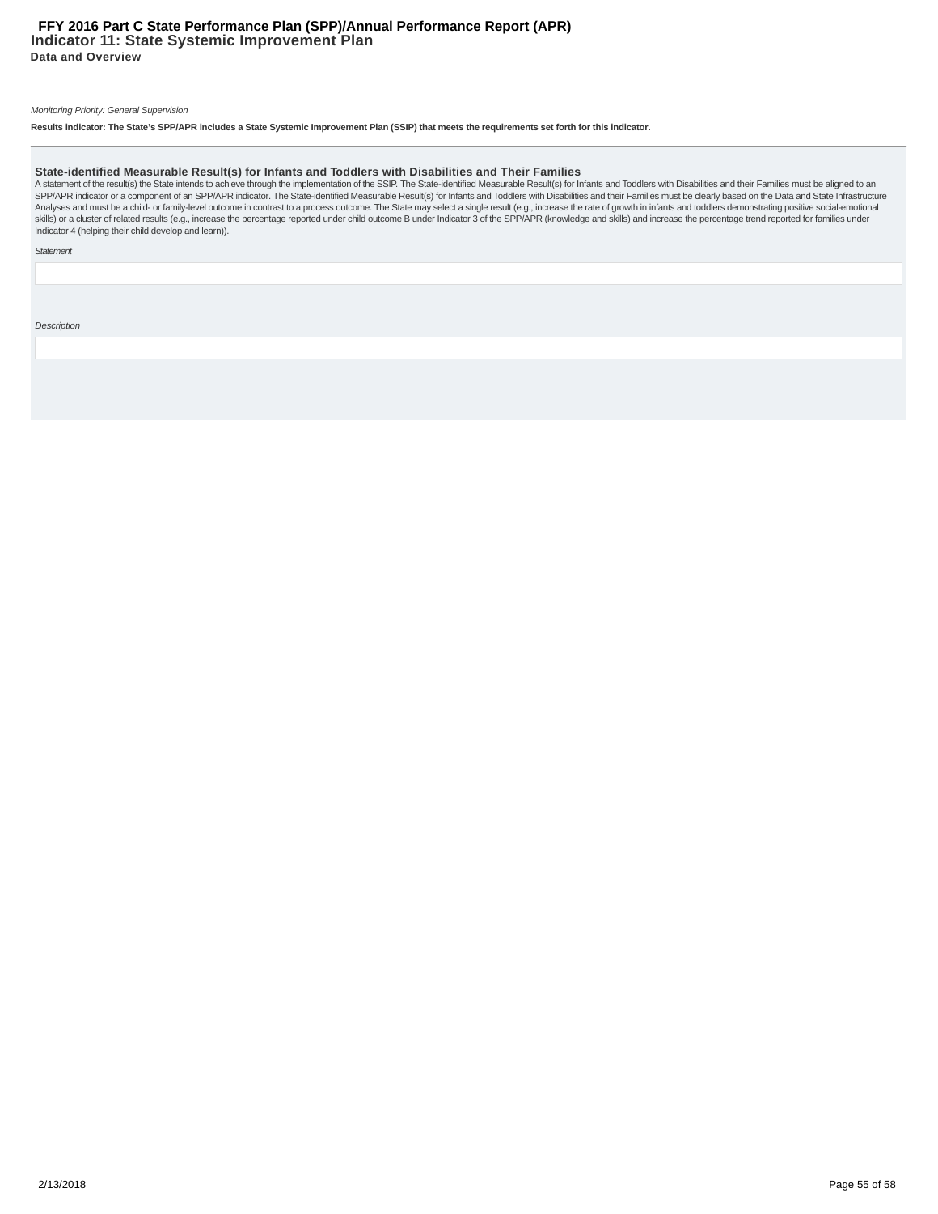**Results indicator: The State's SPP/APR includes a State Systemic Improvement Plan (SSIP) that meets the requirements set forth for this indicator.**

State-identified Measurable Result(s) for Infants and Toddlers with Disabilities and Their Families<br>A statement of the result(s) the State intends to achieve through the implementation of the SSIP. The State-identified Mea skills) or a cluster of related results (e.g., increase the percentage reported under child outcome B under Indicator 3 of the SPP/APR (knowledge and skills) and increase the percentage trend reported for families under Indicator 4 (helping their child develop and learn)).

**Statement** 

Description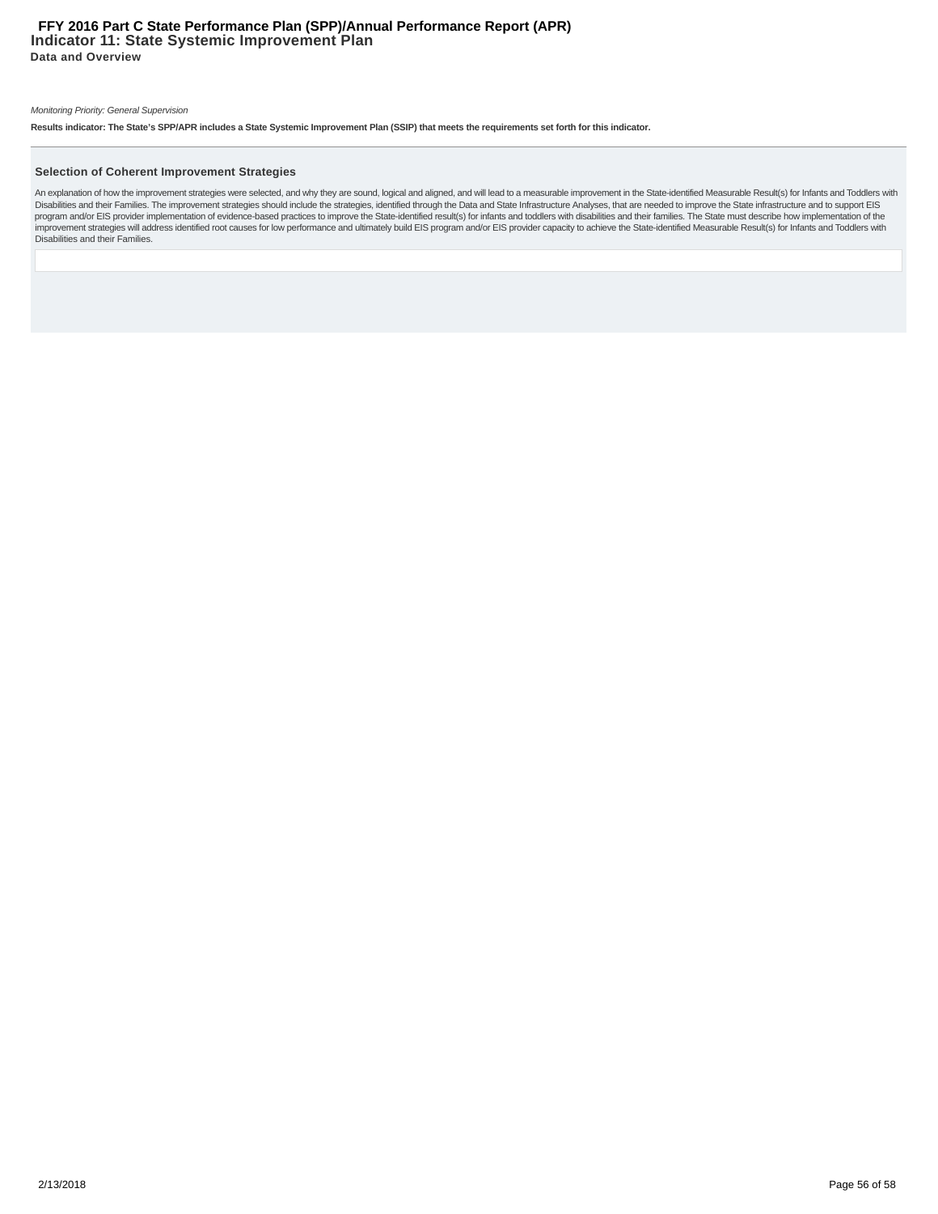**Results indicator: The State's SPP/APR includes a State Systemic Improvement Plan (SSIP) that meets the requirements set forth for this indicator.**

#### **Selection of Coherent Improvement Strategies**

An explanation of how the improvement strategies were selected, and why they are sound, logical and aligned, and will lead to a measurable improvement in the State-identified Measurable Result(s) for Infants and Toddlers w Disabilities and their Families.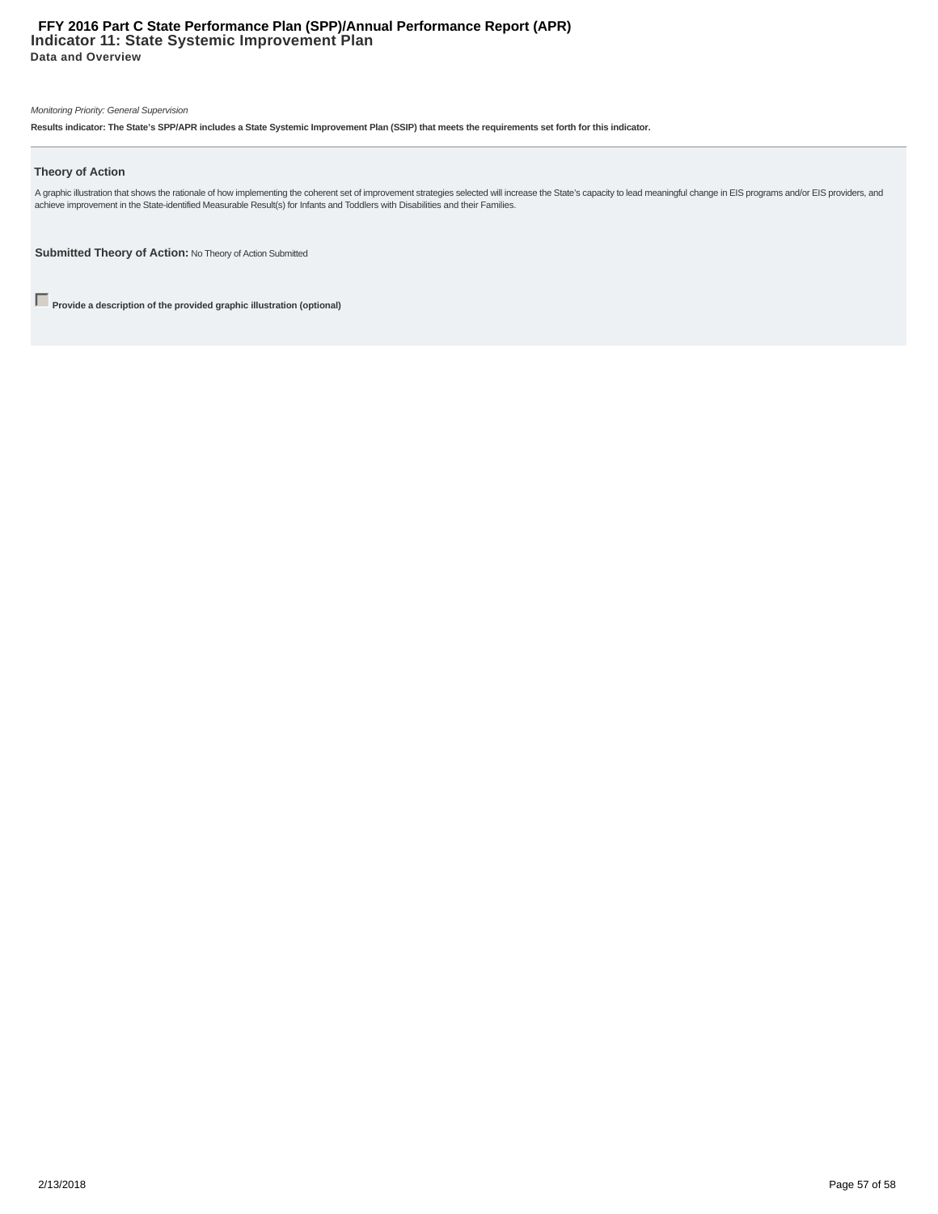# **Indicator 11: State Systemic Improvement Plan Data and Overview FFY 2016 Part C State Performance Plan (SPP)/Annual Performance Report (APR)**

#### Monitoring Priority: General Supervision

**Results indicator: The State's SPP/APR includes a State Systemic Improvement Plan (SSIP) that meets the requirements set forth for this indicator.**

#### **Theory of Action**

A graphic illustration that shows the rationale of how implementing the coherent set of improvement strategies selected will increase the State's capacity to lead meaningful change in EIS programs and/or EIS providers, and

**Submitted Theory of Action:** No Theory of Action Submitted

**Provide a description of the provided graphic illustration (optional)**